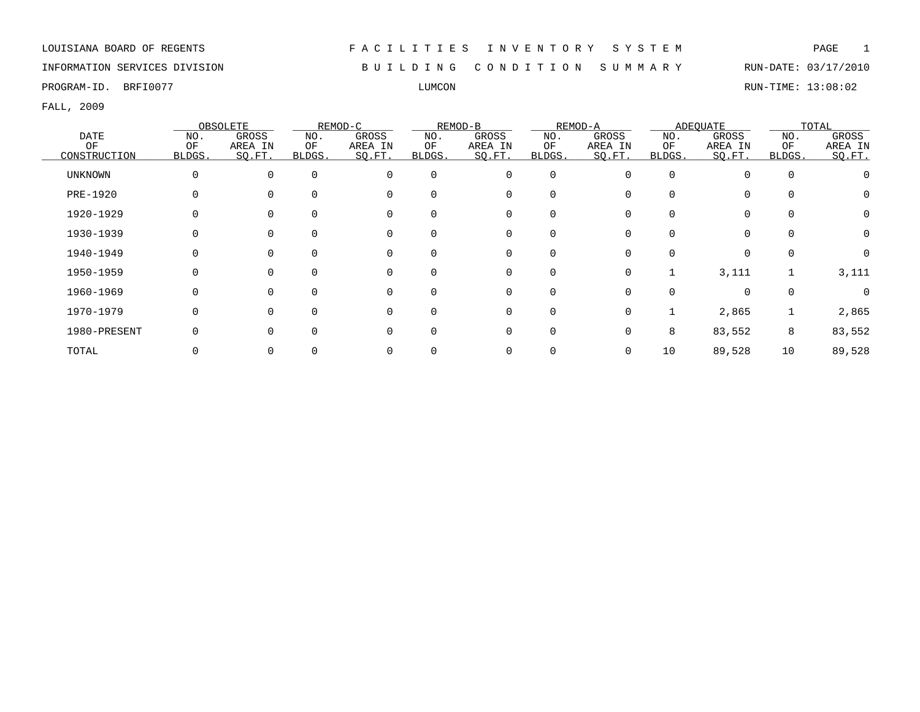### INFORMATION SERVICES DIVISION B U I L D I N G C O N D I T I O N S U M M A R Y RUN-DATE: 03/17/2010

PROGRAM-ID. BRFI0077 LUMCON RUN-TIME: 13:08:02

|                |        | OBSOLETE |        | REMOD-C  |             | REMOD-B     |          | REMOD-A |              | <b>ADEQUATE</b> |          | TOTAL    |
|----------------|--------|----------|--------|----------|-------------|-------------|----------|---------|--------------|-----------------|----------|----------|
| <b>DATE</b>    | NO.    | GROSS    | NO.    | GROSS    | NO.         | GROSS       | NO.      | GROSS   | NO.          | GROSS           | NO.      | GROSS    |
| OF             | OF     | AREA IN  | ΟF     | AREA IN  | ΟF          | AREA IN     | ΟF       | AREA IN | ΟF           | AREA IN         | OF       | AREA IN  |
| CONSTRUCTION   | BLDGS. | SQ.FT.   | BLDGS. | SQ.FT.   | BLDGS.      | SO.FT.      | BLDGS.   | SQ.FT.  | <b>BLDGS</b> | SQ.FT.          | BLDGS.   | SQ.FT.   |
| <b>UNKNOWN</b> | 0      | $\Omega$ |        | $\Omega$ | $\mathbf 0$ | 0           | 0        |         | $\Omega$     | 0               | $\Omega$ |          |
| PRE-1920       | 0      |          |        |          | $\Omega$    | $\mathbf 0$ |          |         |              | $\Omega$        |          |          |
| 1920-1929      |        |          |        |          |             | 0           |          |         |              | $\Omega$        |          |          |
| 1930-1939      |        |          |        |          | 0           | 0           |          |         |              | 0               |          |          |
| 1940-1949      | 0      |          |        |          | 0           | 0           | 0        |         |              | 0               |          |          |
| 1950-1959      | 0      | $\Omega$ |        | $\Omega$ | $\Omega$    | 0           | $\Omega$ | 0       |              | 3,111           |          | 3,111    |
| 1960-1969      | O      |          |        |          | $\Omega$    | $\Omega$    | $\Omega$ |         |              | $\Omega$        |          | $\Omega$ |
| 1970-1979      | 0      |          |        |          | $\Omega$    | $\mathbf 0$ | $\Omega$ | 0       |              | 2,865           |          | 2,865    |
| 1980-PRESENT   |        |          |        |          | $\Omega$    | 0           | $\Omega$ |         | 8            | 83,552          | 8        | 83,552   |
| TOTAL          |        |          |        |          |             | 0           |          |         | 10           | 89,528          | 10       | 89,528   |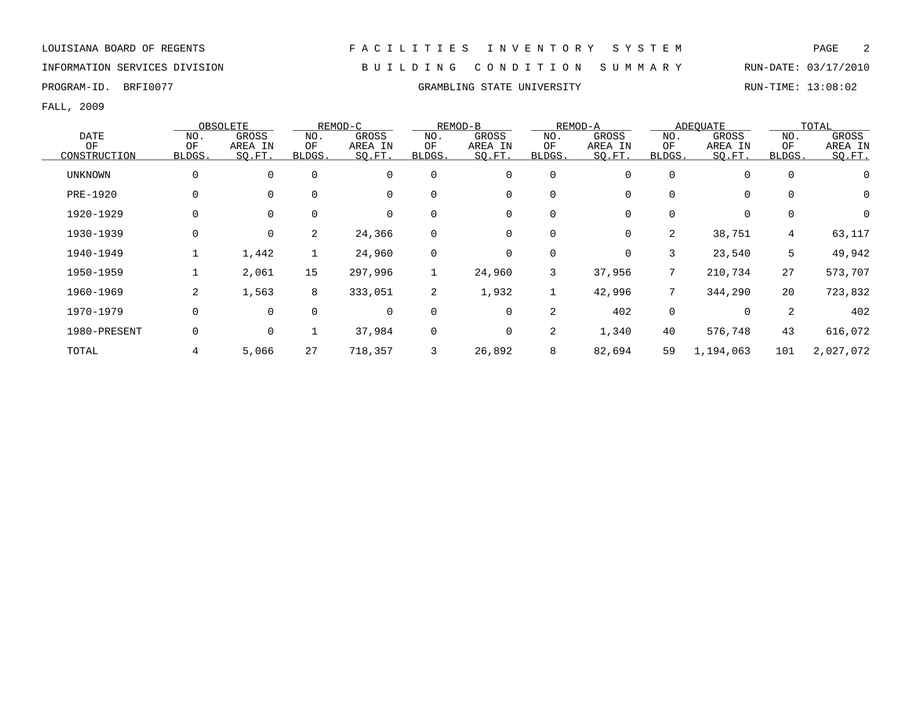PROGRAM-ID. BRFI0077 CRAMBLING STATE UNIVERSITY RUN-TIME: 13:08:02

FALL, 2009

|                |        | OBSOLETE     |              | REMOD-C     |                | REMOD-B |             | REMOD-A |              | ADEOUATE    |             | TOTAL     |
|----------------|--------|--------------|--------------|-------------|----------------|---------|-------------|---------|--------------|-------------|-------------|-----------|
| <b>DATE</b>    | NO.    | <b>GROSS</b> | NO.          | GROSS       | NO.            | GROSS   | NO.         | GROSS   | NO.          | GROSS       | NO.         | GROSS     |
| OF             | OF     | AREA IN      | OF           | AREA IN     | OF             | AREA IN | OF          | AREA IN | OF           | AREA IN     | OF          | AREA IN   |
| CONSTRUCTION   | BLDGS. | SO.FT.       | <b>BLDGS</b> | SQ.FT.      | BLDGS.         | SQ.FT.  | BLDGS.      | SO.FT.  | <b>BLDGS</b> | SQ.FT.      | BLDGS.      | SO.FT.    |
| <b>UNKNOWN</b> | 0      | $\mathbf 0$  | $\mathbf 0$  | $\mathbf 0$ | 0              | 0       | $\mathbf 0$ | 0       | 0            | $\mathbf 0$ | $\mathbf 0$ | 0         |
| PRE-1920       | 0      | $\Omega$     | $\Omega$     | 0           | 0              | 0       | $\mathbf 0$ | 0       |              | 0           | $\Omega$    | 0         |
| 1920-1929      | 0      | $\Omega$     | $\Omega$     | 0           | 0              | 0       | 0           | 0       |              | 0           |             | 0         |
| 1930-1939      | 0      | 0            | 2            | 24,366      | 0              | 0       | 0           | 0       | 2            | 38,751      | 4           | 63,117    |
| 1940-1949      |        | 1,442        | $\mathbf{1}$ | 24,960      | 0              | 0       | $\mathbf 0$ | 0       | 3            | 23,540      | 5           | 49,942    |
| 1950-1959      |        | 2,061        | 15           | 297,996     |                | 24,960  | 3           | 37,956  | $7^{\circ}$  | 210,734     | 27          | 573,707   |
| 1960-1969      | 2      | 1,563        | 8            | 333,051     | $\overline{a}$ | 1,932   | 1           | 42,996  |              | 344,290     | 20          | 723,832   |
| 1970-1979      | 0      | $\mathbf 0$  | $\mathbf 0$  | $\mathbf 0$ | 0              | 0       | 2           | 402     | 0            | 0           | 2           | 402       |
| 1980-PRESENT   | 0      | 0            |              | 37,984      | 0              | 0       | 2           | 1,340   | 40           | 576,748     | 43          | 616,072   |
| TOTAL          | 4      | 5,066        | 27           | 718,357     |                | 26,892  | 8           | 82,694  | 59           | 1,194,063   | 101         | 2,027,072 |

INFORMATION SERVICES DIVISION B U I L D I N G C O N D I T I O N S U M M A R Y RUN-DATE: 03/17/2010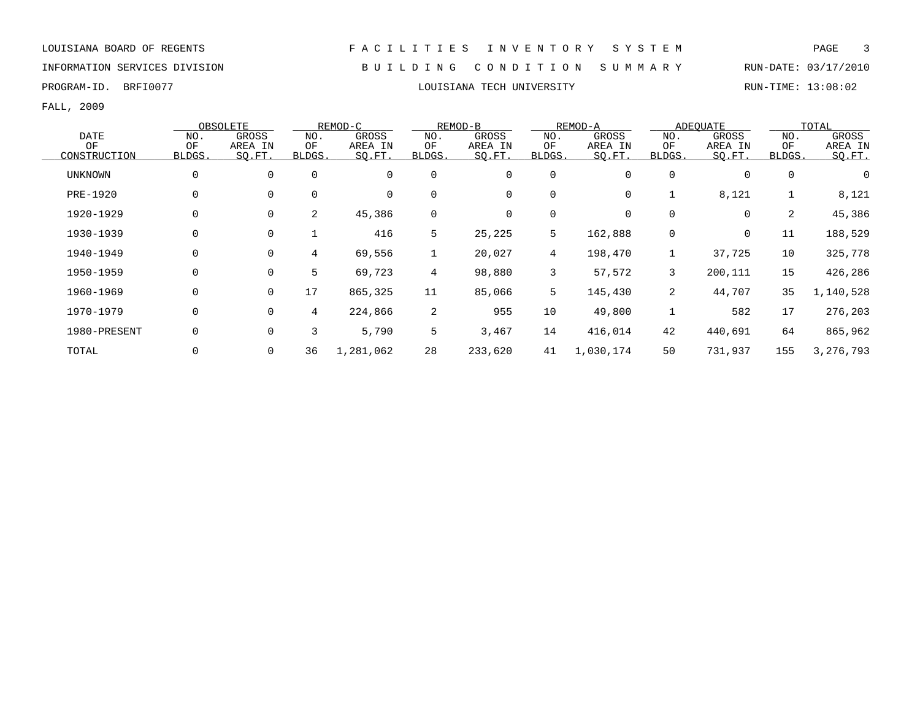INFORMATION SERVICES DIVISION B U I L D I N G C O N D I T I O N S U M M A R Y RUN-DATE: 03/17/2010

FALL, 2009

|                |                | OBSOLETE    |                | REMOD-C     |              | REMOD-B      |                | REMOD-A   |                | ADEOUATE |             | TOTAL     |
|----------------|----------------|-------------|----------------|-------------|--------------|--------------|----------------|-----------|----------------|----------|-------------|-----------|
| <b>DATE</b>    | NO.            | GROSS       | NO.            | GROSS       | NO.          | GROSS        | NO.            | GROSS     | NO.            | GROSS    | NO.         | GROSS     |
| OF             | OF             | AREA IN     | ΟF             | AREA IN     | ΟF           | AREA IN      | OF             | AREA IN   | ΟF             | AREA IN  | OF          | AREA IN   |
| CONSTRUCTION   | BLDGS.         | SQ.FT.      | BLDGS.         | SQ.FT.      | BLDGS.       | SQ.FT.       | BLDGS.         | SO.FT.    | BLDGS.         | SQ.FT.   | BLDGS.      | SQ.FT.    |
| <b>UNKNOWN</b> | 0              | $\mathbf 0$ | $\Omega$       | $\mathbf 0$ | $\mathbf 0$  | 0            | $\mathbf 0$    | 0         | $\Omega$       | $\Omega$ | $\mathbf 0$ | 0         |
| PRE-1920       | 0              | 0           | $\Omega$       | $\mathbf 0$ | $\mathbf 0$  | 0            | 0              | 0         |                | 8,121    | 1           | 8,121     |
| 1920-1929      | $\overline{0}$ | 0           | $\overline{2}$ | 45,386      | $\mathbf 0$  | $\mathsf{O}$ | $\mathbf 0$    | 0         | 0              | 0        | 2           | 45,386    |
| 1930-1939      | 0              | 0           |                | 416         | 5            | 25,225       | 5              | 162,888   | 0              | 0        | 11          | 188,529   |
| 1940-1949      | $\Omega$       | $\mathbf 0$ | 4              | 69,556      | $\mathbf{1}$ | 20,027       | $\overline{4}$ | 198,470   |                | 37,725   | 10          | 325,778   |
| 1950-1959      | 0              | 0           | 5              | 69,723      | 4            | 98,880       | 3              | 57,572    | 3              | 200,111  | 15          | 426,286   |
| 1960-1969      | 0              | 0           | 17             | 865,325     | 11           | 85,066       | 5              | 145,430   | $\overline{2}$ | 44,707   | 35          | 1,140,528 |
| 1970-1979      | 0              | 0           | 4              | 224,866     | 2            | 955          | 10             | 49,800    |                | 582      | 17          | 276,203   |
| 1980-PRESENT   | 0              | 0           | 3              | 5,790       | 5            | 3,467        | 14             | 416,014   | 42             | 440,691  | 64          | 865,962   |
| TOTAL          |                | 0           | 36             | 1,281,062   | 28           | 233,620      | 41             | 1,030,174 | 50             | 731,937  | 155         | 3,276,793 |

PROGRAM-ID. BRFI0077 CHOROSTANA TECH UNIVERSITY CHOROGRAM-ID. BRFI0077 CHOROGRAM-ID. RUN-TIME: 13:08:02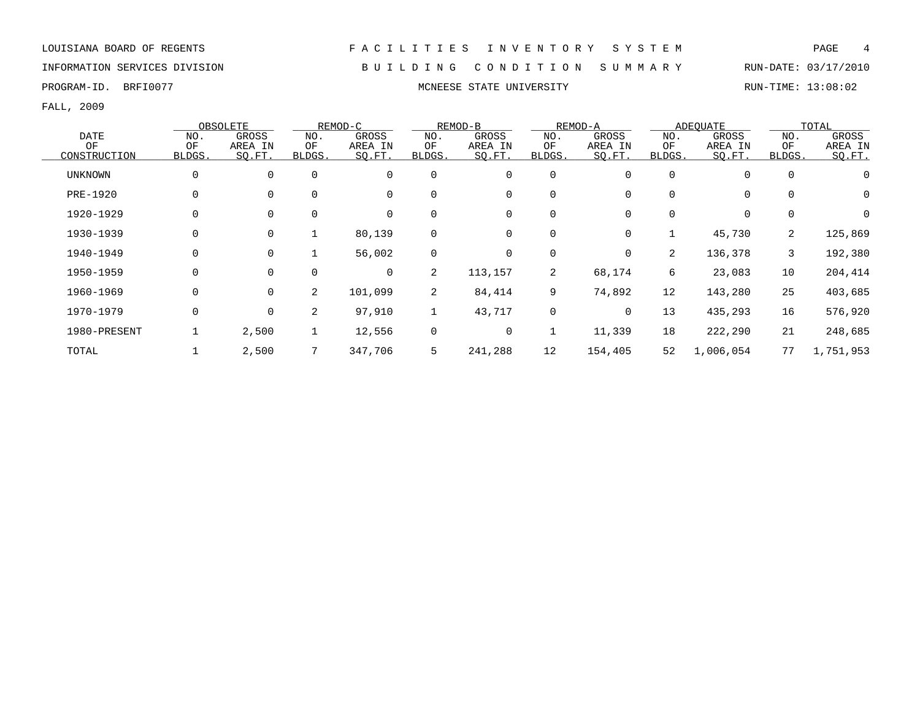INFORMATION SERVICES DIVISION B U I L D I N G C O N D I T I O N S U M M A R Y RUN-DATE: 03/17/2010

PROGRAM-ID. BRFI0077 **MONEESE STATE UNIVERSITY MONEESE STATE UNIVERSITY** RUN-TIME: 13:08:02

|              |             | OBSOLETE    |          | REMOD-C  |             | REMOD-B |             | REMOD-A  |                | ADEOUATE  |          | TOTAL     |
|--------------|-------------|-------------|----------|----------|-------------|---------|-------------|----------|----------------|-----------|----------|-----------|
| <b>DATE</b>  | NO.         | GROSS       | NO.      | GROSS    | NO.         | GROSS   | NO.         | GROSS    | NO.            | GROSS     | NO.      | GROSS     |
| OF           | ΟF          | AREA IN     | ΟF       | AREA IN  | OF          | AREA IN | OF          | AREA IN  | ΟF             | AREA IN   | ΟF       | AREA IN   |
| CONSTRUCTION | BLDGS.      | SQ.FT.      | BLDGS.   | SQ.FT.   | BLDGS.      | SQ.FT.  | BLDGS.      | SQ.FT.   | BLDGS.         | SQ.FT.    | BLDGS.   | SO.FT.    |
| UNKNOWN      | 0           | 0           | $\Omega$ | $\Omega$ | 0           | 0       | $\mathbf 0$ | 0        |                | 0         | 0        | 0         |
| PRE-1920     |             |             | $\Omega$ | $\Omega$ | $\Omega$    | 0       | $\mathbf 0$ | $\Omega$ |                | 0         | $\Omega$ | 0         |
| 1920-1929    |             |             |          |          | $\Omega$    | 0       | $\mathbf 0$ | $\Omega$ |                | 0         | 0        | 0         |
| 1930-1939    |             | 0           |          | 80,139   | 0           | 0       | 0           | 0        |                | 45,730    | 2        | 125,869   |
| 1940-1949    | 0           | $\mathbf 0$ |          | 56,002   | $\mathbf 0$ | 0       | 0           | 0        | $\overline{2}$ | 136,378   | 3        | 192,380   |
| 1950-1959    | 0           | $\Omega$    | $\Omega$ | $\Omega$ | 2           | 113,157 | 2           | 68,174   | 6              | 23,083    | 10       | 204,414   |
| 1960-1969    | O           | $\Omega$    | 2        | 101,099  | 2           | 84,414  | 9           | 74,892   | 12             | 143,280   | 25       | 403,685   |
| 1970-1979    | $\mathbf 0$ | $\mathbf 0$ | 2        | 97,910   |             | 43,717  | 0           | 0        | 13             | 435,293   | 16       | 576,920   |
| 1980-PRESENT |             | 2,500       |          | 12,556   | $\mathbf 0$ | 0       | 1           | 11,339   | 18             | 222,290   | 21       | 248,685   |
| TOTAL        |             | 2,500       |          | 347,706  | 5           | 241,288 | 12          | 154,405  | 52             | 1,006,054 | 77       | 1,751,953 |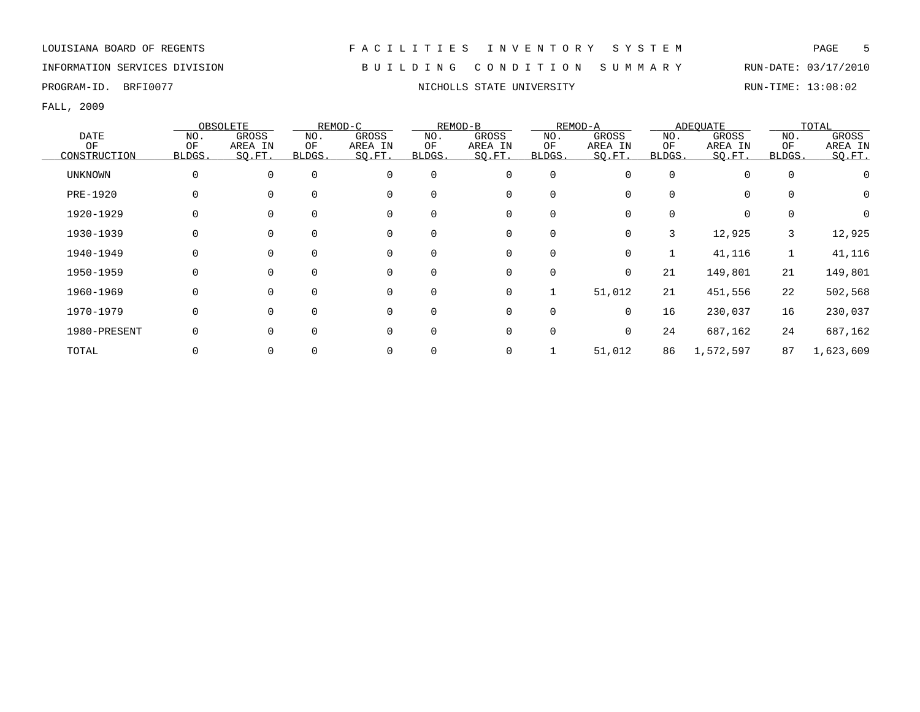INFORMATION SERVICES DIVISION B U I L D I N G C O N D I T I O N S U M M A R Y RUN-DATE: 03/17/2010

FALL, 2009

|                |             | OBSOLETE |              | REMOD-C     |          | REMOD-B     |             | REMOD-A  |        | ADEOUATE  |          | TOTAL            |
|----------------|-------------|----------|--------------|-------------|----------|-------------|-------------|----------|--------|-----------|----------|------------------|
| <b>DATE</b>    | NO.         | GROSS    | NO.          | GROSS       | NO.      | GROSS       | NO.         | GROSS    | NO.    | GROSS     | NO.      | GROSS            |
| OF             | OF          | AREA IN  | OF           | AREA IN     | OF       | AREA IN     | ΟF          | AREA IN  | ΟF     | AREA IN   | OF       | AREA IN          |
| CONSTRUCTION   | BLDGS.      | SQ.FT.   | <b>BLDGS</b> | SQ.FT.      | BLDGS.   | SQ.FT.      | BLDGS.      | SQ.FT.   | BLDGS. | SQ.FT.    | BLDGS.   | SO.FT.           |
| <b>UNKNOWN</b> | $\mathbf 0$ | $\Omega$ | $\Omega$     | $\mathbf 0$ | $\Omega$ | $\mathbf 0$ | $\mathbf 0$ | $\Omega$ |        | 0         | 0        |                  |
| PRE-1920       | 0           |          | $\Omega$     | $\mathbf 0$ |          | 0           | 0           |          |        | 0         | $\Omega$ | 0                |
| 1920-1929      | $\Omega$    |          | $\Omega$     | $\mathbf 0$ |          | 0           | 0           |          | 0      | 0         | $\Omega$ | $\left( \right)$ |
| 1930-1939      | $\Omega$    |          |              | $\mathbf 0$ |          | 0           | 0           | $\Omega$ | 3      | 12,925    | 3        | 12,925           |
| 1940-1949      |             |          | $\Omega$     | $\mathbf 0$ |          | 0           | 0           | 0        |        | 41,116    |          | 41,116           |
| 1950-1959      | 0           | O        |              | $\mathbf 0$ |          | 0           | 0           | 0        | 21     | 149,801   | 21       | 149,801          |
| 1960-1969      | $\Omega$    | $\Omega$ | $\Omega$     | $\mathbf 0$ | $\Omega$ | 0           |             | 51,012   | 21     | 451,556   | 22       | 502,568          |
| 1970-1979      | $\Omega$    | $\Omega$ | $\Omega$     | $\mathbf 0$ | $\Omega$ | $\mathbf 0$ | $\Omega$    | $\Omega$ | 16     | 230,037   | 16       | 230,037          |
| 1980-PRESENT   | $\Omega$    | $\Omega$ | $\Omega$     | $\Omega$    |          | $\mathbf 0$ | $\mathbf 0$ | $\Omega$ | 24     | 687,162   | 24       | 687,162          |
| TOTAL          |             |          |              | $\mathbf 0$ |          | 0           |             | 51,012   | 86     | 1,572,597 | 87       | 1,623,609        |

PROGRAM-ID. BRFI0077 **NICHOLLS STATE UNIVERSITY NICHOLLS STATE UNIVERSITY** RUN-TIME: 13:08:02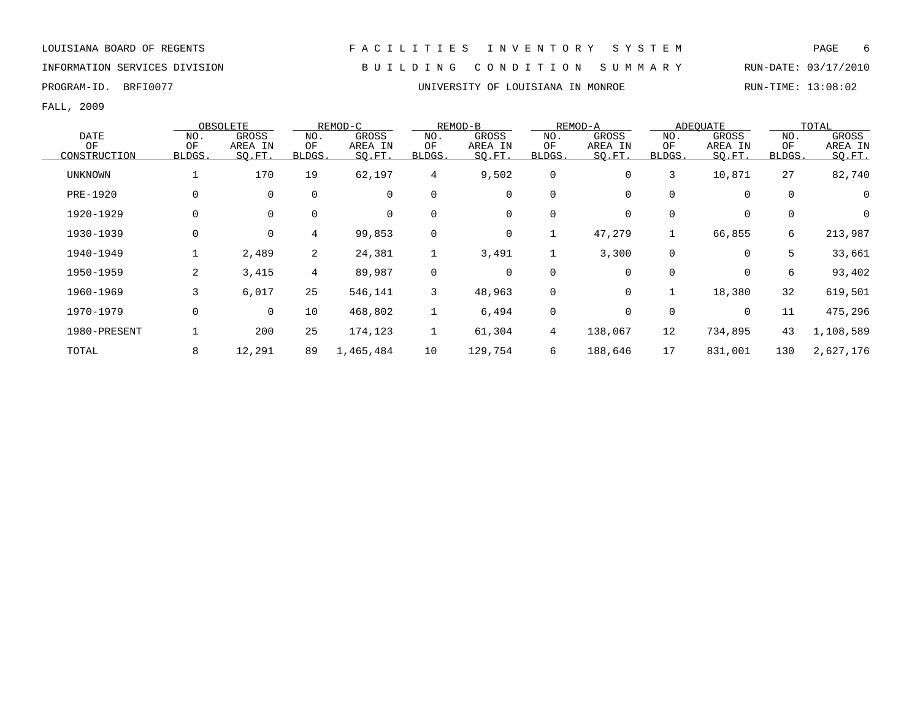### INFORMATION SERVICES DIVISION B U I L D I N G C O N D I T I O N S U M M A R Y RUN-DATE: 03/17/2010

PROGRAM-ID. BRFI0077 **EXECUTE:** 13:08:02

|                |                | OBSOLETE       |                 | REMOD-C     |              | REMOD-B      |              | REMOD-A  |             | ADEOUATE    |             | TOTAL     |
|----------------|----------------|----------------|-----------------|-------------|--------------|--------------|--------------|----------|-------------|-------------|-------------|-----------|
| <b>DATE</b>    | NO.            | GROSS          | NO.             | GROSS       | NO.          | <b>GROSS</b> | NO.          | GROSS    | NO.         | GROSS       | NO.         | GROSS     |
| OF             | OF             | AREA IN        | OF              | AREA IN     | OF           | AREA IN      | OF           | AREA IN  | OF          | AREA IN     | OF          | AREA IN   |
| CONSTRUCTION   | BLDGS.         | SQ.FT.         | BLDGS.          | SQ.FT.      | BLDGS.       | SQ.FT.       | <b>BLDGS</b> | SQ.FT.   | BLDGS.      | SQ.FT.      | BLDGS.      | SO.FT.    |
| <b>UNKNOWN</b> |                | 170            | 19              | 62,197      | 4            | 9,502        | 0            | 0        | 3           | 10,871      | 27          | 82,740    |
| PRE-1920       | 0              | 0              | $\mathbf 0$     | $\mathbf 0$ | $\mathbf 0$  | 0            | 0            | $\Omega$ |             | $\mathbf 0$ | $\mathbf 0$ | 0         |
| 1920-1929      | 0              | 0              | $\mathbf 0$     | 0           | 0            | 0            | 0            | 0        |             | 0           | 0           | 0         |
| 1930-1939      | 0              | $\mathsf{O}$   | $4\overline{ }$ | 99,853      | 0            | 0            | 1            | 47,279   |             | 66,855      | 6           | 213,987   |
| 1940-1949      |                | 2,489          | 2               | 24,381      | $\mathbf{1}$ | 3,491        | 1            | 3,300    | $\mathbf 0$ | $\mathbf 0$ | 5           | 33,661    |
| 1950-1959      | $\overline{2}$ | 3,415          | $4\overline{ }$ | 89,987      | $\mathbf 0$  | $\mathbf 0$  | $\mathsf{O}$ | $\Omega$ |             | $\mathbf 0$ | 6           | 93,402    |
| 1960-1969      | 3              | 6,017          | 25              | 546,141     | 3            | 48,963       | 0            | 0        |             | 18,380      | 32          | 619,501   |
| 1970-1979      | 0              | $\overline{0}$ | 10              | 468,802     | $\mathbf{1}$ | 6,494        | $\mathsf{O}$ | 0        |             | 0           | 11          | 475,296   |
| 1980-PRESENT   |                | 200            | 25              | 174,123     |              | 61,304       | 4            | 138,067  | 12          | 734,895     | 43          | 1,108,589 |
| TOTAL          | 8              | 12,291         | 89              | 1,465,484   | 10           | 129,754      | 6            | 188,646  | 17          | 831,001     | 130         | 2,627,176 |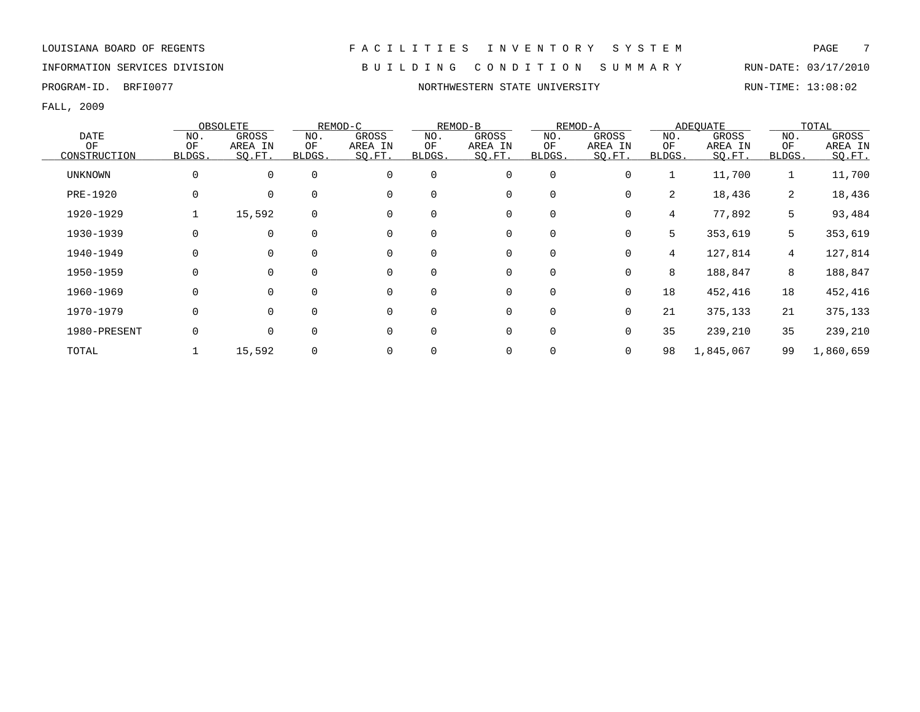### INFORMATION SERVICES DIVISION B U I L D I N G C O N D I T I O N S U M M A R Y RUN-DATE: 03/17/2010

PROGRAM-ID. BRFI0077 NORTHWESTERN STATE UNIVERSITY NORTHWESTERN STATE UNIVERSITY

|                |              | OBSOLETE     |             | REMOD-C     |             | REMOD-B     |             | REMOD-A  |        | ADEOUATE  |                 | TOTAL     |
|----------------|--------------|--------------|-------------|-------------|-------------|-------------|-------------|----------|--------|-----------|-----------------|-----------|
| <b>DATE</b>    | NO.          | <b>GROSS</b> | NO.         | GROSS       | NO.         | GROSS       | NO.         | GROSS    | NO.    | GROSS     | NO.             | GROSS     |
| OF             | OF           | AREA IN      | OF          | AREA IN     | OF          | AREA IN     | OF          | AREA IN  | OF     | AREA IN   | OF              | AREA IN   |
| CONSTRUCTION   | <b>BLDGS</b> | SQ.FT.       | BLDGS.      | SQ.FT.      | BLDGS.      | SQ.FT.      | BLDGS.      | SQ.FT.   | BLDGS. | SO.FT.    | BLDGS.          | SO.FT.    |
| <b>UNKNOWN</b> | $\mathbf 0$  | $\mathbf 0$  | $\mathbf 0$ | $\mathbf 0$ | $\mathbf 0$ | 0           | $\mathbf 0$ | 0        |        | 11,700    | 1               | 11,700    |
| PRE-1920       | 0            | $\Omega$     |             | $\Omega$    | $\Omega$    | 0           | 0           | 0        | 2      | 18,436    | 2               | 18,436    |
| 1920-1929      |              | 15,592       | $\Omega$    | $\Omega$    | $\Omega$    | 0           | 0           | 0        | 4      | 77,892    | 5               | 93,484    |
| 1930-1939      | 0            | 0            |             | 0           | 0           | 0           | 0           | 0        | 5      | 353,619   | 5               | 353,619   |
| 1940-1949      | 0            | $\Omega$     |             | 0           | $\mathbf 0$ | 0           | 0           | 0        | 4      | 127,814   | $4\overline{ }$ | 127,814   |
| 1950-1959      | 0            | $\Omega$     | $\Omega$    | $\Omega$    | $\Omega$    | $\mathbf 0$ | $\mathbf 0$ | $\Omega$ | 8      | 188,847   | 8               | 188,847   |
| 1960-1969      | $\mathbf 0$  | $\Omega$     |             | $\Omega$    | $\Omega$    | $\mathbf 0$ | $\mathbf 0$ | 0        | 18     | 452,416   | 18              | 452,416   |
| 1970-1979      | $\mathbf 0$  | $\Omega$     |             | $\Omega$    | $\mathbf 0$ | 0           | 0           | 0        | 21     | 375,133   | 21              | 375,133   |
| 1980-PRESENT   | 0            | 0            |             | $\Omega$    | $\Omega$    | 0           | 0           | 0        | 35     | 239,210   | 35              | 239,210   |
| TOTAL          |              | 15,592       |             |             |             | 0           | 0           | 0        | 98     | 1,845,067 | 99              | 1,860,659 |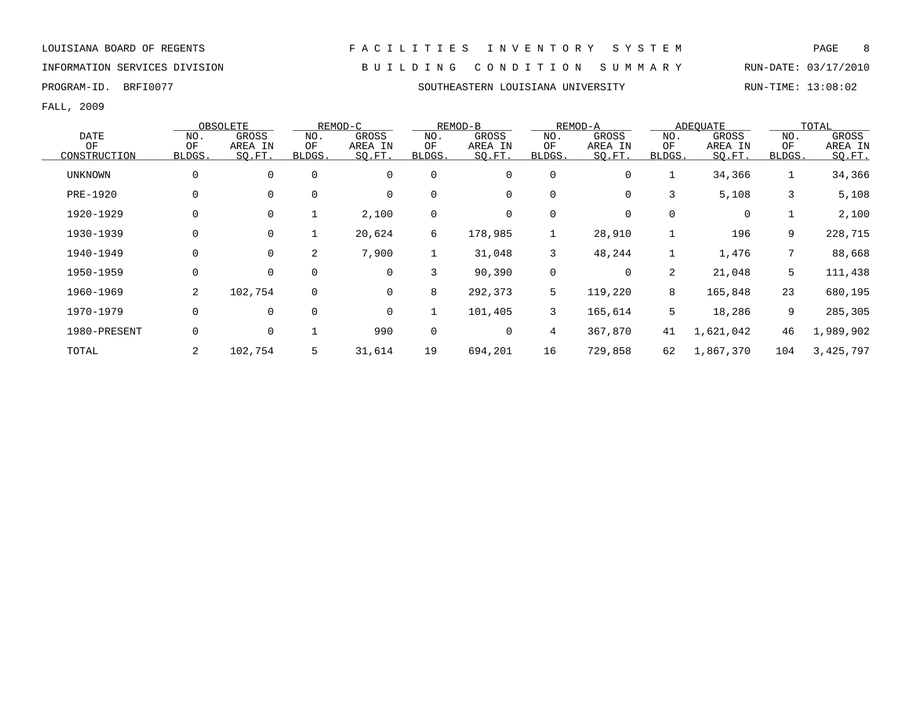### INFORMATION SERVICES DIVISION B U I L D I N G C O N D I T I O N S U M M A R Y RUN-DATE: 03/17/2010

PROGRAM-ID. BRFI0077 SOUTHEASTERN LOUISIANA UNIVERSITY RUN-TIME: 13:08:02

|                |             | OBSOLETE     |                | REMOD-C     |              | REMOD-B |        | REMOD-A |        | ADEOUATE  |                | TOTAL     |
|----------------|-------------|--------------|----------------|-------------|--------------|---------|--------|---------|--------|-----------|----------------|-----------|
| <b>DATE</b>    | NO.         | <b>GROSS</b> | NO.            | GROSS       | NO.          | GROSS   | NO.    | GROSS   | NO.    | GROSS     | NO.            | GROSS     |
| OF             | OF          | AREA IN      | OF             | AREA IN     | OF           | AREA IN | OF     | AREA IN | OF     | AREA IN   | OF             | AREA IN   |
| CONSTRUCTION   | BLDGS.      | SQ.FT.       | BLDGS.         | SO.FT.      | <b>BLDGS</b> | SO.FT.  | BLDGS. | SQ.FT.  | BLDGS. | SQ.FT.    | <b>BLDGS</b>   | SO.FT.    |
| <b>UNKNOWN</b> | $\mathbf 0$ | 0            | $\mathbf 0$    | $\mathbf 0$ | 0            | 0       | 0      | 0       |        | 34,366    | $\mathbf 1$    | 34,366    |
| PRE-1920       | 0           |              | $\mathbf 0$    | $\mathbf 0$ | 0            | 0       | 0      | 0       | 3      | 5,108     | 3              | 5,108     |
| 1920-1929      | $\mathbf 0$ |              |                | 2,100       | 0            | 0       | 0      |         | 0      | 0         |                | 2,100     |
| 1930-1939      | 0           | 0            |                | 20,624      | 6            | 178,985 | 1      | 28,910  |        | 196       | 9              | 228,715   |
| 1940-1949      | 0           | $\mathbf 0$  | $\overline{2}$ | 7,900       | $\mathbf{1}$ | 31,048  | 3      | 48,244  |        | 1,476     | 7              | 88,668    |
| 1950-1959      | $\Omega$    | $\Omega$     | $\Omega$       | $\Omega$    | 3            | 90,390  | 0      | 0       | 2      | 21,048    | 5 <sup>5</sup> | 111,438   |
| 1960-1969      | 2           | 102,754      | $\mathbf 0$    | $\mathbf 0$ | 8            | 292,373 | 5      | 119,220 | 8      | 165,848   | 23             | 680,195   |
| 1970-1979      | $\mathbf 0$ | 0            | $\mathbf 0$    | 0           |              | 101,405 | 3      | 165,614 | 5      | 18,286    | 9              | 285,305   |
| 1980-PRESENT   | $\mathbf 0$ | $\mathbf 0$  |                | 990         | 0            | 0       | 4      | 367,870 | 41     | 1,621,042 | 46             | 1,989,902 |
| TOTAL          | 2           | 102,754      | 5              | 31,614      | 19           | 694,201 | 16     | 729,858 | 62     | 1,867,370 | 104            | 3,425,797 |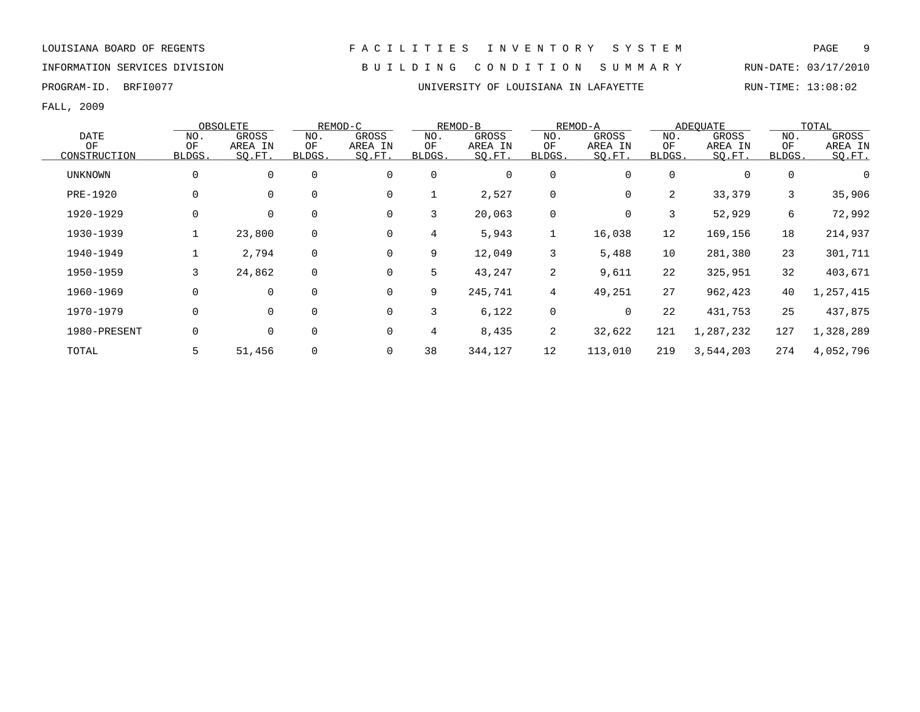LOUISIANA BOARD OF REGENTS F A C I L I T I E S I N V E N T O R Y S Y S T E M PAGE 9 INFORMATION SERVICES DIVISION B U I L D I N G C O N D I T I O N S U M M A R Y RUN-DATE: 03/17/2010

### PROGRAM-ID. BRFI0077 **EXAM-ID.** BRFI0077 **EXAMILY STEAM IN LAFAYETTE** RUN-TIME: 13:08:02

|                |        | OBSOLETE    |             | REMOD-C |             | REMOD-B |                 | REMOD-A  |              | <b>ADEQUATE</b> |             | TOTAL     |
|----------------|--------|-------------|-------------|---------|-------------|---------|-----------------|----------|--------------|-----------------|-------------|-----------|
| <b>DATE</b>    | NO.    | GROSS       | NO.         | GROSS   | NO.         | GROSS   | NO.             | GROSS    | NO.          | GROSS           | NO.         | GROSS     |
| OF             | OF     | AREA IN     | ΟF          | AREA IN | ΟF          | AREA IN | OF              | AREA IN  | OF           | AREA IN         | OF          | AREA IN   |
| CONSTRUCTION   | BLDGS. | SO.FT.      | BLDGS.      | SQ.FT.  | BLDGS.      | SQ.FT.  | BLDGS.          | SQ.FT.   | <b>BLDGS</b> | SQ.FT.          | BLDGS.      | SO.FT.    |
| <b>UNKNOWN</b> | 0      | $\mathbf 0$ | $\mathbf 0$ | 0       | $\mathbf 0$ | 0       | 0               | 0        | $\Omega$     | $\mathbf 0$     | $\mathbf 0$ | 0         |
| PRE-1920       | 0      | 0           | $\mathbf 0$ | 0       |             | 2,527   | 0               | 0        | 2            | 33,379          | 3           | 35,906    |
| 1920-1929      | 0      | 0           | $\mathbf 0$ | 0       | 3           | 20,063  | $\mathbf 0$     | 0        | 3            | 52,929          | 6           | 72,992    |
| 1930-1939      |        | 23,800      | 0           | 0       | 4           | 5,943   | 1               | 16,038   | 12           | 169,156         | 18          | 214,937   |
| 1940-1949      |        | 2,794       | 0           | 0       | 9           | 12,049  | 3               | 5,488    | 10           | 281,380         | 23          | 301,711   |
| 1950-1959      | 3      | 24,862      | $\mathbf 0$ | 0       | 5           | 43,247  | 2               | 9,611    | 22           | 325,951         | 32          | 403,671   |
| 1960-1969      | 0      | $\mathbf 0$ | $\mathbf 0$ | 0       | 9           | 245,741 | $4\overline{ }$ | 49,251   | 27           | 962,423         | 40          | 1,257,415 |
| 1970-1979      | 0      | $\mathbf 0$ | $\Omega$    | 0       | 3           | 6,122   | $\mathbf 0$     | $\Omega$ | 22           | 431,753         | 25          | 437,875   |
| 1980-PRESENT   | 0      | 0           | 0           | 0       | 4           | 8,435   | 2               | 32,622   | 121          | 1,287,232       | 127         | 1,328,289 |
| TOTAL          |        | 51,456      | 0           | 0       | 38          | 344,127 | 12              | 113,010  | 219          | 3,544,203       | 274         | 4,052,796 |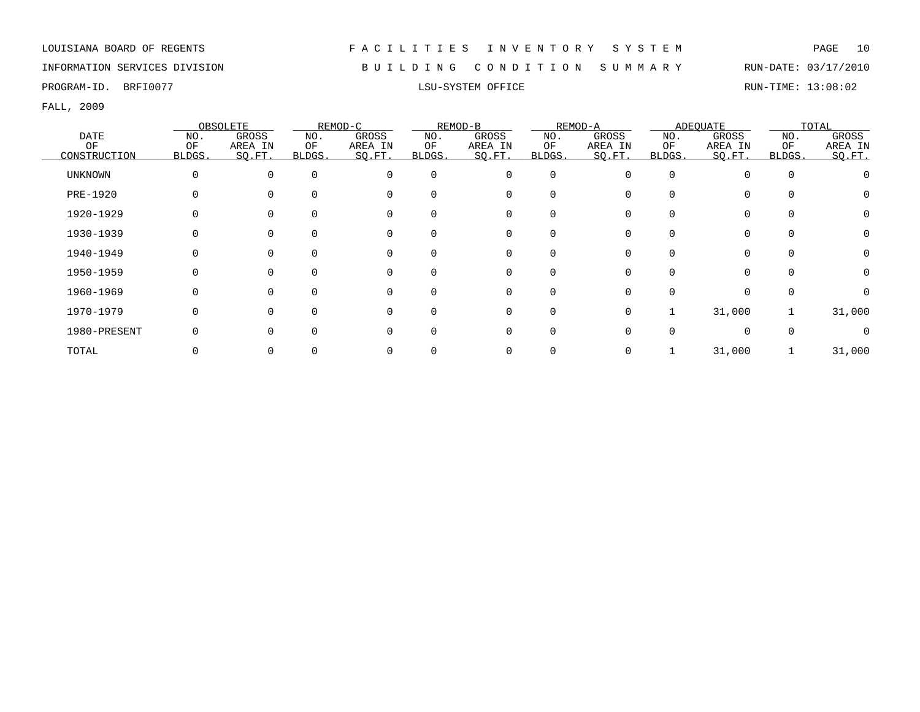INFORMATION SERVICES DIVISION B U I L D I N G C O N D I T I O N S U M M A R Y RUN-DATE: 03/17/2010

PROGRAM-ID. BRFI0077 CHARGE STRUM-TIME: 13:08:02 LSU-SYSTEM OFFICE RUN-TIME: 13:08:02

|                |          | OBSOLETE |          | REMOD-C  |          | REMOD-B  |             | REMOD-A |        | ADEOUATE |          | TOTAL    |
|----------------|----------|----------|----------|----------|----------|----------|-------------|---------|--------|----------|----------|----------|
| DATE           | NO.      | GROSS    | NO.      | GROSS    | NO.      | GROSS    | NO.         | GROSS   | NO.    | GROSS    | NO.      | GROSS    |
| OF             | OF       | AREA IN  | ΟF       | AREA IN  | OF       | AREA IN  | ОF          | AREA IN | ΟF     | AREA IN  | OF       | AREA IN  |
| CONSTRUCTION   | BLDGS.   | SO.FT.   | BLDGS.   | SO.FT.   | BLDGS.   | SO.FT.   | BLDGS.      | SO.FT.  | BLDGS. | SO.FT.   | BLDGS.   | SQ.FT.   |
| <b>UNKNOWN</b> | $\Omega$ | $\Omega$ | $\Omega$ | $\Omega$ | $\Omega$ | 0        | 0           | O       | O      | $\Omega$ | $\Omega$ |          |
| PRE-1920       |          |          |          | $\Omega$ |          | 0        | 0           |         |        |          |          |          |
| 1920-1929      |          |          |          | $\Omega$ |          | 0        | 0           |         |        |          |          | $\Omega$ |
| 1930-1939      |          |          |          | $\Omega$ |          | 0        | $\Omega$    |         |        |          |          | $\Omega$ |
| 1940-1949      |          |          |          | $\Omega$ |          | 0        | 0           |         |        |          |          | $\Omega$ |
| 1950-1959      |          |          |          | 0        |          | 0        | $\mathbf 0$ |         |        |          | $\Omega$ | $\Omega$ |
| 1960-1969      |          |          |          | $\Omega$ |          | 0        | $\Omega$    |         |        |          |          | $\Omega$ |
| 1970-1979      |          |          |          | 0        |          | $\Omega$ | $\Omega$    | 0       |        | 31,000   |          | 31,000   |
| 1980-PRESENT   |          |          |          |          |          | $\Omega$ | $\Omega$    |         |        | $\cap$   |          |          |
| TOTAL          |          |          |          |          |          |          | 0           |         |        | 31,000   |          | 31,000   |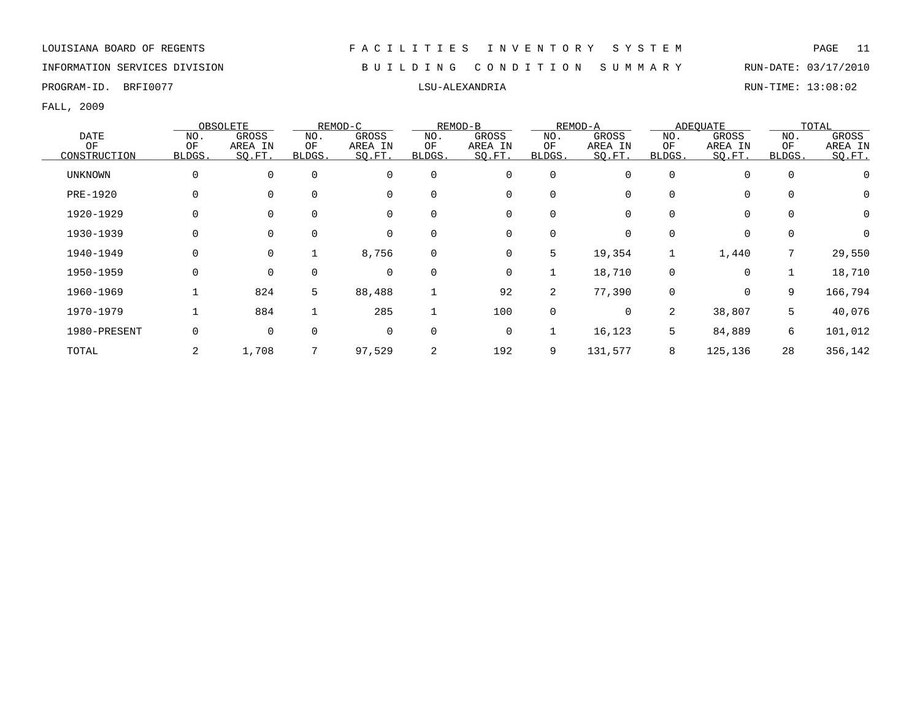INFORMATION SERVICES DIVISION B U I L D I N G C O N D I T I O N S U M M A R Y RUN-DATE: 03/17/2010

PROGRAM-ID. BRFI0077 LSU-ALEXANDRIA RUN-TIME: 13:08:02

|              |        | OBSOLETE     |             | REMOD-C |             | REMOD-B      |             | REMOD-A  |          | ADEOUATE     |             | TOTAL        |
|--------------|--------|--------------|-------------|---------|-------------|--------------|-------------|----------|----------|--------------|-------------|--------------|
| <b>DATE</b>  | NO.    | <b>GROSS</b> | NO.         | GROSS   | NO.         | <b>GROSS</b> | NO.         | GROSS    | NO.      | <b>GROSS</b> | NO.         | <b>GROSS</b> |
| OF           | OF     | AREA IN      | OF          | AREA IN | OF          | AREA IN      | OF          | AREA IN  | OF       | AREA IN      | OF          | AREA IN      |
| CONSTRUCTION | BLDGS. | SQ.FT.       | BLDGS.      | SO.FT.  | BLDGS.      | SO.FT.       | BLDGS.      | SQ.FT.   | BLDGS.   | SO.FT.       | BLDGS.      | SQ.FT.       |
| UNKNOWN      | 0      | 0            | $\mathbf 0$ | 0       | $\mathbf 0$ | 0            | $\mathbf 0$ | 0        |          | $\mathbf 0$  | $\mathbf 0$ |              |
| PRE-1920     | 0      | $\Omega$     | $\mathbf 0$ | 0       | $\Omega$    | 0            | $\mathbf 0$ |          |          | $\mathbf 0$  | $\mathbf 0$ | 0            |
| 1920-1929    | 0      | $\Omega$     | 0           | 0       | $\Omega$    | 0            | 0           |          |          | 0            | 0           | 0            |
| 1930-1939    | 0      | $\mathbf 0$  | 0           | 0       | 0           | 0            | 0           | 0        |          | 0            | 0           | $\Omega$     |
| 1940-1949    | 0      | $\mathbf 0$  |             | 8,756   | $\mathbf 0$ | 0            | 5           | 19,354   |          | 1,440        | 7           | 29,550       |
| 1950-1959    | 0      | $\mathbf 0$  | $\Omega$    | 0       | $\Omega$    | 0            | 1           | 18,710   | $\Omega$ | $\mathbf 0$  |             | 18,710       |
| 1960-1969    |        | 824          | 5           | 88,488  |             | 92           | 2           | 77,390   | $\Omega$ | $\mathbf 0$  | 9           | 166,794      |
| 1970-1979    |        | 884          |             | 285     |             | 100          | 0           | $\Omega$ | 2        | 38,807       | 5           | 40,076       |
| 1980-PRESENT | 0      | $\mathbf 0$  | $\mathbf 0$ | 0       | $\Omega$    | 0            | 1           | 16,123   | 5        | 84,889       | 6           | 101,012      |
| TOTAL        |        | 1,708        |             | 97,529  | 2           | 192          | 9           | 131,577  | 8        | 125,136      | 28          | 356,142      |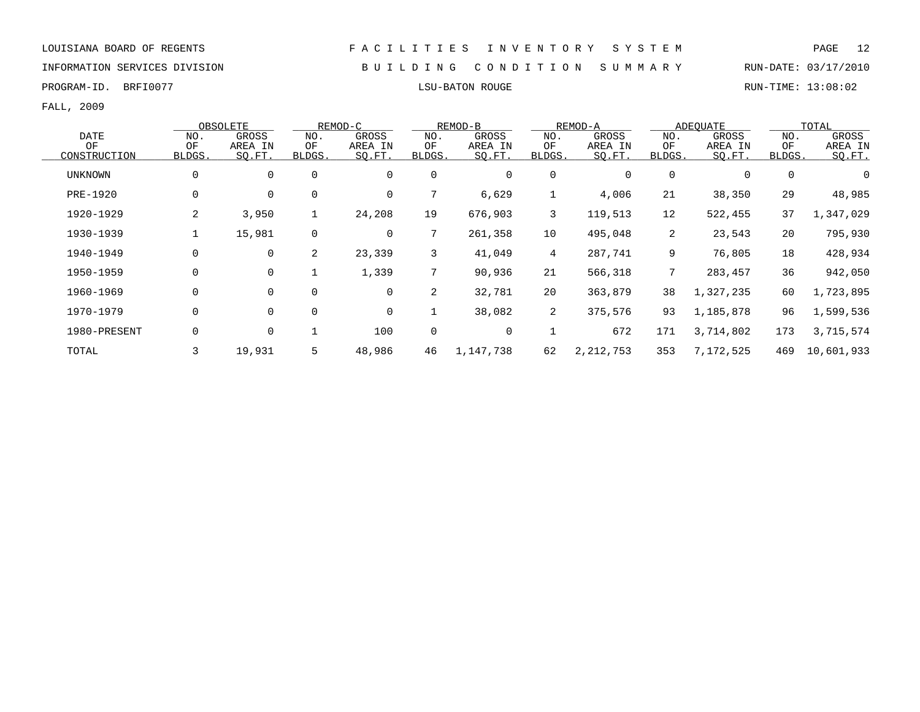INFORMATION SERVICES DIVISION B U I L D I N G C O N D I T I O N S U M M A R Y RUN-DATE: 03/17/2010

PROGRAM-ID. BRFI0077 LSU-BATON ROUGE RUN-TIME: 13:08:02

|                |             | OBSOLETE    |                | REMOD-C     |        | REMOD-B      |                | REMOD-A     |                 | ADEQUATE  |        | TOTAL      |
|----------------|-------------|-------------|----------------|-------------|--------|--------------|----------------|-------------|-----------------|-----------|--------|------------|
| <b>DATE</b>    | NO.         | GROSS       | NO.            | GROSS       | NO.    | GROSS        | NO.            | GROSS       | NO.             | GROSS     | NO.    | GROSS      |
| ΟF             | OF          | AREA IN     | ΟF             | AREA IN     | ΟF     | AREA IN      | ΟF             | AREA IN     | ΟF              | AREA IN   | OF     | AREA IN    |
| CONSTRUCTION   | BLDGS.      | SO.FT.      | BLDGS.         | SQ.FT.      | BLDGS. | SO.FT.       | BLDGS.         | SQ.FT.      | BLDGS.          | SO.FT.    | BLDGS. | SO.FT.     |
| <b>UNKNOWN</b> | $\mathbf 0$ | $\mathbf 0$ | $\mathbf 0$    | $\mathbf 0$ | 0      | $\mathbf 0$  | 0              |             | $\Omega$        | 0         | 0      | 0          |
| PRE-1920       | 0           | $\mathbf 0$ | $\mathbf 0$    | 0           | 7      | 6,629        |                | 4,006       | 21              | 38,350    | 29     | 48,985     |
| 1920-1929      | 2           | 3,950       | $\mathbf 1$    | 24,208      | 19     | 676,903      | 3              | 119,513     | 12              | 522,455   | 37     | 1,347,029  |
| 1930-1939      |             | 15,981      | 0              | 0           | 7      | 261,358      | 10             | 495,048     | 2               | 23,543    | 20     | 795,930    |
| 1940-1949      | 0           | $\mathbf 0$ | $\overline{2}$ | 23,339      | 3      | 41,049       | $\overline{4}$ | 287,741     | 9               | 76,805    | 18     | 428,934    |
| 1950-1959      | $\mathbf 0$ | $\mathbf 0$ |                | 1,339       | 7      | 90,936       | 21             | 566,318     | $7\overline{ }$ | 283,457   | 36     | 942,050    |
| 1960-1969      | $\Omega$    | $\Omega$    | $\Omega$       | $\mathbf 0$ | 2      | 32,781       | 20             | 363,879     | 38              | 1,327,235 | 60     | 1,723,895  |
| 1970-1979      | 0           | $\mathbf 0$ | $\mathbf 0$    | 0           |        | 38,082       | 2              | 375,576     | 93              | 1,185,878 | 96     | 1,599,536  |
| 1980-PRESENT   | 0           | 0           |                | 100         | 0      | $\mathsf{O}$ |                | 672         | 171             | 3,714,802 | 173    | 3,715,574  |
| TOTAL          |             | 19,931      | 5              | 48,986      | 46     | 1,147,738    | 62             | 2, 212, 753 | 353             | 7,172,525 | 469    | 10,601,933 |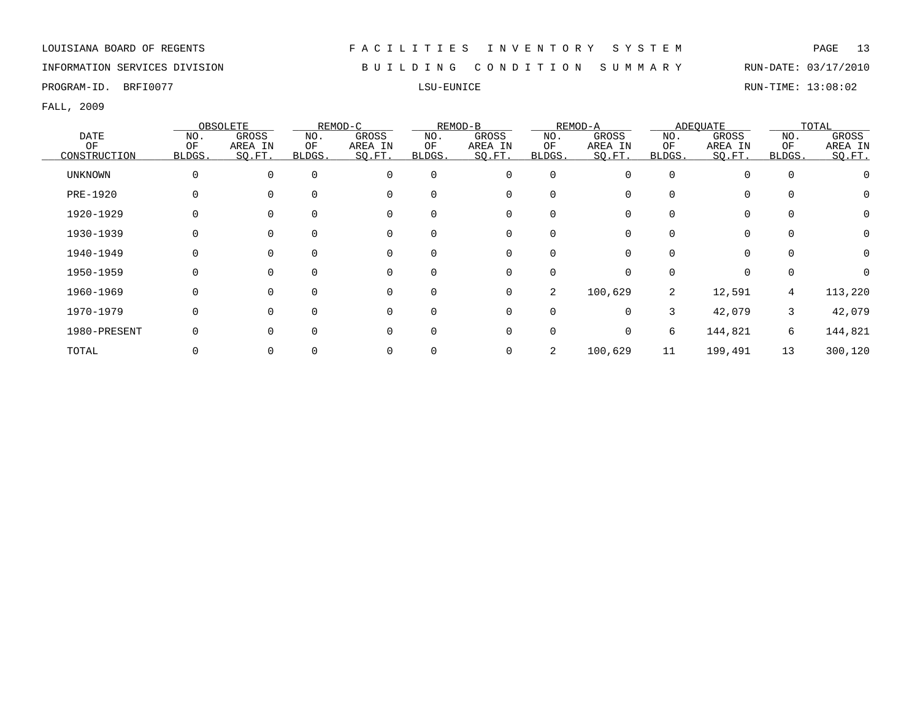### INFORMATION SERVICES DIVISION B U I L D I N G C O N D I T I O N S U M M A R Y RUN-DATE: 03/17/2010

PROGRAM-ID. BRFI0077 LSU-EUNICE RUN-TIME: 13:08:02

|              |          | OBSOLETE |              | REMOD-C  |              | REMOD-B  |             | REMOD-A  |              | ADEQUATE     |          | TOTAL    |
|--------------|----------|----------|--------------|----------|--------------|----------|-------------|----------|--------------|--------------|----------|----------|
| <b>DATE</b>  | NO.      | GROSS    | NO.          | GROSS    | NO.          | GROSS    | NO.         | GROSS    | NO.          | <b>GROSS</b> | NO.      | GROSS    |
| OF           | OF       | AREA IN  | OF           | AREA IN  | OF           | AREA IN  | OF          | AREA IN  | OF           | AREA IN      | OF       | AREA IN  |
| CONSTRUCTION | BLDGS.   | SO.FT.   | <b>BLDGS</b> | SQ.FT.   | <b>BLDGS</b> | SQ.FT.   | BLDGS.      | SQ.FT.   | <b>BLDGS</b> | SQ.FT.       | BLDGS.   | SQ.FT.   |
| UNKNOWN      | $\Omega$ | $\Omega$ | $\Omega$     | 0        | $\Omega$     | 0        | 0           | 0        |              | $\mathbf 0$  | $\Omega$ |          |
| PRE-1920     |          |          | $\Omega$     | $\Omega$ | 0            | 0        | 0           |          |              | $\Omega$     |          |          |
| 1920-1929    |          |          | $\Omega$     | 0        | 0            | 0        | 0           |          |              | $\mathbf 0$  |          | $\Omega$ |
| 1930-1939    |          |          | $\Omega$     | 0        |              | 0        | 0           |          |              | 0            |          | $\Omega$ |
| 1940-1949    |          |          | 0            | 0        | 0            | 0        | 0           |          |              | $\mathbf 0$  | $\Omega$ | 0        |
| 1950-1959    |          | $\Omega$ | $\Omega$     | 0        | $\Omega$     | 0        | 0           |          |              | $\Omega$     |          |          |
| 1960-1969    | 0        | $\Omega$ | $\Omega$     | 0        | $\Omega$     | 0        | 2           | 100,629  | 2            | 12,591       | 4        | 113,220  |
| 1970-1979    | $\Omega$ | $\Omega$ | $\Omega$     | $\Omega$ | $\Omega$     | $\Omega$ | $\Omega$    | $\Omega$ | 3            | 42,079       | 3        | 42,079   |
| 1980-PRESENT |          | $\Omega$ | $\Omega$     | $\Omega$ | 0            | 0        | $\mathbf 0$ | 0        | 6            | 144,821      | 6        | 144,821  |
| TOTAL        |          |          |              | 0        |              | 0        | 2           | 100,629  | 11           | 199,491      | 13       | 300,120  |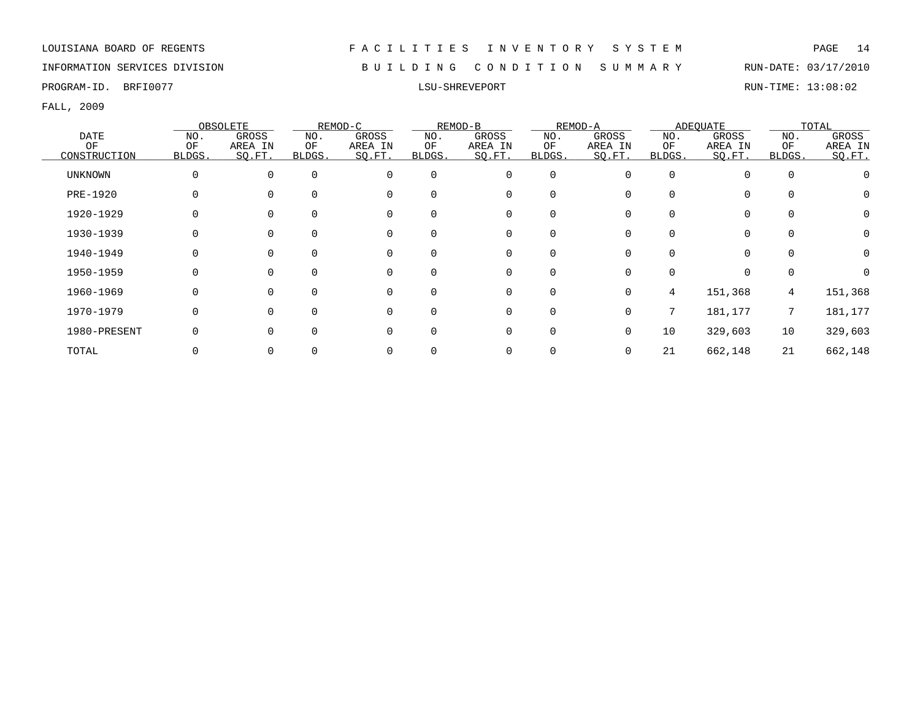INFORMATION SERVICES DIVISION B U I L D I N G C O N D I T I O N S U M M A R Y RUN-DATE: 03/17/2010

FALL, 2009

|                |        | OBSOLETE |        | REMOD-C  |          | REMOD-B     |          | REMOD-A  |          | ADEQUATE     |          | TOTAL    |
|----------------|--------|----------|--------|----------|----------|-------------|----------|----------|----------|--------------|----------|----------|
| <b>DATE</b>    | NO.    | GROSS    | NO.    | GROSS    | NO.      | GROSS       | NO.      | GROSS    | NO.      | <b>GROSS</b> | NO.      | GROSS    |
| OF             | OF     | AREA IN  | OF     | AREA IN  | OF       | AREA IN     | OF       | AREA IN  | OF       | AREA IN      | OF       | AREA IN  |
| CONSTRUCTION   | BLDGS. | SO.FT.   | BLDGS. | SQ.FT.   | BLDGS.   | SO.FT.      | BLDGS.   | SO.FT.   | BLDGS.   | SQ.FT.       | BLDGS.   | SQ.FT.   |
| <b>UNKNOWN</b> | 0      | 0        |        | $\Omega$ | 0        | 0           | 0        | U        | $\Omega$ | $\Omega$     | $\Omega$ |          |
| PRE-1920       |        |          |        | $\Omega$ | $\Omega$ | 0           |          |          | $\Omega$ | $\Omega$     |          |          |
| 1920-1929      | 0      |          |        |          | $\Omega$ | $\mathbf 0$ | $\Omega$ |          |          | $\Omega$     |          | 0        |
| 1930-1939      | 0      |          |        |          |          | 0           |          |          |          | 0            |          | $\Omega$ |
| 1940-1949      |        |          |        |          | 0        | 0           |          |          |          | $\Omega$     |          | 0        |
| 1950-1959      | 0      |          |        |          | $\Omega$ | 0           | $\Omega$ |          |          | $\Omega$     |          |          |
| 1960-1969      | 0      | $\Omega$ |        | $\Omega$ | $\Omega$ | 0           | $\Omega$ | 0        | 4        | 151,368      | 4        | 151,368  |
| 1970-1979      | 0      | $\Omega$ |        | $\Omega$ | $\Omega$ | $\mathbf 0$ | $\Omega$ | $\Omega$ | 7        | 181,177      | 7        | 181,177  |
| 1980-PRESENT   | 0      |          |        |          | $\Omega$ | $\mathbf 0$ | $\Omega$ | 0        | 10       | 329,603      | 10       | 329,603  |
| TOTAL          |        |          |        |          |          | 0           |          |          | 21       | 662,148      | 21       | 662,148  |

PROGRAM-ID. BRFI0077 LSU-SHREVEPORT RUN-TIME: 13:08:02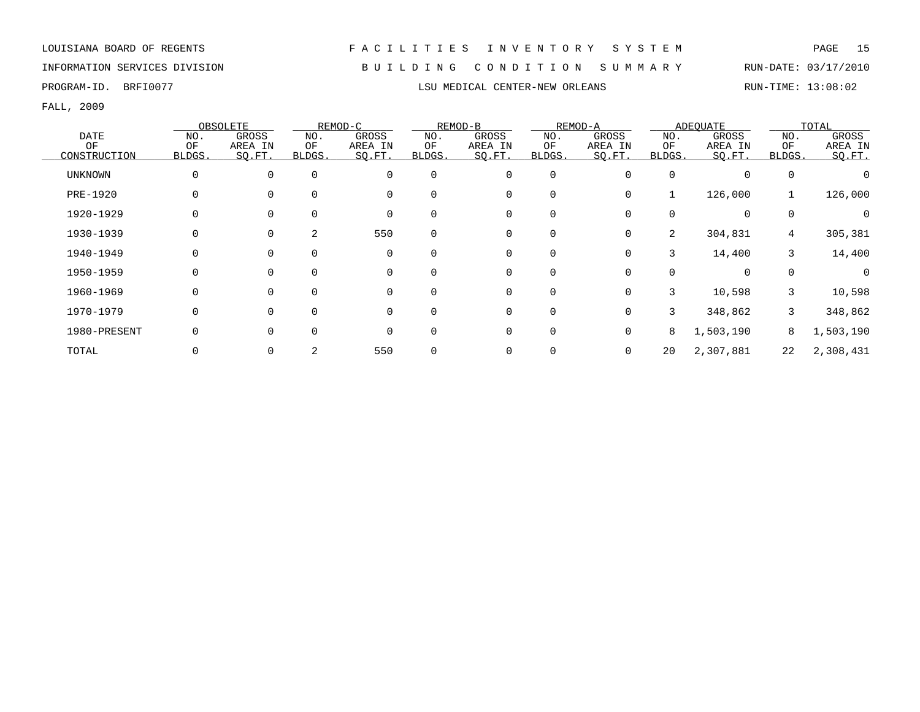# INFORMATION SERVICES DIVISION B U I L D I N G C O N D I T I O N S U M M A R Y RUN-DATE: 03/17/2010

FALL, 2009

|                 |          | OBSOLETE     |          | REMOD-C      |             | REMOD-B      |             | REMOD-A |                | ADEOUATE     |          | TOTAL     |
|-----------------|----------|--------------|----------|--------------|-------------|--------------|-------------|---------|----------------|--------------|----------|-----------|
| <b>DATE</b>     | NO.      | <b>GROSS</b> | NO.      | <b>GROSS</b> | NO.         | <b>GROSS</b> | NO.         | GROSS   | NO.            | <b>GROSS</b> | NO.      | GROSS     |
| OF              | OF       | AREA IN      | OF       | AREA IN      | OF          | AREA IN      | OF          | AREA IN | ΟF             | AREA IN      | OF       | AREA IN   |
| CONSTRUCTION    | BLDGS.   | SO.FT.       | BLDGS.   | SQ.FT.       | BLDGS.      | SQ.FT.       | BLDGS.      | SQ.FT.  | BLDGS.         | SQ.FT.       | BLDGS.   | SQ.FT.    |
| <b>UNKNOWN</b>  | 0        | 0            | $\Omega$ | $\Omega$     | $\mathbf 0$ | 0            | 0           |         | $\Omega$       | $\Omega$     | 0        |           |
| <b>PRE-1920</b> | 0        |              |          |              | $\Omega$    | 0            | $\mathbf 0$ | 0       |                | 126,000      |          | 126,000   |
| 1920-1929       | 0        |              |          | $\Omega$     | $\Omega$    | 0            | 0           |         | 0              | $\Omega$     | $\Omega$ |           |
| 1930-1939       | 0        |              | 2        | 550          | $\Omega$    | 0            | 0           | 0       | $\overline{2}$ | 304,831      | 4        | 305,381   |
| 1940-1949       | $\Omega$ | $\Omega$     |          | $\Omega$     | $\mathbf 0$ | 0            | 0           | 0       | 3              | 14,400       | 3        | 14,400    |
| 1950-1959       | 0        | $\Omega$     |          | $\Omega$     | $\Omega$    | $\mathbf 0$  | $\mathbf 0$ | 0       | O              | $\Omega$     | $\Omega$ | $\Omega$  |
| 1960-1969       | $\Omega$ | $\Omega$     |          | $\Omega$     | $\Omega$    | $\mathbf 0$  | $\mathbf 0$ | 0       | 3              | 10,598       | 3        | 10,598    |
| 1970-1979       | 0        | ∩            |          | $\Omega$     | $\Omega$    | $\mathbf 0$  | $\mathbf 0$ | 0       | 3              | 348,862      | 3        | 348,862   |
| 1980-PRESENT    |          |              |          | $\Omega$     | $\Omega$    | 0            | 0           |         | 8              | 1,503,190    | 8        | 1,503,190 |
| TOTAL           |          |              |          | 550          | $\Omega$    | 0            | 0           |         | 20             | 2,307,881    | 22       | 2,308,431 |

PROGRAM-ID. BRFI0077 **EXECUTER-NEW ORLEANS** LSU MEDICAL CENTER-NEW ORLEANS RUN-TIME: 13:08:02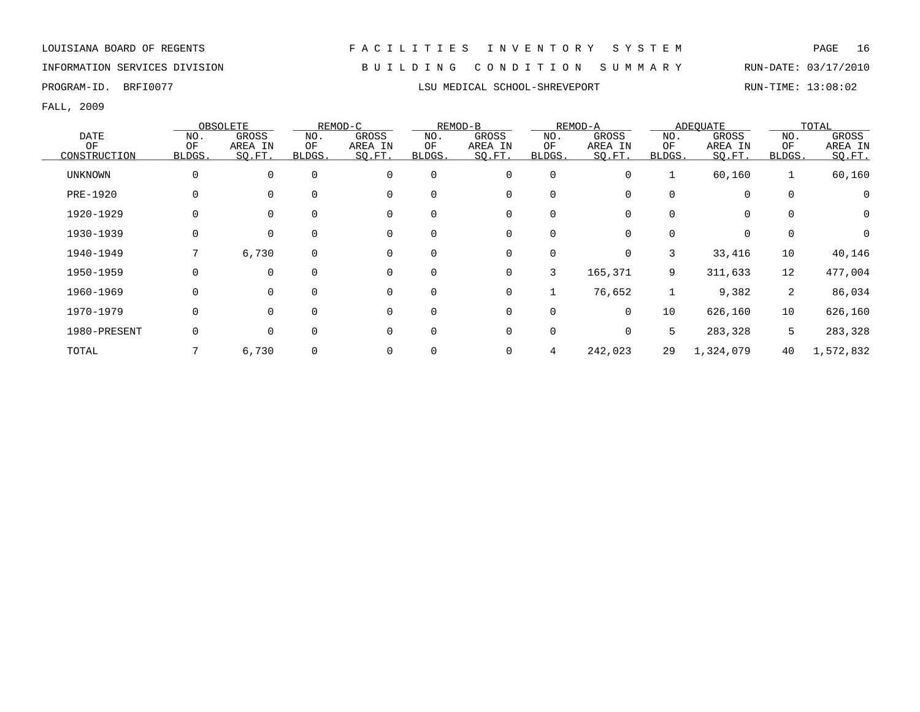# INFORMATION SERVICES DIVISION B U I L D I N G C O N D I T I O N S U M M A R Y RUN-DATE: 03/17/2010

FALL, 2009

|                 |          | OBSOLETE |          | REMOD-C      |          | REMOD-B      |             | REMOD-A  |              | ADEOUATE     |             | TOTAL        |
|-----------------|----------|----------|----------|--------------|----------|--------------|-------------|----------|--------------|--------------|-------------|--------------|
| <b>DATE</b>     | NO.      | GROSS    | NO.      | <b>GROSS</b> | NO.      | GROSS        | NO.         | GROSS    | NO.          | <b>GROSS</b> | NO.         | <b>GROSS</b> |
| OF              | OF       | AREA IN  | ΟF       | AREA IN      | OF       | AREA IN      | OF          | AREA IN  | OF           | AREA IN      | OF          | AREA IN      |
| CONSTRUCTION    | BLDGS.   | SQ.FT.   | BLDGS.   | SQ.FT.       | BLDGS.   | SQ.FT.       | BLDGS.      | SO.FT.   | <b>BLDGS</b> | SQ.FT.       | BLDGS.      | SQ.FT.       |
| <b>UNKNOWN</b>  | $\Omega$ | 0        | $\Omega$ | 0            | 0        | 0            | 0           | 0        |              | 60,160       |             | 60,160       |
| <b>PRE-1920</b> |          | $\Omega$ | $\Omega$ | $\Omega$     | $\Omega$ | 0            | 0           |          | $\Omega$     | $\mathbf 0$  | $\mathbf 0$ |              |
| 1920-1929       |          |          |          | $\Omega$     | $\Omega$ | 0            | $\Omega$    |          | 0            | 0            | $\Omega$    | 0            |
| 1930-1939       | 0        | 0        |          | $\Omega$     | 0        | 0            | 0           |          |              | 0            |             | $\Omega$     |
| 1940-1949       | 7        | 6,730    | 0        | $\Omega$     | 0        | 0            | 0           | 0        | 3            | 33,416       | 10          | 40,146       |
| 1950-1959       | 0        | $\Omega$ | $\Omega$ | $\Omega$     | 0        | $\mathsf{O}$ | 3           | 165,371  | 9            | 311,633      | 12          | 477,004      |
| 1960-1969       |          | $\Omega$ | $\Omega$ | $\Omega$     | $\Omega$ | 0            |             | 76,652   |              | 9,382        | 2           | 86,034       |
| 1970-1979       |          | $\Omega$ | $\cap$   | $\Omega$     | $\Omega$ | 0            | $\Omega$    | $\Omega$ | 10           | 626,160      | 10          | 626,160      |
| 1980-PRESENT    | 0        | $\Omega$ |          | $\Omega$     | $\Omega$ | 0            | $\mathbf 0$ | 0        | 5            | 283,328      | 5           | 283,328      |
| TOTAL           |          | 6,730    |          | $\Omega$     | 0        | 0            | 4           | 242,023  | 29           | 1,324,079    | 40          | 1,572,832    |

PROGRAM-ID. BRFI0077 **LSU MEDICAL SCHOOL-SHREVEPORT** RUN-TIME: 13:08:02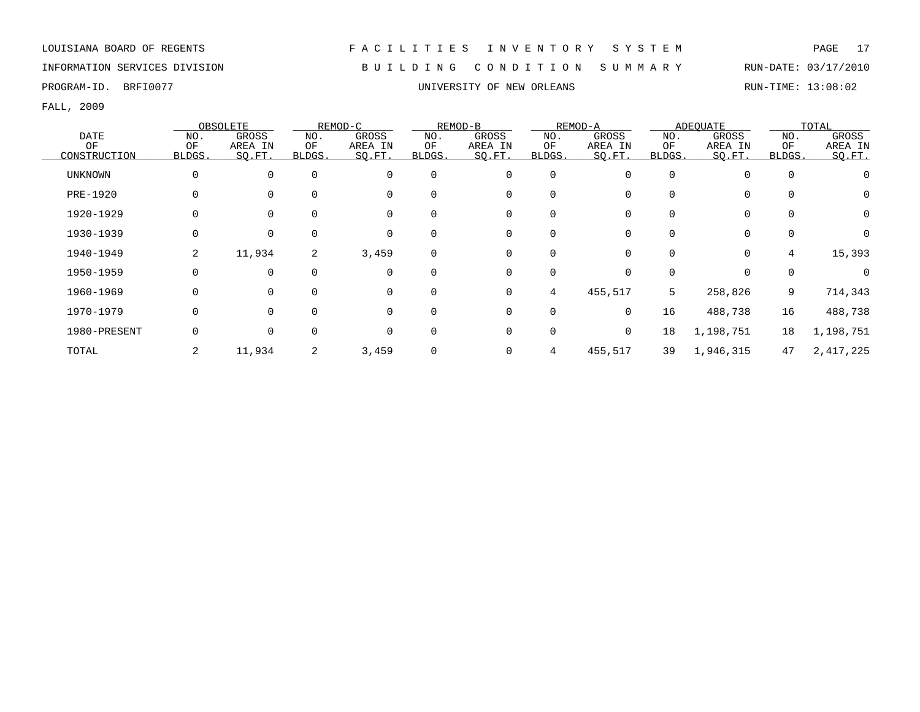PROGRAM-ID. BRFI0077 CROSS CONSULTERT BROOK AND THE SERVICE OF NEW ORLEANS AND RUN-TIME: 13:08:02

FALL, 2009

|                |          | OBSOLETE |                | REMOD-C      |             | REMOD-B |             | REMOD-A  |              | ADEOUATE     |             | TOTAL        |
|----------------|----------|----------|----------------|--------------|-------------|---------|-------------|----------|--------------|--------------|-------------|--------------|
| <b>DATE</b>    | NO.      | GROSS    | NO.            | <b>GROSS</b> | NO.         | GROSS   | NO.         | GROSS    | NO.          | <b>GROSS</b> | NO.         | <b>GROSS</b> |
| OF             | OF       | AREA IN  | ΟF             | AREA IN      | OF          | AREA IN | OF          | AREA IN  | OF           | AREA IN      | OF          | AREA IN      |
| CONSTRUCTION   | BLDGS.   | SQ.FT.   | BLDGS.         | SQ.FT.       | BLDGS.      | SQ.FT.  | BLDGS.      | SO.FT.   | <b>BLDGS</b> | SQ.FT.       | BLDGS.      | SQ.FT.       |
| <b>UNKNOWN</b> | $\Omega$ | 0        | $\Omega$       | $\mathbf 0$  | $\mathbf 0$ | 0       | $\mathbf 0$ | 0        | $\Omega$     | $\mathbf 0$  | $\mathbf 0$ |              |
| PRE-1920       |          |          | $\Omega$       | $\Omega$     | $\Omega$    | 0       | $\Omega$    |          | 0            | $\Omega$     | $\Omega$    |              |
| 1920-1929      |          |          |                | $\Omega$     | $\Omega$    | 0       | $\Omega$    |          | 0            | 0            |             | 0            |
| 1930-1939      | 0        | $\Omega$ |                | $\Omega$     | 0           | 0       | $\Omega$    |          |              | 0            |             |              |
| 1940-1949      | 2        | 11,934   | $\overline{2}$ | 3,459        | 0           | 0       | 0           |          | 0            | $\mathbf 0$  | 4           | 15,393       |
| 1950-1959      | 0        | $\Omega$ | $\Omega$       | 0            | $\Omega$    | 0       | 0           | 0        | $\Omega$     | 0            | $\Omega$    |              |
| 1960-1969      |          | $\Omega$ | $\Omega$       | $\Omega$     | $\Omega$    | 0       | 4           | 455,517  | 5            | 258,826      | 9           | 714,343      |
| 1970-1979      |          | $\Omega$ | $\cap$         | $\Omega$     | $\Omega$    | 0       | $\Omega$    | $\Omega$ | 16           | 488,738      | 16          | 488,738      |
| 1980-PRESENT   |          | $\Omega$ |                | $\Omega$     | 0           | 0       | 0           | 0        | 18           | 1,198,751    | 18          | 1,198,751    |
| TOTAL          | 2        | 11,934   | 2              | 3,459        | 0           | 0       | 4           | 455,517  | 39           | 1,946,315    | 47          | 2, 417, 225  |

# INFORMATION SERVICES DIVISION B U I L D I N G C O N D I T I O N S U M M A R Y RUN-DATE: 03/17/2010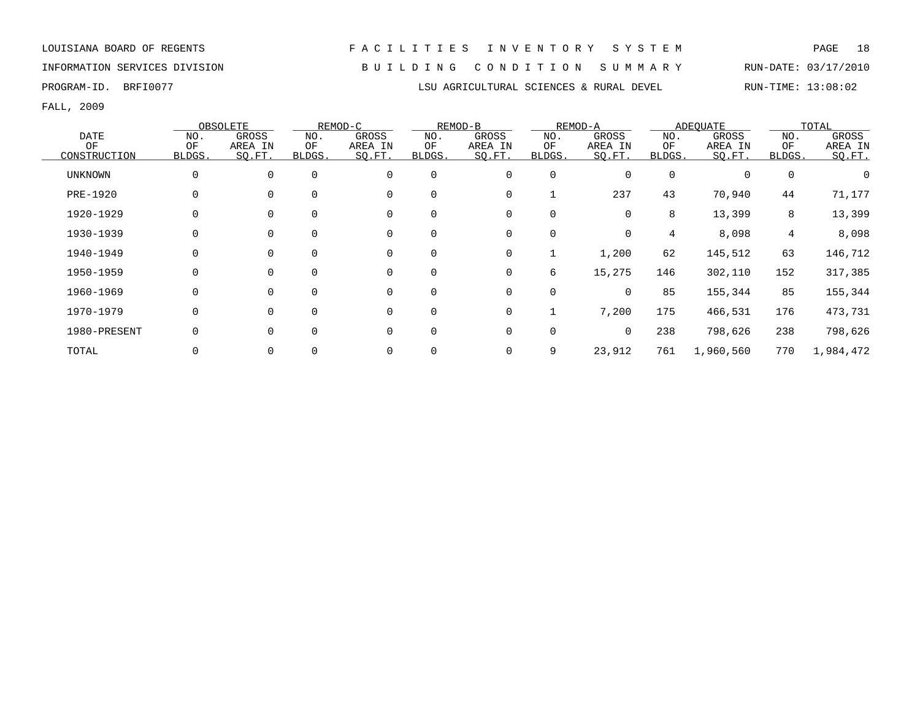INFORMATION SERVICES DIVISION B U I L D I N G C O N D I T I O N S U M M A R Y RUN-DATE: 03/17/2010

### PROGRAM-ID. BRFI0077 **LSU AGRICULTURAL SCIENCES & RURAL DEVEL** RUN-TIME: 13:08:02

|                |             | OBSOLETE |          | REMOD-C     |             | REMOD-B     |             | REMOD-A  |          | <b>ADEOUATE</b> |                | TOTAL     |
|----------------|-------------|----------|----------|-------------|-------------|-------------|-------------|----------|----------|-----------------|----------------|-----------|
| <b>DATE</b>    | NO.         | GROSS    | NO.      | GROSS       | NO.         | GROSS       | NO.         | GROSS    | NO.      | GROSS           | NO.            | GROSS     |
| OF             | OF          | AREA IN  | ΟF       | AREA IN     | ΟF          | AREA IN     | ΟF          | AREA IN  | ΟF       | AREA IN         | OF             | AREA IN   |
| CONSTRUCTION   | BLDGS.      | SO.FT.   | BLDGS.   | SQ.FT.      | BLDGS.      | SO.FT.      | BLDGS.      | SQ.FT.   | BLDGS.   | SQ.FT.          | BLDGS.         | SQ.FT.    |
| <b>UNKNOWN</b> | 0           | 0        | $\Omega$ | $\mathbf 0$ | $\mathbf 0$ | 0           | $\mathbf 0$ | 0        | $\Omega$ |                 | $\mathbf 0$    |           |
| PRE-1920       | 0           | $\Omega$ |          | $\mathbf 0$ | $\Omega$    | 0           | 1           | 237      | 43       | 70,940          | 44             | 71,177    |
| 1920-1929      | 0           | $\Omega$ |          | $\Omega$    | $\Omega$    | 0           | 0           | 0        | 8        | 13,399          | 8              | 13,399    |
| 1930-1939      | 0           | 0        |          | $\mathbf 0$ | $\Omega$    | 0           | 0           | 0        | 4        | 8,098           | $\overline{4}$ | 8,098     |
| 1940-1949      | 0           | 0        |          | $\mathbf 0$ | $\mathbf 0$ | 0           | 1           | 1,200    | 62       | 145,512         | 63             | 146,712   |
| 1950-1959      | 0           | $\Omega$ |          | $\mathbf 0$ | $\Omega$    | 0           | 6           | 15,275   | 146      | 302,110         | 152            | 317,385   |
| 1960-1969      | 0           | $\Omega$ |          | $\mathbf 0$ | $\Omega$    | $\mathbf 0$ | $\mathbf 0$ | $\Omega$ | 85       | 155,344         | 85             | 155,344   |
| 1970-1979      | 0           | $\Omega$ |          | $\mathbf 0$ | $\Omega$    | $\mathbf 0$ | $\mathbf 1$ | 7,200    | 175      | 466,531         | 176            | 473,731   |
| 1980-PRESENT   | $\mathbf 0$ | $\Omega$ |          | $\Omega$    | $\Omega$    | 0           | 0           | 0        | 238      | 798,626         | 238            | 798,626   |
| TOTAL          |             |          |          | $\Omega$    |             | 0           | 9           | 23,912   | 761      | 1,960,560       | 770            | 1,984,472 |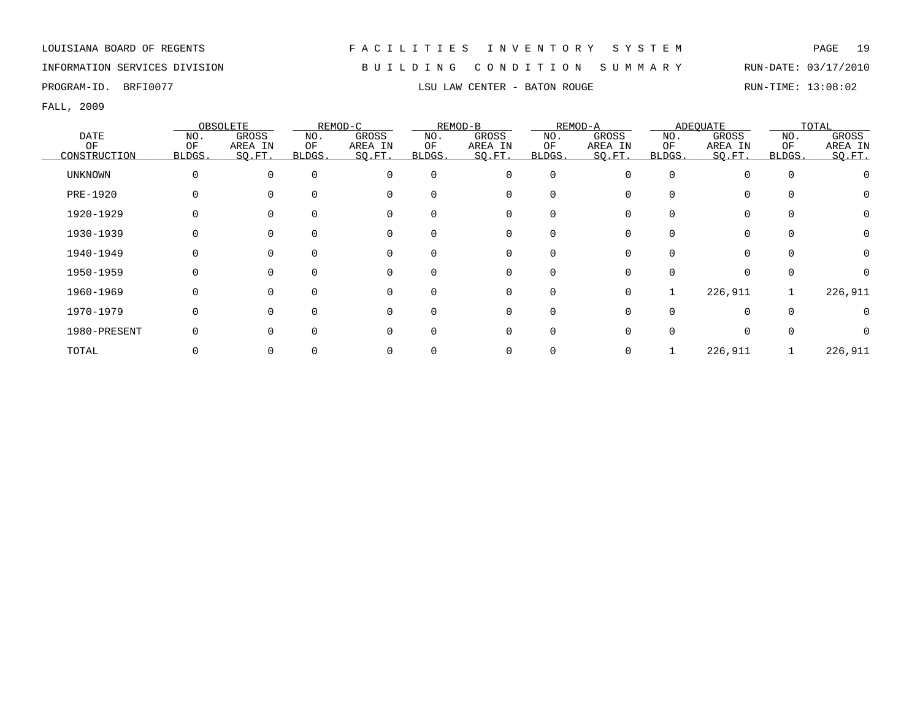# INFORMATION SERVICES DIVISION B U I L D I N G C O N D I T I O N S U M M A R Y RUN-DATE: 03/17/2010

PROGRAM-ID. BRFI0077 **LSU LAW CENTER - BATON ROUGE** RUN-TIME: 13:08:02

|                |          | OBSOLETE |        | REMOD-C  |          | REMOD-B     |             | REMOD-A |          | ADEOUATE    |        | TOTAL    |
|----------------|----------|----------|--------|----------|----------|-------------|-------------|---------|----------|-------------|--------|----------|
| <b>DATE</b>    | NO.      | GROSS    | NO.    | GROSS    | NO.      | GROSS       | NO.         | GROSS   | NO.      | GROSS       | NO.    | GROSS    |
| OF             | OF       | AREA IN  | ΟF     | AREA IN  | ΟF       | AREA IN     | OF          | AREA IN | ΟF       | AREA IN     | OF     | AREA IN  |
| CONSTRUCTION   | BLDGS.   | SQ.FT.   | BLDGS. | SQ.FT.   | BLDGS.   | SQ.FT.      | BLDGS.      | SO.FT.  | BLDGS.   | SQ.FT.      | BLDGS. | SQ.FT.   |
| <b>UNKNOWN</b> | $\Omega$ | 0        |        |          | $\Omega$ | 0           | $\mathbf 0$ |         | $\Omega$ |             |        |          |
| PRE-1920       |          |          |        |          | $\Omega$ | 0           | 0           |         |          | $\Omega$    |        |          |
| 1920-1929      | 0        |          |        |          | $\Omega$ | 0           | $\Omega$    |         |          | $\mathbf 0$ |        | $\Omega$ |
| 1930-1939      |          |          |        |          |          | 0           |             |         |          | 0           |        | 0        |
| 1940-1949      |          |          |        |          | $\Omega$ | 0           | 0           |         |          | $\Omega$    |        |          |
| 1950-1959      |          |          |        | $\Omega$ | $\Omega$ | 0           | $\Omega$    |         |          | $\Omega$    |        |          |
| 1960-1969      | O        | 0        |        | $\Omega$ | $\Omega$ | 0           | $\mathbf 0$ | 0       |          | 226,911     |        | 226,911  |
| 1970-1979      | O        | U        |        | $\Omega$ | $\Omega$ | $\mathbf 0$ | $\Omega$    |         |          | $\Omega$    |        |          |
| 1980-PRESENT   | O        |          |        | $\Omega$ | ∩        | $\Omega$    | $\Omega$    |         |          | $\Omega$    |        |          |
| TOTAL          |          |          |        |          |          | 0           |             |         |          | 226,911     |        | 226,911  |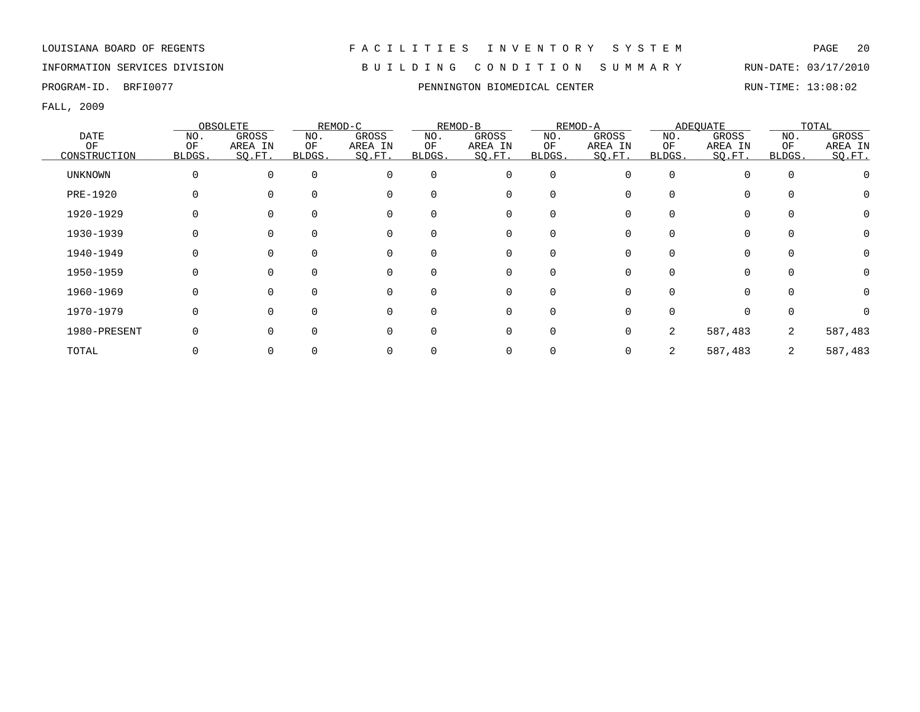# INFORMATION SERVICES DIVISION B U I L D I N G C O N D I T I O N S U M M A R Y RUN-DATE: 03/17/2010

FALL, 2009

|                |        | OBSOLETE     |                | REMOD-C  |              | REMOD-B      |          | REMOD-A |        | ADEOUATE     |             | TOTAL        |
|----------------|--------|--------------|----------------|----------|--------------|--------------|----------|---------|--------|--------------|-------------|--------------|
| <b>DATE</b>    | NO.    | <b>GROSS</b> | NO.            | GROSS    | NO.          | <b>GROSS</b> | NO.      | GROSS   | NO.    | <b>GROSS</b> | NO.         | <b>GROSS</b> |
| OF             | OF     | AREA IN      | OF             | AREA IN  | OF           | AREA IN      | OF       | AREA IN | OF     | AREA IN      | OF          | AREA IN      |
| CONSTRUCTION   | BLDGS. | SO.FT.       | BLDGS.         | SQ.FT.   | <b>BLDGS</b> | SQ.FT.       | BLDGS.   | SQ.FT.  | BLDGS. | SQ.FT.       | BLDGS.      | SO.FT.       |
| <b>UNKNOWN</b> | O      | 0            | $\overline{0}$ | $\Omega$ | $\mathbf 0$  | 0            | $\Omega$ |         |        |              | $\mathbf 0$ |              |
| PRE-1920       |        |              | $\Omega$       | $\Omega$ | $\Omega$     | 0            |          |         |        |              | $\Omega$    |              |
| 1920-1929      |        |              | $\Omega$       | $\Omega$ | $\Omega$     | 0            |          |         |        |              | $\Omega$    | 0            |
| 1930-1939      |        |              |                | 0        | 0            | 0            |          |         |        |              |             | 0            |
| 1940-1949      |        |              | $\Omega$       | 0        | 0            | 0            |          |         |        |              | 0           | 0            |
| 1950-1959      |        | $\Omega$     | $\Omega$       | 0        | $\Omega$     | 0            |          |         |        |              | $\Omega$    | 0            |
| 1960-1969      |        | $\Omega$     | $\Omega$       | $\Omega$ | $\Omega$     | $\Omega$     |          |         |        |              | $\Omega$    | $\mathbf 0$  |
| 1970-1979      |        |              | $\cap$         | 0        | 0            | $\Omega$     |          |         |        |              | $\Omega$    | <sup>n</sup> |
| 1980-PRESENT   |        | $\Omega$     | $\Omega$       | O        | $\Omega$     | 0            |          |         | 2      | 587,483      | 2           | 587,483      |
| TOTAL          |        |              |                |          |              | 0            |          |         |        | 587,483      | 2           | 587,483      |

### PROGRAM-ID. BRFI0077 **PENNINGTON BIOMEDICAL CENTER** RUN-TIME: 13:08:02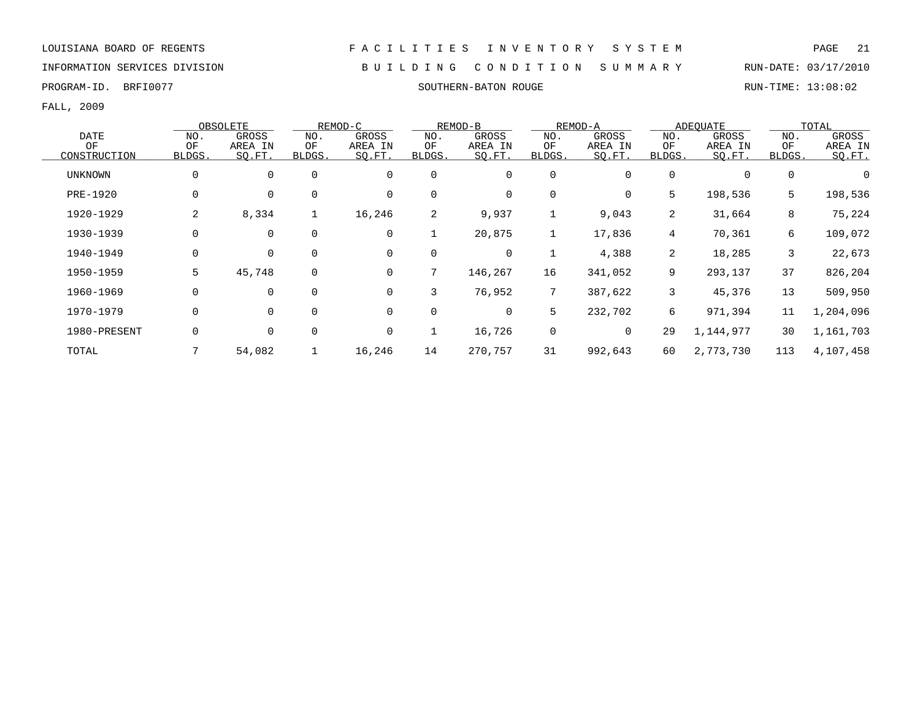INFORMATION SERVICES DIVISION B U I L D I N G C O N D I T I O N S U M M A R Y RUN-DATE: 03/17/2010

PROGRAM-ID. BRFI0077 SOUTHERN-BATON ROUGE RUN-TIME: 13:08:02

|                |             | OBSOLETE    |              | REMOD-C     |        | REMOD-B      |                 | REMOD-A |                | ADEQUATE  |        | TOTAL     |
|----------------|-------------|-------------|--------------|-------------|--------|--------------|-----------------|---------|----------------|-----------|--------|-----------|
| <b>DATE</b>    | NO.         | GROSS       | NO.          | GROSS       | NO.    | GROSS        | NO.             | GROSS   | NO.            | GROSS     | NO.    | GROSS     |
| ΟF             | OF          | AREA IN     | ΟF           | AREA IN     | ΟF     | AREA IN      | ΟF              | AREA IN | ΟF             | AREA IN   | OF     | AREA IN   |
| CONSTRUCTION   | BLDGS.      | SO.FT.      | BLDGS.       | SQ.FT.      | BLDGS. | SO.FT.       | BLDGS.          | SQ.FT.  | BLDGS.         | SO.FT.    | BLDGS. | SO.FT.    |
| <b>UNKNOWN</b> | $\mathbf 0$ | $\mathbf 0$ | $\Omega$     | $\mathbf 0$ | 0      | $\mathbf 0$  | 0               | 0       | $\Omega$       | $\Omega$  | 0      |           |
| PRE-1920       | $\mathbf 0$ | $\mathbf 0$ | $\mathbf 0$  | 0           | 0      | $\mathbf 0$  | 0               | 0       | 5              | 198,536   | 5      | 198,536   |
| 1920-1929      | 2           | 8,334       | $\mathbf{1}$ | 16,246      | 2      | 9,937        |                 | 9,043   | $\overline{2}$ | 31,664    | 8      | 75,224    |
| 1930-1939      | $\mathbf 0$ | $\mathbf 0$ | $\mathbf 0$  | 0           |        | 20,875       | 1               | 17,836  | 4              | 70,361    | 6      | 109,072   |
| 1940-1949      | 0           | $\mathbf 0$ | 0            | 0           | 0      | 0            | 1               | 4,388   | $\overline{2}$ | 18,285    | 3      | 22,673    |
| 1950-1959      | 5           | 45,748      | $\mathbf 0$  | 0           | 7      | 146,267      | 16              | 341,052 | 9              | 293,137   | 37     | 826,204   |
| 1960-1969      | $\Omega$    | $\Omega$    | $\Omega$     | $\Omega$    | 3      | 76,952       | $7\overline{ }$ | 387,622 | 3              | 45,376    | 13     | 509,950   |
| 1970-1979      | 0           | $\mathbf 0$ | $\mathbf 0$  | $\mathbf 0$ | 0      | $\mathsf{O}$ | 5               | 232,702 | б.             | 971,394   | 11     | 1,204,096 |
| 1980-PRESENT   | 0           | 0           | 0            | 0           |        | 16,726       | $\mathbf 0$     | 0       | 29             | 1,144,977 | 30     | 1,161,703 |
| TOTAL          |             | 54,082      |              | 16,246      | 14     | 270,757      | 31              | 992,643 | 60             | 2,773,730 | 113    | 4,107,458 |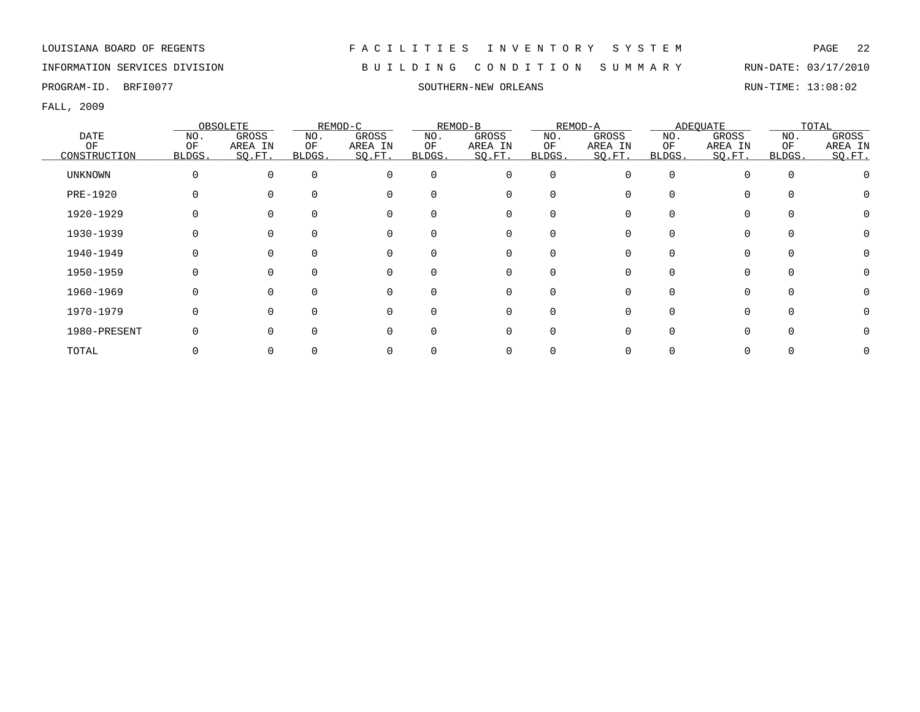INFORMATION SERVICES DIVISION B U I L D I N G C O N D I T I O N S U M M A R Y RUN-DATE: 03/17/2010

PROGRAM-ID. BRFI0077 SOUTHERN-NEW ORLEANS SOUTHERN-NEW ORLEANS RUN-TIME: 13:08:02

|              |        | OBSOLETE     |        | REMOD-C  |          | REMOD-B  |             | REMOD-A |              | ADEQUATE |          | TOTAL   |
|--------------|--------|--------------|--------|----------|----------|----------|-------------|---------|--------------|----------|----------|---------|
| DATE         | NO.    | <b>GROSS</b> | NO.    | GROSS    | NO.      | GROSS    | NO.         | GROSS   | NO.          | GROSS    | NO.      | GROSS   |
| OF           | OF     | AREA IN      | ΟF     | AREA IN  | ΟF       | AREA IN  | ОF          | AREA IN | ΟF           | AREA IN  | OF       | AREA IN |
| CONSTRUCTION | BLDGS. | SO.FT.       | BLDGS. | SO.FT.   | BLDGS.   | SO.FT.   | BLDGS.      | SO.FT.  | BLDGS.       | SO.FT.   | BLDGS.   | SQ.FT.  |
| UNKNOWN      | 0      | $\Omega$     |        | $\Omega$ | $\Omega$ | 0        | $\mathbf 0$ | O       | 0            |          | $\Omega$ |         |
| PRE-1920     |        |              |        |          | $\Omega$ | 0        | $\Omega$    |         |              |          |          |         |
| 1920-1929    |        |              |        |          | $\Omega$ | 0        | $\Omega$    |         |              |          |          |         |
| 1930-1939    |        |              |        |          |          | 0        | O           |         |              |          |          |         |
| 1940-1949    |        |              |        |          |          | 0        | 0           |         |              |          |          |         |
| 1950-1959    |        |              |        |          | $\Omega$ | 0        | 0           |         |              |          |          |         |
| 1960-1969    |        |              |        |          | $\Omega$ | 0        | $\Omega$    |         |              |          |          |         |
| 1970-1979    |        |              |        |          | $\Omega$ | 0        | $\Omega$    |         | <sup>n</sup> |          |          |         |
| 1980-PRESENT |        |              |        |          | ∩        | $\Omega$ | $\Omega$    |         |              |          |          |         |
| TOTAL        |        |              |        |          |          |          |             |         |              |          |          |         |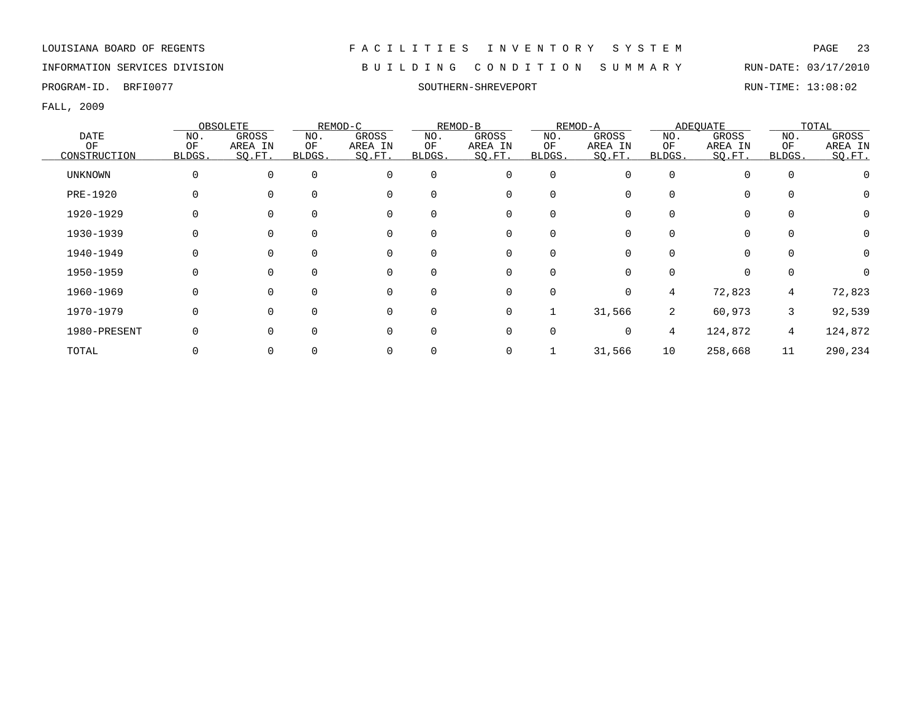### INFORMATION SERVICES DIVISION B U I L D I N G C O N D I T I O N S U M M A R Y RUN-DATE: 03/17/2010

PROGRAM-ID. BRFI0077 SOUTHERN-SHREVEPORT RUN-TIME: 13:08:02

|                |        | OBSOLETE     |          | REMOD-C  |             | REMOD-B     |          | REMOD-A  |                | ADEQUATE |                | TOTAL    |
|----------------|--------|--------------|----------|----------|-------------|-------------|----------|----------|----------------|----------|----------------|----------|
| <b>DATE</b>    | NO.    | <b>GROSS</b> | NO.      | GROSS    | NO.         | GROSS       | NO.      | GROSS    | NO.            | GROSS    | NO.            | GROSS    |
| OF             | OF     | AREA IN      | ΟF       | AREA IN  | OF          | AREA IN     | OF       | AREA IN  | ΟF             | AREA IN  | OF             | AREA IN  |
| CONSTRUCTION   | BLDGS. | SO.FT.       | BLDGS.   | SO.FT.   | BLDGS.      | SO.FT.      | BLDGS.   | SQ.FT.   | BLDGS.         | SO.FT.   | BLDGS.         | SQ.FT.   |
| <b>UNKNOWN</b> | 0      | 0            | $\Omega$ | $\Omega$ | $\mathbf 0$ | 0           | 0        | 0        | $\Omega$       | $\Omega$ | 0              |          |
| PRE-1920       |        | O            |          | $\Omega$ | $\Omega$    | 0           |          |          |                | $\Omega$ | $\Omega$       |          |
| 1920-1929      |        |              |          |          | $\Omega$    | 0           | 0        |          |                | $\Omega$ |                | 0        |
| 1930-1939      | 0      |              |          |          | $\Omega$    | 0           |          |          |                | 0        |                | 0        |
| 1940-1949      | 0      |              |          |          | 0           | 0           |          |          |                | 0        |                | 0        |
| 1950-1959      |        |              |          |          | $\mathbf 0$ | 0           | $\Omega$ |          |                | $\Omega$ | $\Omega$       | $\Omega$ |
| 1960-1969      |        |              |          |          | $\Omega$    | 0           | $\Omega$ | $\Omega$ | 4              | 72,823   | $\overline{4}$ | 72,823   |
| 1970-1979      | O      | $\Omega$     |          | O        | $\Omega$    | $\mathbf 0$ |          | 31,566   | $\overline{2}$ | 60,973   | 3              | 92,539   |
| 1980-PRESENT   | O      |              |          |          | $\Omega$    | 0           | $\Omega$ | $\Omega$ | 4              | 124,872  | $\overline{4}$ | 124,872  |
| TOTAL          |        |              |          |          |             | 0           |          | 31,566   | 10             | 258,668  | 11             | 290,234  |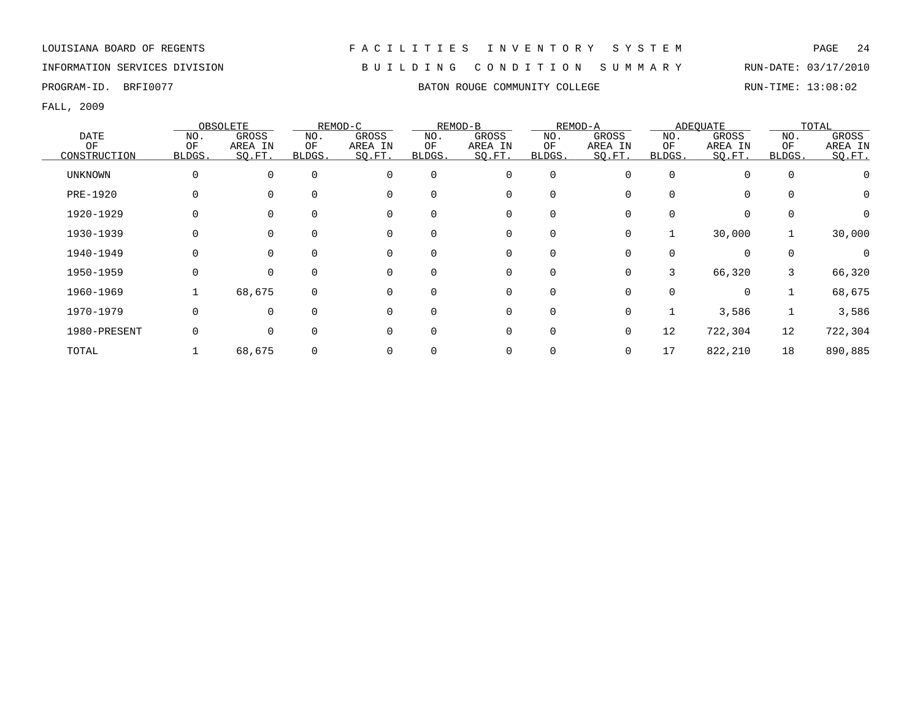# INFORMATION SERVICES DIVISION B U I L D I N G C O N D I T I O N S U M M A R Y RUN-DATE: 03/17/2010

FALL, 2009

|                 |              | OBSOLETE |              | REMOD-C     |          | REMOD-B |             | REMOD-A      |              | ADEOUATE |          | TOTAL    |
|-----------------|--------------|----------|--------------|-------------|----------|---------|-------------|--------------|--------------|----------|----------|----------|
| <b>DATE</b>     | NO.          | GROSS    | NO.          | GROSS       | NO.      | GROSS   | NO.         | GROSS        | NO.          | GROSS    | NO.      | GROSS    |
| ΟF              | ΟF           | AREA IN  | ΟF           | AREA IN     | ΟF       | AREA IN | ΟF          | AREA IN      | ΟF           | AREA IN  | ΟF       | AREA IN  |
| CONSTRUCTION    | BLDGS.       | SQ.FT.   | <b>BLDGS</b> | SQ.FT.      | BLDGS.   | SQ.FT.  | BLDGS.      | SO.FT.       | <b>BLDGS</b> | SO.FT.   | BLDGS.   | SQ.FT.   |
| UNKNOWN         | 0            | $\Omega$ | $\Omega$     | 0           | 0        | 0       | 0           | 0            | $\Omega$     | $\Omega$ | 0        |          |
| <b>PRE-1920</b> |              |          | $\Omega$     | $\Omega$    | $\Omega$ | 0       | $\Omega$    |              |              | $\Omega$ |          | 0        |
| 1920-1929       |              |          | $\Omega$     | $\mathbf 0$ |          | 0       | $\Omega$    |              |              | $\Omega$ |          | 0        |
| 1930-1939       |              |          | 0            | 0           | 0        | 0       | 0           | 0            |              | 30,000   |          | 30,000   |
| 1940-1949       |              | $\Omega$ | $\Omega$     | 0           | 0        | 0       | $\Omega$    | 0            |              | 0        | $\Omega$ | $\Omega$ |
| 1950-1959       | <sup>0</sup> | $\Omega$ | $\Omega$     | 0           | $\Omega$ | 0       | $\Omega$    | 0            | 3            | 66,320   | 3        | 66,320   |
| 1960-1969       |              | 68,675   | $\Omega$     | $\Omega$    | $\Omega$ | 0       | $\Omega$    | <sup>n</sup> |              | $\Omega$ |          | 68,675   |
| 1970-1979       |              | $\Omega$ | $\Omega$     | 0           | $\Omega$ | 0       | 0           | 0            |              | 3,586    |          | 3,586    |
| 1980-PRESENT    |              | $\Omega$ | $\Omega$     | $\Omega$    | 0        | 0       | $\mathbf 0$ | 0            | 12           | 722,304  | 12       | 722,304  |
| TOTAL           |              | 68,675   | 0            | 0           |          | 0       |             | 0            | 17           | 822,210  | 18       | 890,885  |

# PROGRAM-ID. BRFI0077 BATON ROUGE COMMUNITY COLLEGE RUN-TIME: 13:08:02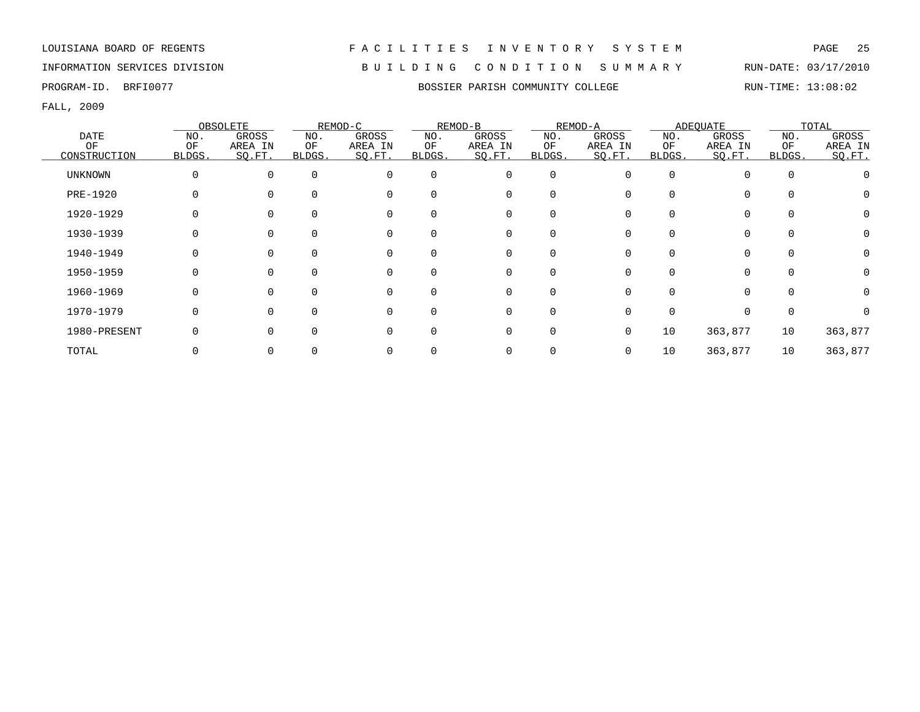# INFORMATION SERVICES DIVISION B U I L D I N G C O N D I T I O N S U M M A R Y RUN-DATE: 03/17/2010

FALL, 2009

|                |        | OBSOLETE     |        | REMOD-C  |          | REMOD-B     |          | REMOD-A |          | ADEQUATE |          | TOTAL    |
|----------------|--------|--------------|--------|----------|----------|-------------|----------|---------|----------|----------|----------|----------|
| DATE           | NO.    | <b>GROSS</b> | NO.    | GROSS    | NO.      | GROSS       | NO.      | GROSS   | NO.      | GROSS    | NO.      | GROSS    |
| OF             | OF     | AREA IN      | OF     | AREA IN  | OF       | AREA IN     | OF       | AREA IN | OF       | AREA IN  | OF       | AREA IN  |
| CONSTRUCTION   | BLDGS. | SO.FT.       | BLDGS. | SQ.FT.   | BLDGS.   | SQ.FT.      | BLDGS.   | SQ.FT.  | BLDGS.   | SQ.FT.   | BLDGS.   | SQ.FT.   |
| <b>UNKNOWN</b> | 0      | $\Omega$     |        | $\Omega$ | $\Omega$ | 0           | $\Omega$ | U       | $\Omega$ | $\Omega$ | $\Omega$ |          |
| PRE-1920       |        |              |        | $\Omega$ | $\Omega$ | 0           |          |         |          | $\Omega$ |          |          |
| 1920-1929      | 0      |              |        |          | $\Omega$ | 0           |          |         |          | $\Omega$ |          |          |
| 1930-1939      |        |              |        |          |          | 0           |          |         |          | $\Omega$ |          |          |
| 1940-1949      |        |              |        |          | 0        | 0           |          |         |          |          |          |          |
| 1950-1959      |        |              |        |          | $\Omega$ | 0           | 0        |         |          | $\Omega$ |          |          |
| 1960-1969      | 0      |              |        |          | $\Omega$ | 0           | $\Omega$ |         |          | $\Omega$ |          | $\Omega$ |
| 1970-1979      | O      |              |        |          | $\Omega$ | $\Omega$    | $\Omega$ |         |          |          |          |          |
| 1980-PRESENT   |        |              |        |          | $\Omega$ | $\mathbf 0$ | $\Omega$ | 0       | 10       | 363,877  | 10       | 363,877  |
| TOTAL          |        |              |        |          |          | 0           |          |         | 10       | 363,877  | 10       | 363,877  |

PROGRAM-ID. BRFI0077 **BOSSIER PARISH COMMUNITY COLLEGE** RUN-TIME: 13:08:02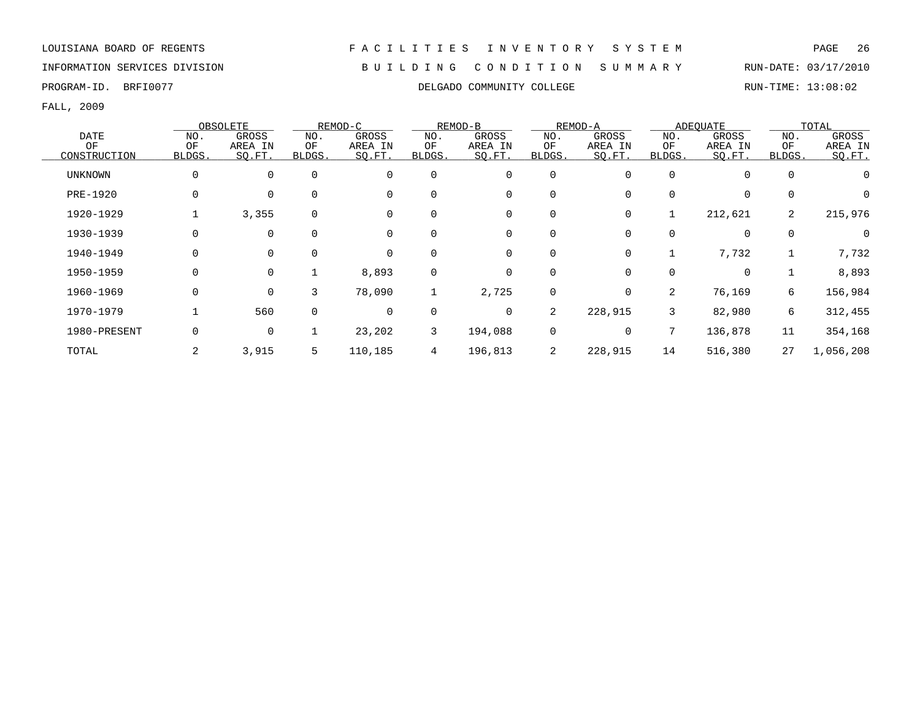### INFORMATION SERVICES DIVISION B U I L D I N G C O N D I T I O N S U M M A R Y RUN-DATE: 03/17/2010

PROGRAM-ID. BRFI0077 COLLEGADO COMMUNITY COLLEGE RUN-TIME: 13:08:02

|                |              | OBSOLETE    |             | REMOD-C      |             | REMOD-B     |             | REMOD-A     |        | ADEOUATE     |             | TOTAL     |
|----------------|--------------|-------------|-------------|--------------|-------------|-------------|-------------|-------------|--------|--------------|-------------|-----------|
| <b>DATE</b>    | NO.          | GROSS       | NO.         | <b>GROSS</b> | NO.         | GROSS       | NO.         | GROSS       | NO.    | GROSS        | NO.         | GROSS     |
| OF             | OF           | AREA IN     | ΟF          | AREA IN      | OF          | AREA IN     | OF          | AREA IN     | OF     | AREA IN      | OF          | AREA IN   |
| CONSTRUCTION   | <b>BLDGS</b> | SQ.FT.      | BLDGS.      | SQ.FT.       | BLDGS.      | SQ.FT.      | BLDGS.      | SQ.FT.      | BLDGS. | SQ.FT.       | BLDGS.      | SQ.FT.    |
| <b>UNKNOWN</b> | 0            | 0           |             | $\mathbf 0$  | $\mathbf 0$ | 0           | $\mathbf 0$ | 0           |        | $\mathbf{0}$ | $\mathbf 0$ |           |
| PRE-1920       | 0            | $\Omega$    |             | $\Omega$     | $\Omega$    | 0           | 0           | $\Omega$    |        | 0            | 0           |           |
| 1920-1929      |              | 3,355       | $\Omega$    |              |             | 0           | 0           | 0           |        | 212,621      | 2           | 215,976   |
| 1930-1939      | 0            | 0           |             | 0            |             | 0           | 0           | 0           | 0      | 0            | $\mathbf 0$ | 0         |
| 1940-1949      | 0            | 0           |             | $\mathbf 0$  | 0           | 0           | 0           | 0           |        | 7,732        |             | 7,732     |
| 1950-1959      | 0            | $\mathbf 0$ |             | 8,893        | $\Omega$    | $\mathbf 0$ | $\mathbf 0$ | $\Omega$    | O      | $\mathbf 0$  |             | 8,893     |
| 1960-1969      | 0            | $\mathbf 0$ | 3           | 78,090       |             | 2,725       | 0           | $\mathbf 0$ | 2      | 76,169       | 6           | 156,984   |
| 1970-1979      |              | 560         | $\mathbf 0$ | 0            | $\mathbf 0$ | 0           | 2           | 228,915     | 3      | 82,980       | 6           | 312,455   |
| 1980-PRESENT   | 0            | $\mathbf 0$ |             | 23,202       | 3           | 194,088     | 0           | 0           | 7      | 136,878      | 11          | 354,168   |
| TOTAL          | 2            | 3,915       | 5           | 110,185      | 4           | 196,813     | 2           | 228,915     | 14     | 516,380      | 27          | 1,056,208 |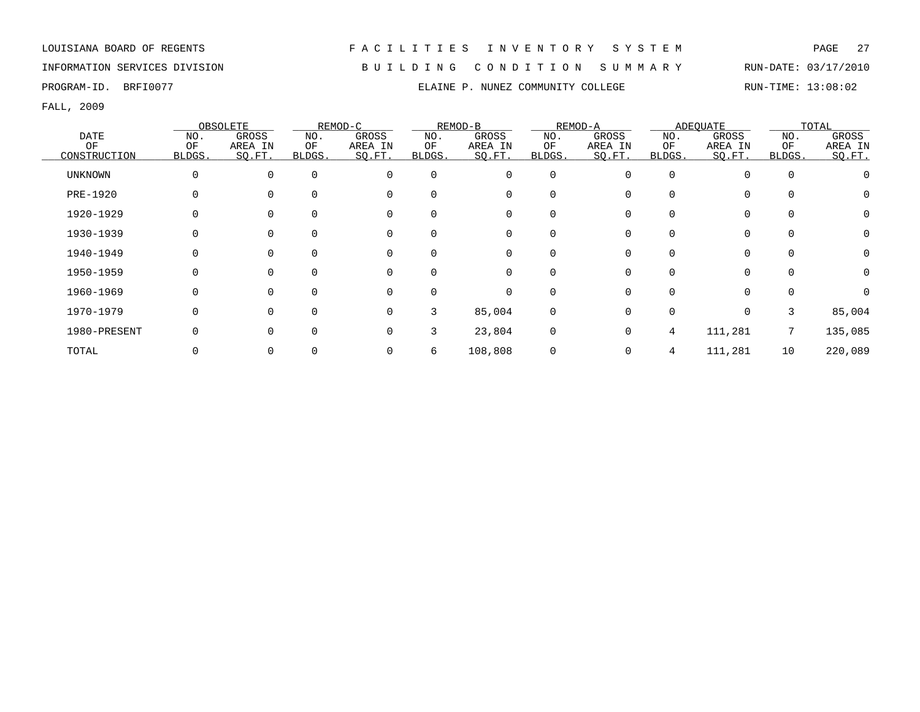INFORMATION SERVICES DIVISION B U I L D I N G C O N D I T I O N S U M M A R Y RUN-DATE: 03/17/2010

FALL, 2009

|                |              | OBSOLETE |              | REMOD-C      |             | REMOD-B      |             | REMOD-A |        | ADEOUATE     |             | TOTAL    |
|----------------|--------------|----------|--------------|--------------|-------------|--------------|-------------|---------|--------|--------------|-------------|----------|
| <b>DATE</b>    | NO.          | GROSS    | NO.          | <b>GROSS</b> | NO.         | <b>GROSS</b> | NO.         | GROSS   | NO.    | <b>GROSS</b> | NO.         | GROSS    |
| OF             | OF           | AREA IN  | ΟF           | AREA IN      | OF          | AREA IN      | OF          | AREA IN | OF     | AREA IN      | OF          | AREA IN  |
| CONSTRUCTION   | BLDGS.       | SO.FT.   | <b>BLDGS</b> | SQ.FT.       | BLDGS.      | SQ.FT.       | BLDGS.      | SO.FT.  | BLDGS. | SQ.FT.       | BLDGS.      | SQ.FT.   |
| <b>UNKNOWN</b> | 0            | $\Omega$ | $\Omega$     | $\mathbf 0$  | $\mathbf 0$ | 0            | 0           | O       | O      | $\Omega$     | $\mathbf 0$ |          |
| PRE-1920       |              |          |              | $\Omega$     | $\Omega$    | 0            | $\mathbf 0$ |         |        | $\Omega$     |             | 0        |
| 1920-1929      | 0            |          |              | $\Omega$     |             | 0            | 0           |         | U      | $\Omega$     | $\Omega$    | 0        |
| 1930-1939      | <sup>0</sup> |          |              | 0            |             | 0            | 0           |         |        | $\Omega$     | 0           | $\Omega$ |
| 1940-1949      |              |          |              | 0            | $\Omega$    | 0            | 0           |         |        | $\Omega$     | 0           | 0        |
| 1950-1959      | 0            | 0        | $\Omega$     | 0            | $\Omega$    | 0            | 0           | O       | O      | $\Omega$     | $\Omega$    | 0        |
| 1960-1969      |              | 0        | $\Omega$     | $\Omega$     | ∩           | 0            | 0           |         | U      | $\Omega$     | $\Omega$    | $\Omega$ |
| 1970-1979      | <sup>0</sup> | 0        | $\Omega$     | $\Omega$     | 3           | 85,004       | 0           | O       | O      | $\Omega$     | 3           | 85,004   |
| 1980-PRESENT   | 0            |          | $\Omega$     | $\mathbf 0$  | 3           | 23,804       | 0           | 0       | 4      | 111,281      | 7           | 135,085  |
| TOTAL          |              |          |              | 0            | 6           | 108,808      | 0           |         | 4      | 111,281      | 10          | 220,089  |

PROGRAM-ID. BRFI0077 **ELAINE P. NUNEZ COMMUNITY COLLEGE** RUN-TIME: 13:08:02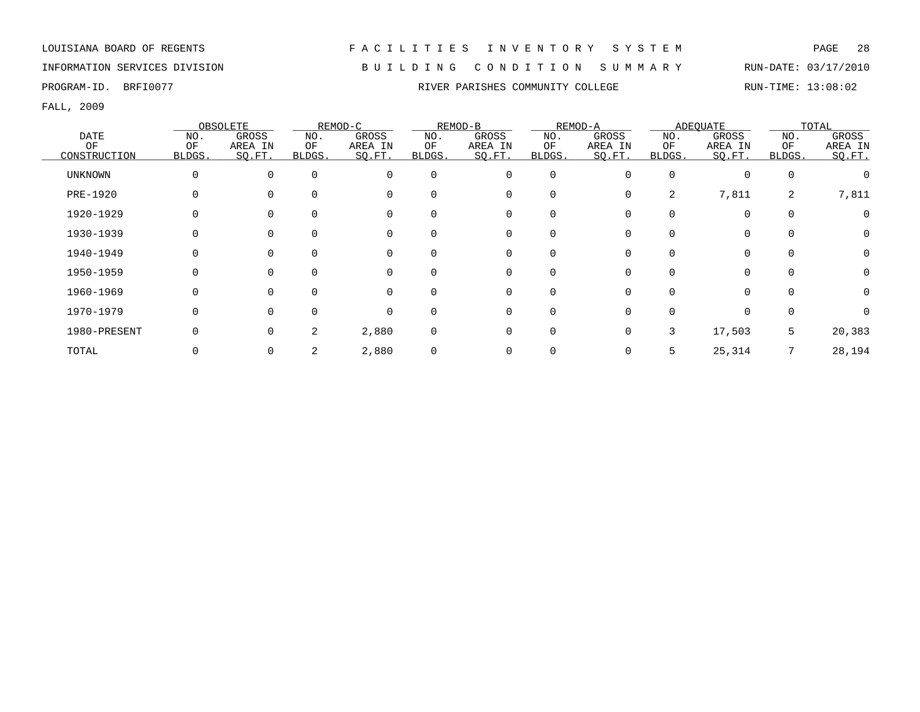# INFORMATION SERVICES DIVISION B U I L D I N G C O N D I T I O N S U M M A R Y RUN-DATE: 03/17/2010

FALL, 2009

|                |        | OBSOLETE     |        | REMOD-C  |             | REMOD-B     |          | REMOD-A |          | ADEQUATE    |          | TOTAL        |
|----------------|--------|--------------|--------|----------|-------------|-------------|----------|---------|----------|-------------|----------|--------------|
| DATE           | NO.    | <b>GROSS</b> | NO.    | GROSS    | NO.         | GROSS       | NO.      | GROSS   | NO.      | GROSS       | NO.      | GROSS        |
| OF             | OF     | AREA IN      | ΟF     | AREA IN  | OF          | AREA IN     | OF       | AREA IN | OF       | AREA IN     | OF       | AREA IN      |
| CONSTRUCTION   | BLDGS. | SO.FT.       | BLDGS. | SO.FT.   | BLDGS.      | SO.FT.      | BLDGS.   | SQ.FT.  | BLDGS.   | SO.FT.      | BLDGS.   | SQ.FT.       |
| <b>UNKNOWN</b> | 0      | 0            |        | $\Omega$ | $\mathbf 0$ | 0           | 0        | U       | $\Omega$ | $\mathbf 0$ | $\Omega$ |              |
| PRE-1920       |        |              |        | $\Omega$ | $\Omega$    | 0           | 0        | 0       | 2        | 7,811       | 2        | 7,811        |
| 1920-1929      | 0      |              |        |          | $\Omega$    | 0           | $\Omega$ |         |          | $\Omega$    |          |              |
| 1930-1939      |        |              |        |          |             | 0           |          |         |          | 0           |          | $\Omega$     |
| 1940-1949      |        |              |        |          | 0           | 0           |          |         |          | 0           |          | 0            |
| 1950-1959      |        |              |        |          | $\Omega$    | 0           | $\Omega$ |         |          | $\Omega$    |          |              |
| 1960-1969      |        |              |        |          | $\Omega$    | 0           | $\Omega$ |         |          | $\Omega$    |          | 0            |
| 1970-1979      | O      | $\Omega$     |        |          | $\Omega$    | 0           | $\Omega$ |         |          | $\Omega$    |          | <sup>n</sup> |
| 1980-PRESENT   | 0      | $\Omega$     | 2      | 2,880    | $\mathbf 0$ | $\mathbf 0$ | $\Omega$ | 0       | 3        | 17,503      | 5        | 20,383       |
| TOTAL          |        |              |        | 2,880    | $\mathbf 0$ | 0           |          |         | 5        | 25,314      |          | 28,194       |

PROGRAM-ID. BRFI0077 **RIVER PARISHES COMMUNITY COLLEGE** RUN-TIME: 13:08:02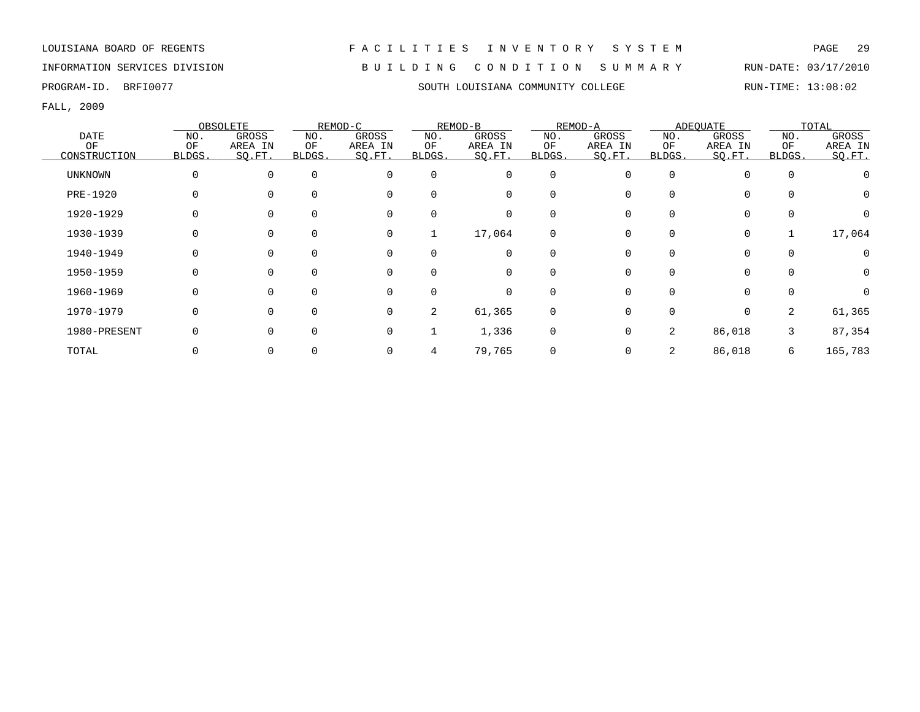# INFORMATION SERVICES DIVISION B U I L D I N G C O N D I T I O N S U M M A R Y RUN-DATE: 03/17/2010

PROGRAM-ID. BRFI0077 SOUTH LOUISIANA COMMUNITY COLLEGE RUN-TIME: 13:08:02

|                |              | OBSOLETE     |          | REMOD-C      |                | REMOD-B     |             | REMOD-A  |        | ADEOUATE     |             | TOTAL       |
|----------------|--------------|--------------|----------|--------------|----------------|-------------|-------------|----------|--------|--------------|-------------|-------------|
| <b>DATE</b>    | NO.          | <b>GROSS</b> | NO.      | <b>GROSS</b> | NO.            | GROSS       | NO.         | GROSS    | NO.    | <b>GROSS</b> | NO.         | GROSS       |
| OF             | OF           | AREA IN      | ΟF       | AREA IN      | OF             | AREA IN     | OF          | AREA IN  | OF     | AREA IN      | OF          | AREA IN     |
| CONSTRUCTION   | <b>BLDGS</b> | SQ.FT.       | BLDGS.   | SQ.FT.       | BLDGS.         | SQ.FT.      | BLDGS.      | SQ.FT.   | BLDGS. | SQ.FT.       | BLDGS.      | SQ.FT.      |
| <b>UNKNOWN</b> | 0            | 0            | $\Omega$ | 0            | 0              | 0           | 0           | $\Omega$ |        | $\Omega$     | $\mathbf 0$ |             |
| PRE-1920       | 0            | $\Omega$     | $\Omega$ | $\mathbf 0$  | $\Omega$       | $\mathbf 0$ | 0           |          |        |              | $\Omega$    | 0           |
| 1920-1929      | 0            |              |          | $\Omega$     | O              | 0           | 0           |          |        | $\Omega$     | $\Omega$    | $\Omega$    |
| 1930-1939      | 0            |              | $\Omega$ | 0            |                | 17,064      | 0           |          |        | 0            |             | 17,064      |
| 1940-1949      | 0            | $\Omega$     |          | 0            | 0              | 0           | 0           |          |        |              | $\mathbf 0$ | 0           |
| 1950-1959      | 0            | $\Omega$     | $\Omega$ | 0            | 0              | $\mathbf 0$ | 0           |          |        | $\Omega$     | $\Omega$    | $\mathbf 0$ |
| 1960-1969      | $\Omega$     | $\Omega$     | $\Omega$ | $\Omega$     | $\Omega$       | 0           | $\Omega$    |          |        | $\Omega$     | $\Omega$    | $\Omega$    |
| 1970-1979      | 0            | $\Omega$     | $\Omega$ | $\Omega$     | $\overline{a}$ | 61,365      | $\mathbf 0$ |          |        | $\Omega$     | 2           | 61,365      |
| 1980-PRESENT   | 0            |              |          | $\Omega$     |                | 1,336       | 0           |          | 2      | 86,018       | 3           | 87,354      |
| TOTAL          |              |              |          | $\Omega$     | 4              | 79,765      | 0           |          |        | 86,018       | 6           | 165,783     |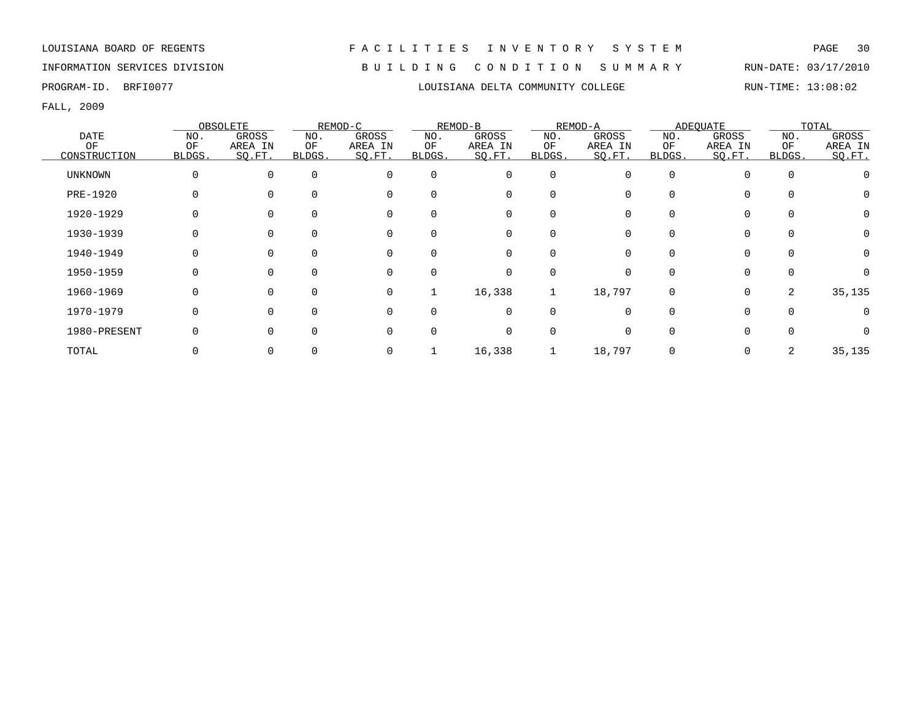# INFORMATION SERVICES DIVISION B U I L D I N G C O N D I T I O N S U M M A R Y RUN-DATE: 03/17/2010

FALL, 2009

|                |              | OBSOLETE |          | REMOD-C  |              | REMOD-B     |          | REMOD-A      |              | ADEOUATE    |        | TOTAL    |
|----------------|--------------|----------|----------|----------|--------------|-------------|----------|--------------|--------------|-------------|--------|----------|
| <b>DATE</b>    | NO.          | GROSS    | NO.      | GROSS    | NO.          | GROSS       | NO.      | GROSS        | NO.          | GROSS       | NO.    | GROSS    |
| OF             | OF           | AREA IN  | ΟF       | AREA IN  | OF           | AREA IN     | OF       | AREA IN      | ΟF           | AREA IN     | OF     | AREA IN  |
| CONSTRUCTION   | <b>BLDGS</b> | SO.FT.   | BLDGS.   | SQ.FT.   | <b>BLDGS</b> | SQ.FT.      | BLDGS.   | SO.FT.       | <b>BLDGS</b> | SQ.FT.      | BLDGS. | SQ.FT.   |
| <b>UNKNOWN</b> | 0            | $\Omega$ |          |          | $\Omega$     | 0           | $\Omega$ | U            | $\Omega$     | $\Omega$    |        |          |
| PRE-1920       |              |          |          | $\Omega$ | $\Omega$     | 0           | $\Omega$ |              |              | $\Omega$    |        |          |
| 1920-1929      | 0            |          |          | $\Omega$ | $\Omega$     | 0           | $\Omega$ |              |              | 0           |        | $\Omega$ |
| 1930-1939      | 0            |          |          |          |              | 0           |          |              |              | 0           |        | $\Omega$ |
| 1940-1949      |              |          |          |          | $\Omega$     | 0           |          |              |              | $\Omega$    |        | $\Omega$ |
| 1950-1959      | 0            |          |          |          | $\Omega$     | 0           | $\Omega$ |              |              | $\Omega$    |        |          |
| 1960-1969      | 0            | $\Omega$ | $\Omega$ | $\Omega$ |              | 16,338      |          | 18,797       | $\Omega$     | $\mathbf 0$ | 2      | 35,135   |
| 1970-1979      | 0            | $\Omega$ |          | $\Omega$ | $\Omega$     | $\mathbf 0$ | $\Omega$ | <sup>n</sup> | <sup>n</sup> | $\Omega$    |        | $\Omega$ |
| 1980-PRESENT   | 0            | $\cap$   |          |          | $\Omega$     | $\mathbf 0$ | $\Omega$ | U            |              | $\Omega$    |        |          |
| TOTAL          |              |          |          |          |              | 16,338      |          | 18,797       |              | $\mathbf 0$ | 2      | 35,135   |

PROGRAM-ID. BRFI0077 LOUISIANA DELTA COMMUNITY COLLEGE RUN-TIME: 13:08:02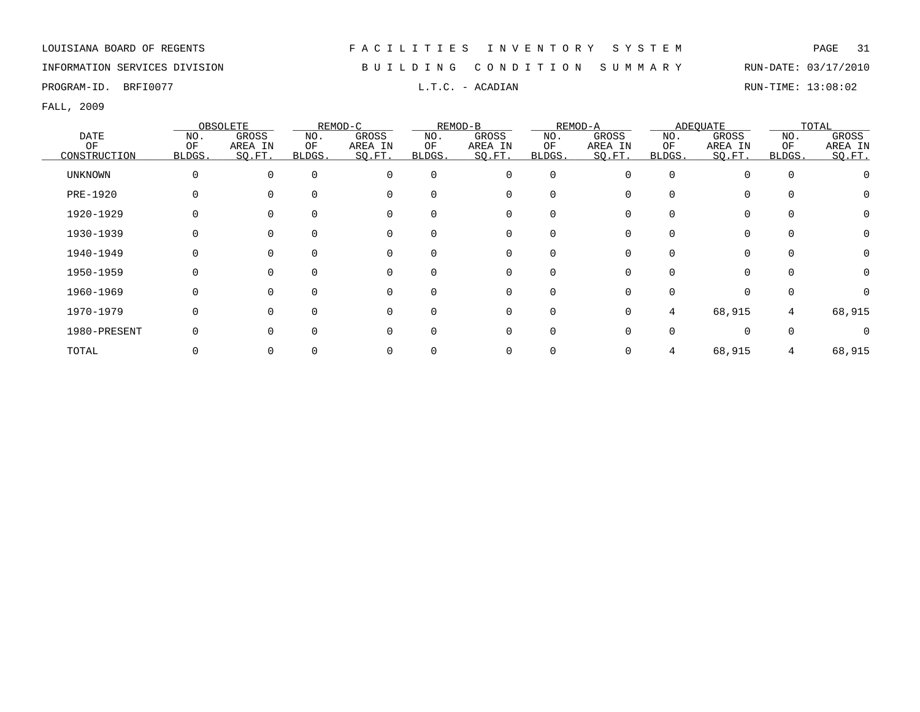# INFORMATION SERVICES DIVISION B U I L D I N G C O N D I T I O N S U M M A R Y RUN-DATE: 03/17/2010

PROGRAM-ID. BRFI0077 **EXAM-ID.** BRFI0077 **RUN-TIME:** 13:08:02

|                 |          | OBSOLETE |              | REMOD-C  |          | REMOD-B  |             | REMOD-A |          | ADEQUATE |          | TOTAL   |
|-----------------|----------|----------|--------------|----------|----------|----------|-------------|---------|----------|----------|----------|---------|
| DATE            | NO.      | GROSS    | NO.          | GROSS    | NO.      | GROSS    | NO.         | GROSS   | NO.      | GROSS    | NO.      | GROSS   |
| OF              | OF       | AREA IN  | OF           | AREA IN  | OF       | AREA IN  | ОF          | AREA IN | ΟF       | AREA IN  | OF       | AREA IN |
| CONSTRUCTION    | BLDGS.   | SO.FT.   | <b>BLDGS</b> | SO.FT.   | BLDGS.   | SO.FT.   | BLDGS.      | SO.FT.  | BLDGS.   | SO.FT.   | BLDGS.   | SQ.FT.  |
| <b>UNKNOWN</b>  | $\Omega$ | $\Omega$ | $\Omega$     | $\Omega$ | $\Omega$ | 0        | 0           |         | $\Omega$ | $\Omega$ | $\Omega$ |         |
| <b>PRE-1920</b> |          |          | $\Omega$     | $\Omega$ |          | 0        | 0           |         |          | $\Omega$ |          |         |
| 1920-1929       |          |          |              | $\Omega$ |          | 0        | 0           |         |          | $\Omega$ |          |         |
| 1930-1939       |          |          |              | 0        |          | 0        | $\Omega$    |         |          | $\Omega$ |          |         |
| 1940-1949       |          |          |              | 0        |          | 0        | 0           |         |          | $\Omega$ |          |         |
| 1950-1959       |          |          |              | 0        |          | 0        | $\mathbf 0$ |         |          |          |          |         |
| 1960-1969       |          |          |              | $\Omega$ |          | 0        | $\Omega$    |         |          |          |          |         |
| 1970-1979       |          | U        | <sup>0</sup> | $\Omega$ |          | $\Omega$ | $\Omega$    | 0       | 4        | 68,915   | 4        | 68,915  |
| 1980-PRESENT    |          |          |              | 0        |          | $\Omega$ | $\Omega$    |         |          | $\cap$   |          |         |
| TOTAL           |          |          |              |          |          |          | 0           |         |          | 68,915   | 4        | 68,915  |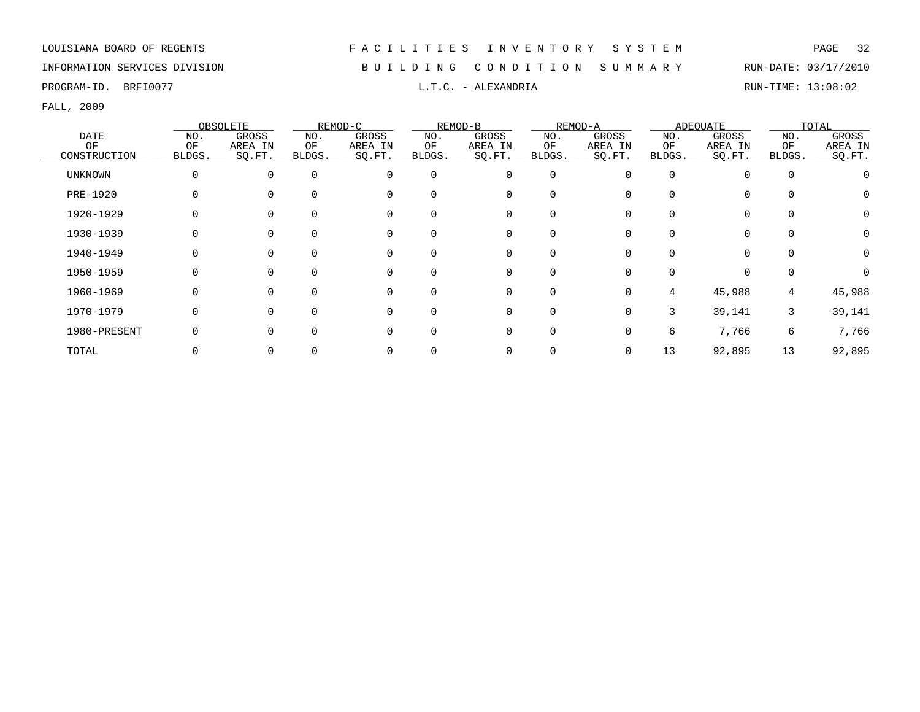# INFORMATION SERVICES DIVISION B U I L D I N G C O N D I T I O N S U M M A R Y RUN-DATE: 03/17/2010

PROGRAM-ID. BRFI0077 **EXELEXANDRIA** L.T.C. - ALEXANDRIA RUN-TIME: 13:08:02

|                |        | OBSOLETE |          | REMOD-C      |          | REMOD-B     |          | REMOD-A  |          | ADEOUATE     |          | TOTAL    |
|----------------|--------|----------|----------|--------------|----------|-------------|----------|----------|----------|--------------|----------|----------|
| <b>DATE</b>    | NO.    | GROSS    | NO.      | <b>GROSS</b> | NO.      | GROSS       | NO.      | GROSS    | NO.      | <b>GROSS</b> | NO.      | GROSS    |
| OF             | OF     | AREA IN  | OF       | AREA IN      | OF       | AREA IN     | OF       | AREA IN  | OF       | AREA IN      | OF       | AREA IN  |
| CONSTRUCTION   | BLDGS. | SQ.FT.   | BLDGS.   | SQ.FT.       | BLDGS.   | SQ.FT.      | BLDGS.   | SO.FT.   | BLDGS.   | SQ.FT.       | BLDGS.   | SQ.FT.   |
| <b>UNKNOWN</b> |        | $\Omega$ | $\Omega$ | $\mathbf 0$  | 0        | 0           | 0        | 0        | $\Omega$ | 0            | $\Omega$ |          |
| PRE-1920       |        |          | $\Omega$ | $\Omega$     |          | 0           | $\Omega$ |          |          | $\Omega$     |          |          |
| 1920-1929      |        |          | $\Omega$ | 0            |          | 0           | $\Omega$ |          |          | 0            |          | $\Omega$ |
| 1930-1939      |        |          |          | $\Omega$     |          | 0           | O        |          |          | 0            |          | $\Omega$ |
| 1940-1949      |        |          | $\Omega$ | 0            | 0        | 0           | 0        |          |          | 0            |          | 0        |
| 1950-1959      |        |          | $\Omega$ | 0            | 0        | 0           | $\Omega$ |          |          | $\Omega$     |          |          |
| 1960-1969      |        |          | $\Omega$ | 0            | $\Omega$ | 0           | $\Omega$ | $\Omega$ | 4        | 45,988       | 4        | 45,988   |
| 1970-1979      |        |          | $\Omega$ | $\Omega$     | 0        | $\mathbf 0$ | $\Omega$ | 0        | 3        | 39,141       | 3        | 39,141   |
| 1980-PRESENT   |        |          | $\Omega$ | $\mathbf 0$  | $\Omega$ | 0           | 0        |          | 6        | 7,766        | 6        | 7,766    |
| TOTAL          |        |          |          | $\Omega$     |          | 0           | 0        |          | 13       | 92,895       | 13       | 92,895   |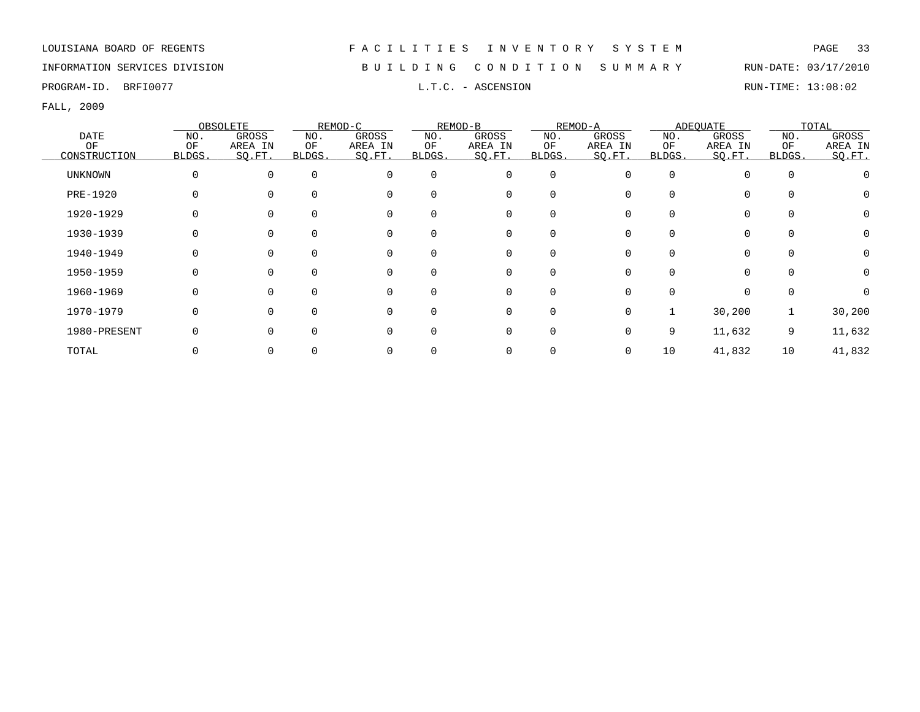INFORMATION SERVICES DIVISION B U I L D I N G C O N D I T I O N S U M M A R Y RUN-DATE: 03/17/2010

PROGRAM-ID. BRFI0077 **EXAM-ID.** BRFI0077 **RUN-TIME:** 13:08:02

|                |          | OBSOLETE     |              | REMOD-C      |          | REMOD-B     |          | REMOD-A |        | ADEQUATE |                | TOTAL   |
|----------------|----------|--------------|--------------|--------------|----------|-------------|----------|---------|--------|----------|----------------|---------|
| <b>DATE</b>    | NO.      | GROSS        | NO.          | <b>GROSS</b> | NO.      | GROSS       | NO.      | GROSS   | NO.    | GROSS    | NO.            | GROSS   |
| OF             | OF       | AREA IN      | OF           | AREA IN      | ΟF       | AREA IN     | OF       | AREA IN | ΟF     | AREA IN  | OF             | AREA IN |
| CONSTRUCTION   | BLDGS.   | SO.FT.       | <b>BLDGS</b> | SO.FT.       | BLDGS.   | SO.FT.      | BLDGS.   | SQ.FT.  | BLDGS. | SQ.FT.   | BLDGS.         | SQ.FT.  |
| <b>UNKNOWN</b> | $\Omega$ | 0            | $\Omega$     | $\mathbf 0$  | $\Omega$ | $\mathbf 0$ | 0        | 0       | 0      |          | $\overline{0}$ |         |
| PRE-1920       |          |              | $\Omega$     | $\Omega$     |          | 0           | $\Omega$ |         |        |          |                |         |
| 1920-1929      |          |              |              | $\mathbf 0$  |          | 0           | $\Omega$ |         |        |          |                |         |
| 1930-1939      |          |              |              | 0            |          |             | $\Omega$ |         |        |          |                | 0       |
| 1940-1949      |          |              |              | 0            |          | 0           | 0        |         |        |          |                | 0       |
| 1950-1959      |          |              | $\Omega$     | 0            |          | 0           | 0        |         |        |          | $\Omega$       | 0       |
| 1960-1969      |          |              |              | $\Omega$     |          | $\Omega$    | $\Omega$ |         |        |          |                |         |
| 1970-1979      |          | <sup>n</sup> | 0            | $\Omega$     |          | $\Omega$    | $\Omega$ | 0       |        | 30,200   |                | 30,200  |
| 1980-PRESENT   |          | <sup>n</sup> |              | $\Omega$     |          | $\Omega$    | $\Omega$ | ∩       | 9      | 11,632   | 9              | 11,632  |
| TOTAL          |          |              |              |              |          |             |          |         | 10     | 41,832   | 10             | 41,832  |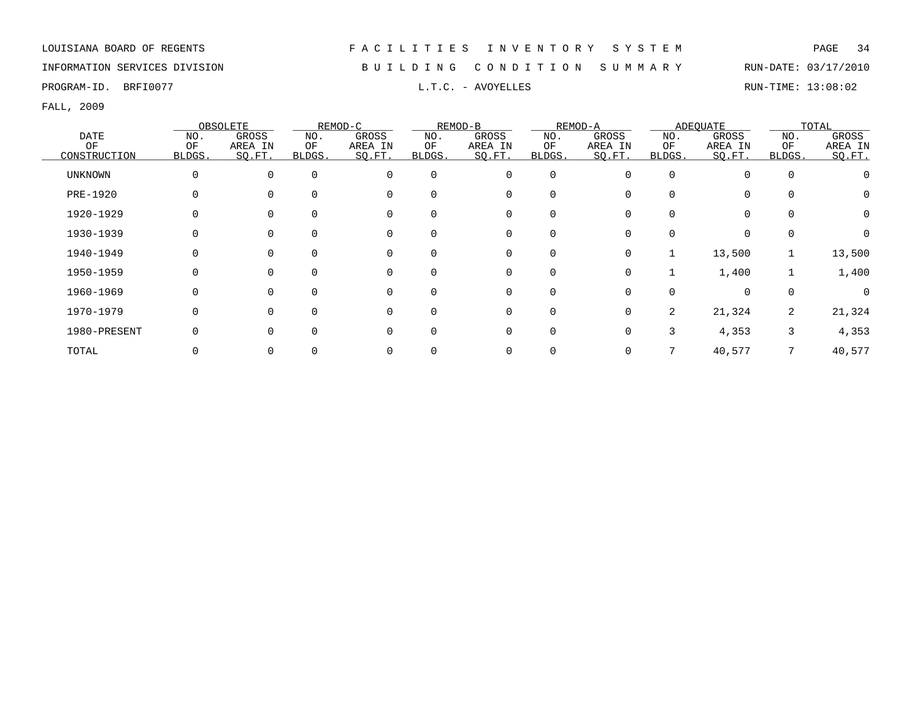INFORMATION SERVICES DIVISION B U I L D I N G C O N D I T I O N S U M M A R Y RUN-DATE: 03/17/2010

PROGRAM-ID. BRFI0077 **EXAM-ID.** BRFI0077 **RUN-TIME:** 13:08:02

|                |          | OBSOLETE |          | REMOD-C     |          | REMOD-B |             | REMOD-A |          | ADEOUATE |          | TOTAL    |
|----------------|----------|----------|----------|-------------|----------|---------|-------------|---------|----------|----------|----------|----------|
| DATE           | NO.      | GROSS    | NO.      | GROSS       | NO.      | GROSS   | NO.         | GROSS   | NO.      | GROSS    | NO.      | GROSS    |
| OF             | OF       | AREA IN  | ΟF       | AREA IN     | ΟF       | AREA IN | ΟF          | AREA IN | ΟF       | AREA IN  | OF       | AREA IN  |
| CONSTRUCTION   | BLDGS.   | SQ.FT.   | BLDGS.   | SQ.FT.      | BLDGS.   | SQ.FT.  | BLDGS.      | SQ.FT.  | BLDGS.   | SQ.FT.   | BLDGS.   | SQ.FT.   |
| <b>UNKNOWN</b> | $\Omega$ | $\Omega$ | $\Omega$ | $\mathbf 0$ | $\Omega$ | 0       | 0           |         | $\Omega$ | $\Omega$ | $\Omega$ |          |
| PRE-1920       |          |          | $\Omega$ | $\Omega$    | $\Omega$ | 0       | 0           |         |          | $\Omega$ |          |          |
| 1920-1929      |          |          | 0        | $\mathbf 0$ |          | 0       | 0           |         |          | 0        |          | $\Omega$ |
| 1930-1939      |          |          |          | $\mathbf 0$ |          | 0       | 0           |         |          | 0        |          |          |
| 1940-1949      |          |          | $\Omega$ | 0           | $\Omega$ | 0       | 0           | 0       |          | 13,500   |          | 13,500   |
| 1950-1959      |          |          | $\Omega$ | 0           | $\Omega$ | 0       | 0           | 0       |          | 1,400    |          | 1,400    |
| 1960-1969      |          | 0        | 0        | $\mathbf 0$ | $\Omega$ | 0       | 0           |         |          | $\Omega$ |          | $\Omega$ |
| 1970-1979      |          | $\Omega$ | $\Omega$ | $\Omega$    | ∩        | 0       | $\mathbf 0$ | 0       | 2        | 21,324   | 2        | 21,324   |
| 1980-PRESENT   |          | $\Omega$ | $\Omega$ | $\Omega$    | ∩        | 0       | $\mathbf 0$ |         | 3        | 4,353    | 3        | 4,353    |
| TOTAL          |          |          |          |             |          |         | 0           |         |          | 40,577   |          | 40,577   |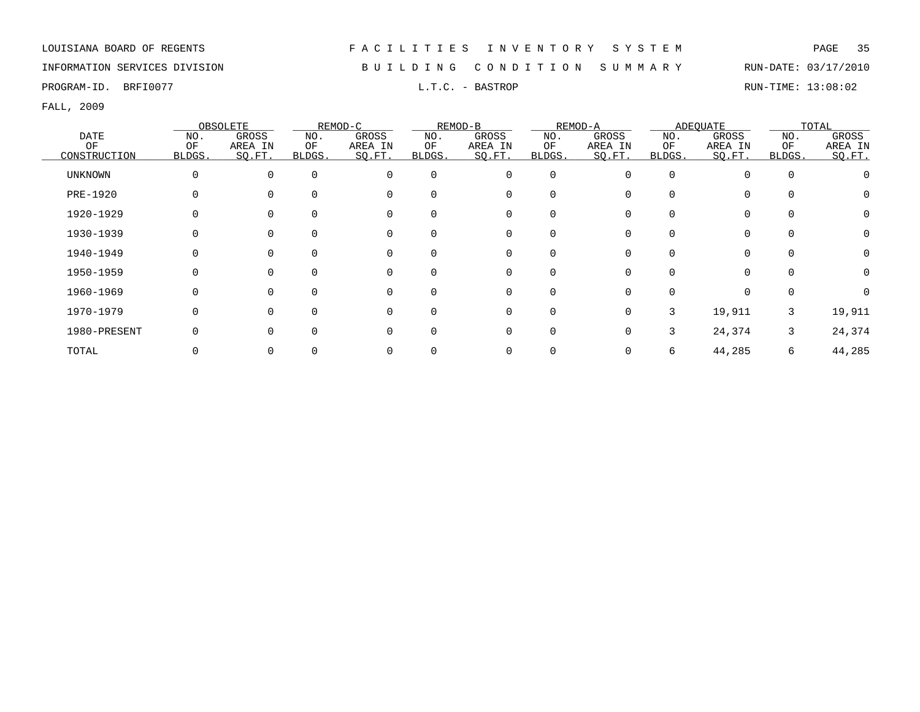# INFORMATION SERVICES DIVISION B U I L D I N G C O N D I T I O N S U M M A R Y RUN-DATE: 03/17/2010

PROGRAM-ID. BRFI0077 L.T.C. - BASTROP RUN-TIME: 13:08:02

|                 |          | OBSOLETE     |              | REMOD-C     |          | REMOD-B  |             | REMOD-A |          | ADEQUATE |          | TOTAL   |
|-----------------|----------|--------------|--------------|-------------|----------|----------|-------------|---------|----------|----------|----------|---------|
| DATE            | NO.      | GROSS        | NO.          | GROSS       | NO.      | GROSS    | NO.         | GROSS   | NO.      | GROSS    | NO.      | GROSS   |
| OF              | OF       | AREA IN      | OF           | AREA IN     | OF       | AREA IN  | ОF          | AREA IN | ΟF       | AREA IN  | OF       | AREA IN |
| CONSTRUCTION    | BLDGS.   | SO.FT.       | <b>BLDGS</b> | SO.FT.      | BLDGS.   | SO.FT.   | BLDGS.      | SO.FT.  | BLDGS.   | SO.FT.   | BLDGS.   | SQ.FT.  |
| <b>UNKNOWN</b>  | $\Omega$ | $\Omega$     | $\Omega$     | $\mathbf 0$ | $\Omega$ | 0        | 0           |         | $\Omega$ | $\Omega$ | $\Omega$ |         |
| <b>PRE-1920</b> |          |              | $\Omega$     | $\Omega$    |          | 0        | 0           |         |          | $\Omega$ |          |         |
| 1920-1929       |          |              |              | $\Omega$    |          | 0        | 0           |         |          | $\Omega$ |          |         |
| 1930-1939       |          |              |              | 0           |          | 0        | $\Omega$    |         |          | $\Omega$ |          |         |
| 1940-1949       |          |              | 0            | 0           |          | 0        | 0           |         |          | $\Omega$ |          |         |
| 1950-1959       |          |              | $\Omega$     | 0           |          | 0        | $\mathbf 0$ |         |          |          |          |         |
| 1960-1969       |          |              |              | $\Omega$    |          | 0        | $\Omega$    |         |          | $\Omega$ |          |         |
| 1970-1979       |          | <sup>n</sup> | 0            | $\Omega$    |          | $\Omega$ | $\Omega$    | 0       | 3        | 19,911   | 3        | 19,911  |
| 1980-PRESENT    |          | U            |              | 0           |          | $\Omega$ | $\Omega$    |         | 3        | 24,374   | 3        | 24,374  |
| TOTAL           |          |              |              |             |          |          | 0           |         | 6        | 44,285   | 6        | 44,285  |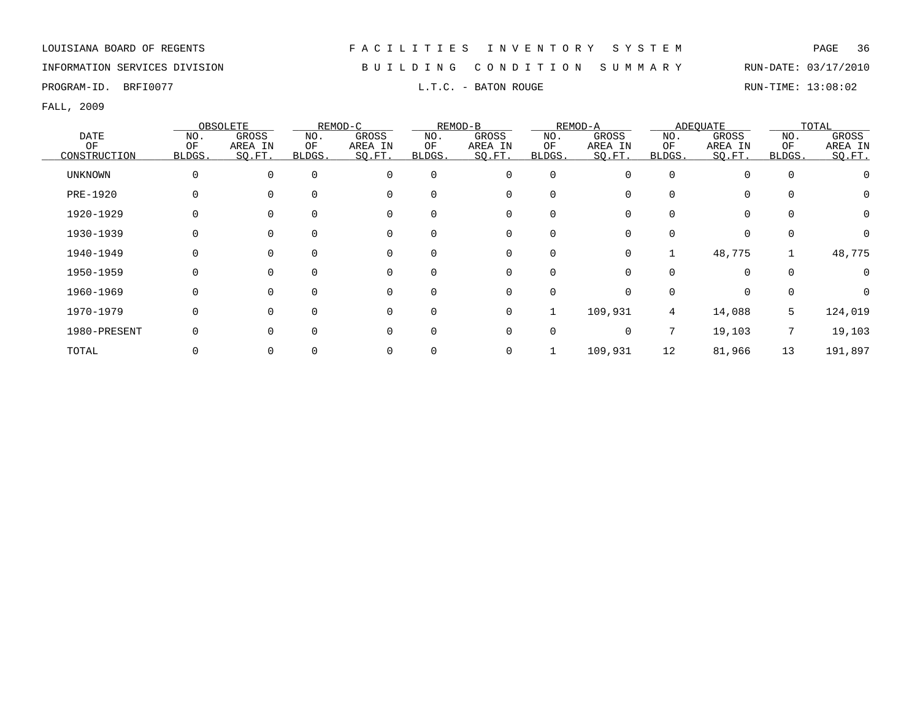# INFORMATION SERVICES DIVISION B U I L D I N G C O N D I T I O N S U M M A R Y RUN-DATE: 03/17/2010

PROGRAM-ID. BRFI0077 **EXAM-ID.** BRFI0077 **RUN-TIME:** 13:08:02

|                 |          | OBSOLETE     |        | REMOD-C  |             | REMOD-B     |          | REMOD-A |          | ADEQUATE |          | TOTAL   |
|-----------------|----------|--------------|--------|----------|-------------|-------------|----------|---------|----------|----------|----------|---------|
| <b>DATE</b>     | NO.      | GROSS        | NO.    | GROSS    | NO.         | GROSS       | NO.      | GROSS   | NO.      | GROSS    | NO.      | GROSS   |
| OF              | OF       | AREA IN      | ΟF     | AREA IN  | OF          | AREA IN     | OF       | AREA IN | OF       | AREA IN  | OF       | AREA IN |
| CONSTRUCTION    | BLDGS.   | SO.FT.       | BLDGS. | SO.FT.   | BLDGS.      | SO.FT.      | BLDGS.   | SQ.FT.  | BLDGS.   | SO.FT.   | BLDGS.   | SQ.FT.  |
| <b>UNKNOWN</b>  | $\Omega$ | 0            |        | $\Omega$ | $\mathbf 0$ | 0           | 0        |         | $\Omega$ | 0        | $\Omega$ |         |
| <b>PRE-1920</b> |          |              |        | $\Omega$ | $\Omega$    | 0           | 0        |         |          | $\Omega$ |          |         |
| 1920-1929       |          |              |        |          | $\Omega$    | 0           | 0        |         |          | $\Omega$ |          | 0       |
| 1930-1939       | 0        |              |        |          |             | 0           |          |         |          | 0        |          |         |
| 1940-1949       | 0        |              |        |          | $\Omega$    | 0           | 0        |         |          | 48,775   |          | 48,775  |
| 1950-1959       |          |              |        | 0        | $\mathbf 0$ | 0           | 0        |         |          | $\Omega$ |          |         |
| 1960-1969       |          | <sup>0</sup> |        | $\Omega$ | $\Omega$    | 0           | $\Omega$ |         |          | $\Omega$ |          |         |
| 1970-1979       |          | U            |        | $\Omega$ | $\Omega$    | 0           | 1        | 109,931 | 4        | 14,088   | 5        | 124,019 |
| 1980-PRESENT    | O        |              |        | $\Omega$ | $\Omega$    | $\mathbf 0$ | 0        |         |          | 19,103   | 7        | 19,103  |
| TOTAL           |          |              |        |          |             | 0           |          | 109,931 | 12       | 81,966   | 13       | 191,897 |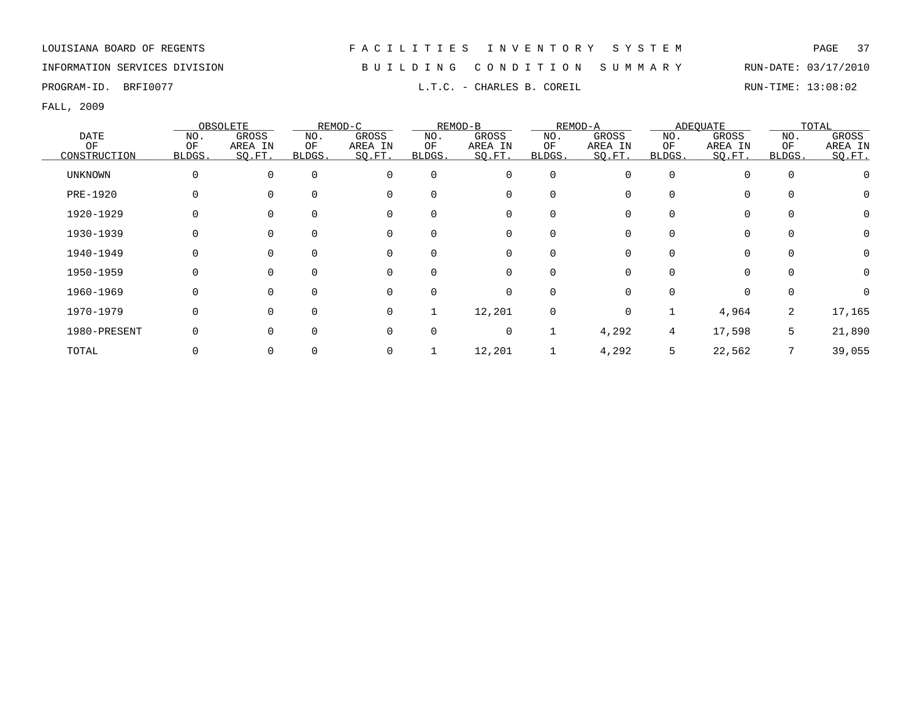PROGRAM-ID. BRFI0077 **EXAM-ID.** BRFI0077 **RUN-TIME: 13:08:02** 

FALL, 2009

|                |             | OBSOLETE     |        | REMOD-C  |          | REMOD-B |              | REMOD-A  |          | ADEOUATE    |          | TOTAL    |
|----------------|-------------|--------------|--------|----------|----------|---------|--------------|----------|----------|-------------|----------|----------|
| <b>DATE</b>    | NO.         | GROSS        | NO.    | GROSS    | NO.      | GROSS   | NO.          | GROSS    | NO.      | GROSS       | NO.      | GROSS    |
| OF             | OF          | AREA IN      | ΟF     | AREA IN  | OF       | AREA IN | OF           | AREA IN  | ΟF       | AREA IN     | OF       | AREA IN  |
| CONSTRUCTION   | BLDGS.      | SQ.FT.       | BLDGS. | SQ.FT.   | BLDGS.   | SQ.FT.  | BLDGS.       | SO.FT.   | BLDGS.   | SQ.FT.      | BLDGS.   | SQ.FT.   |
| <b>UNKNOWN</b> | $\mathbf 0$ | $\Omega$     |        | $\Omega$ | $\Omega$ | 0       | $\mathbf 0$  |          | $\Omega$ | $\Omega$    | $\Omega$ |          |
| PRE-1920       |             | <sup>0</sup> |        |          | $\Omega$ | 0       | 0            |          |          | 0           |          |          |
| 1920-1929      | 0           |              |        | $\Omega$ | $\Omega$ | 0       | 0            |          | 0        | $\mathbf 0$ |          | $\Omega$ |
| 1930-1939      | $\Omega$    |              |        |          |          | 0       | 0            |          |          | $\mathbf 0$ |          | $\Omega$ |
| 1940-1949      | $\Omega$    |              |        | $\Omega$ | $\Omega$ | 0       | 0            |          |          | $\mathbf 0$ | $\Omega$ | 0        |
| 1950-1959      | 0           | 0            |        | $\Omega$ | $\Omega$ | 0       | 0            |          |          | $\Omega$    |          | 0        |
| 1960-1969      | 0           | $\Omega$     |        | 0        | $\Omega$ | 0       | $\mathbf 0$  | 0        | $\Omega$ | $\mathbf 0$ | $\Omega$ | $\Omega$ |
| 1970-1979      | $\Omega$    | $\Omega$     |        | 0        |          | 12,201  | $\mathbf 0$  | $\Omega$ |          | 4,964       | 2        | 17,165   |
| 1980-PRESENT   | $\Omega$    | U            |        | $\Omega$ | $\Omega$ | 0       | $\mathbf{1}$ | 4,292    | 4        | 17,598      | 5        | 21,890   |
| TOTAL          |             |              |        |          |          | 12,201  |              | 4,292    | 5.       | 22,562      |          | 39,055   |

INFORMATION SERVICES DIVISION B U I L D I N G C O N D I T I O N S U M M A R Y RUN-DATE: 03/17/2010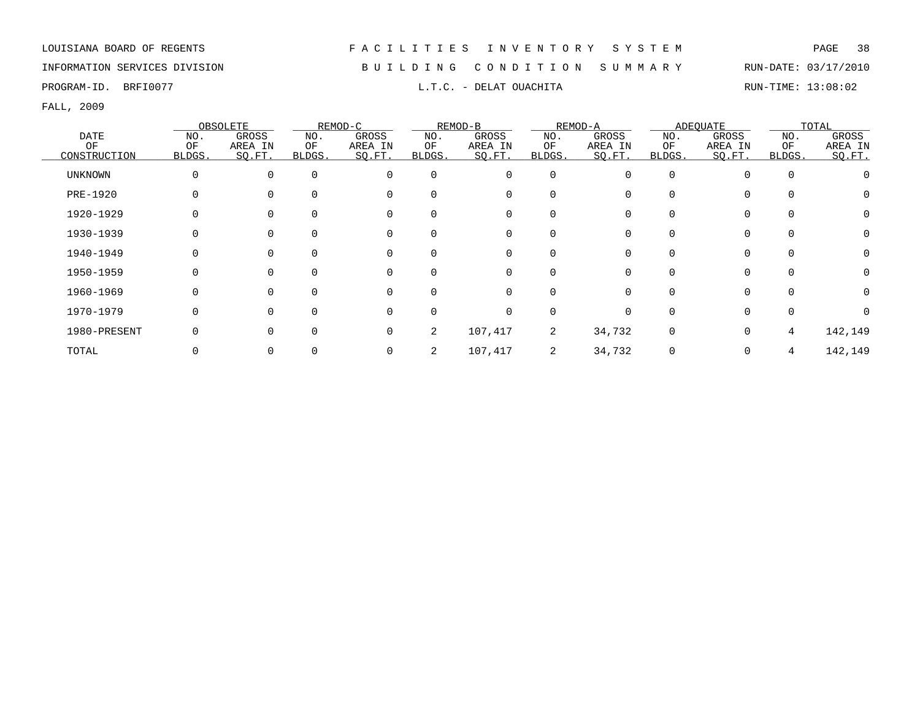INFORMATION SERVICES DIVISION B U I L D I N G C O N D I T I O N S U M M A R Y RUN-DATE: 03/17/2010

PROGRAM-ID. BRFI0077 **EXAM-ID.** BRFI0077 **RUN-TIME:** 13:08:02

|                 |          | OBSOLETE |              | REMOD-C     |          | REMOD-B  |             | REMOD-A |          | ADEQUATE    |          | TOTAL    |
|-----------------|----------|----------|--------------|-------------|----------|----------|-------------|---------|----------|-------------|----------|----------|
| DATE            | NO.      | GROSS    | NO.          | GROSS       | NO.      | GROSS    | NO.         | GROSS   | NO.      | GROSS       | NO.      | GROSS    |
| OF              | OF       | AREA IN  | OF           | AREA IN     | OF       | AREA IN  | OF          | AREA IN | ΟF       | AREA IN     | OF       | AREA IN  |
| CONSTRUCTION    | BLDGS.   | SO.FT.   | BLDGS.       | SO.FT.      | BLDGS.   | SO.FT.   | BLDGS.      | SO.FT.  | BLDGS.   | SO.FT.      | BLDGS.   | SQ.FT.   |
| <b>UNKNOWN</b>  | $\Omega$ | $\Omega$ | $\Omega$     | $\mathbf 0$ | $\Omega$ | 0        | 0           |         | $\Omega$ | $\Omega$    | $\Omega$ |          |
| <b>PRE-1920</b> |          |          | $\Omega$     | $\Omega$    |          | 0        | 0           |         |          | $\Omega$    |          |          |
| 1920-1929       |          |          |              | $\Omega$    |          | 0        | 0           |         |          | $\Omega$    |          |          |
| 1930-1939       |          |          |              | 0           |          | 0        | $\Omega$    |         |          | 0           |          |          |
| 1940-1949       |          |          |              | 0           |          | 0        | 0           |         |          | 0           |          |          |
| 1950-1959       |          |          |              | 0           |          | 0        | $\mathbf 0$ |         |          | $\Omega$    |          |          |
| 1960-1969       |          |          |              | $\Omega$    |          | 0        | $\Omega$    |         |          | $\Omega$    |          | $\Omega$ |
| 1970-1979       |          | $\Omega$ | <sup>n</sup> | $\Omega$    |          | $\Omega$ | $\Omega$    |         |          | $\Omega$    |          |          |
| 1980-PRESENT    |          | $\Omega$ | 0            | $\mathbf 0$ | 2        | 107,417  | 2           | 34,732  | $\Omega$ | $\mathbf 0$ | 4        | 142,149  |
| TOTAL           |          |          |              | 0           | 2        | 107,417  | 2           | 34,732  |          | $\mathbf 0$ | 4        | 142,149  |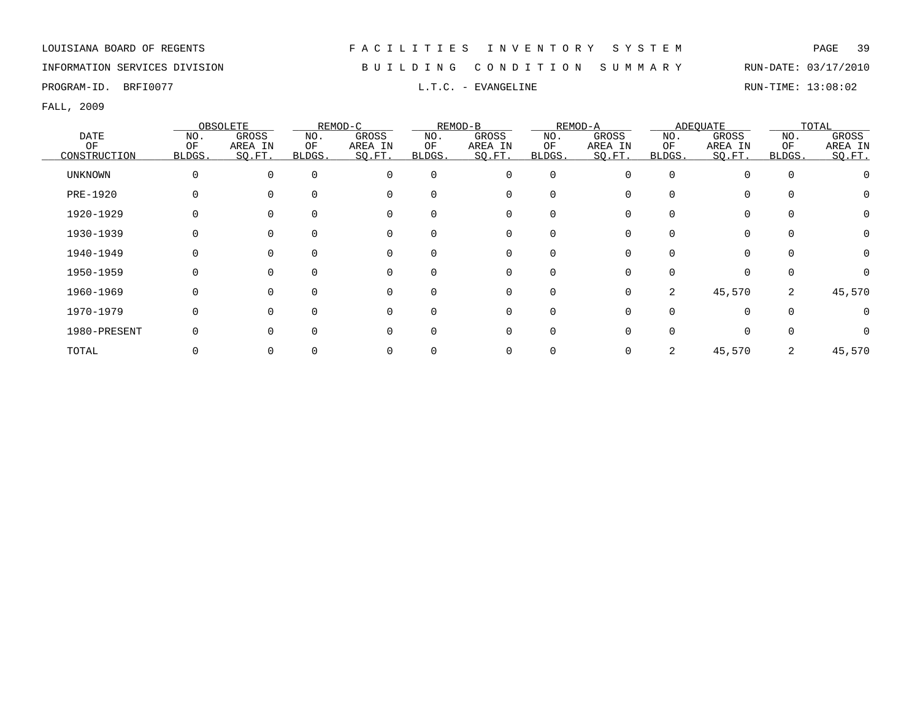INFORMATION SERVICES DIVISION B U I L D I N G C O N D I T I O N S U M M A R Y RUN-DATE: 03/17/2010

PROGRAM-ID. BRFI0077 **EXAMGELINE** L.T.C. - EVANGELINE **RUN-TIME: 13:08:02** RUN-TIME: 13:08:02

|              |          | OBSOLETE |              | REMOD-C  |          | REMOD-B     |             | REMOD-A |              | ADEQUATE |          | TOTAL        |
|--------------|----------|----------|--------------|----------|----------|-------------|-------------|---------|--------------|----------|----------|--------------|
| DATE         | NO.      | GROSS    | NO.          | GROSS    | NO.      | GROSS       | NO.         | GROSS   | NO.          | GROSS    | NO.      | GROSS        |
| ОF           | OF       | AREA IN  | ΟF           | AREA IN  | ΟF       | AREA IN     | ΟF          | AREA IN | ΟF           | AREA IN  | ΟF       | AREA IN      |
| CONSTRUCTION | BLDGS.   | SQ.FT.   | <b>BLDGS</b> | SQ.FT.   | BLDGS.   | SQ.FT.      | BLDGS.      | SQ.FT.  | <b>BLDGS</b> | SQ.FT.   | BLDGS.   | SQ.FT.       |
| UNKNOWN      | 0        | 0        | $\Omega$     | $\Omega$ | $\Omega$ | $\mathbf 0$ | $\mathbf 0$ |         | $\Omega$     | $\Omega$ | $\Omega$ |              |
| PRE-1920     |          |          |              | $\Omega$ | $\Omega$ | 0           | 0           |         |              | $\Omega$ |          |              |
| 1920-1929    | $\Omega$ |          |              | 0        |          | 0           | 0           |         |              | 0        |          | 0            |
| 1930-1939    |          |          |              | 0        |          | 0           | 0           |         |              | 0        |          | 0            |
| 1940-1949    | 0        |          |              | 0        |          | 0           | 0           |         |              | 0        | $\Omega$ | 0            |
| 1950-1959    | $\Omega$ |          |              | 0        | $\Omega$ | 0           | 0           |         |              | $\Omega$ | $\Omega$ |              |
| 1960-1969    | 0        |          |              | 0        |          | 0           | 0           | 0       | 2            | 45,570   | 2        | 45,570       |
| 1970-1979    | $\Omega$ |          |              | $\Omega$ | ∩        | $\Omega$    | $\Omega$    |         |              | $\Omega$ | $\Omega$ | 0            |
| 1980-PRESENT |          |          |              | $\Omega$ |          | $\Omega$    | $\Omega$    |         |              | $\Omega$ | $\Omega$ | <sup>n</sup> |
| TOTAL        |          |          |              |          |          |             |             |         | 2            | 45,570   | 2        | 45,570       |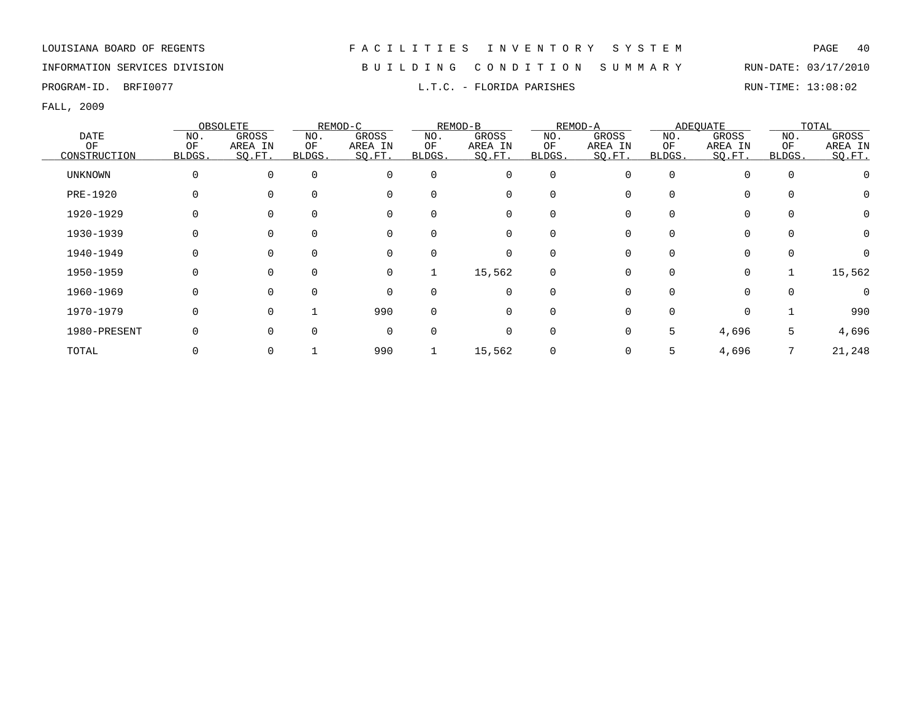## INFORMATION SERVICES DIVISION B U I L D I N G C O N D I T I O N S U M M A R Y RUN-DATE: 03/17/2010

PROGRAM-ID. BRFI0077 CONSERVATION CONSERVATION DELITION PARISHES AND RUN-TIME: 13:08:02

|                |             | OBSOLETE     |        | REMOD-C  |             | REMOD-B     |             | REMOD-A |              | ADEOUATE    |          | TOTAL    |
|----------------|-------------|--------------|--------|----------|-------------|-------------|-------------|---------|--------------|-------------|----------|----------|
| <b>DATE</b>    | NO.         | GROSS        | NO.    | GROSS    | NO.         | GROSS       | NO.         | GROSS   | NO.          | GROSS       | NO.      | GROSS    |
| OF             | OF          | AREA IN      | ΟF     | AREA IN  | ΟF          | AREA IN     | OF          | AREA IN | OF           | AREA IN     | OF       | AREA IN  |
| CONSTRUCTION   | BLDGS.      | SQ.FT.       | BLDGS. | SQ.FT.   | BLDGS.      | SQ.FT.      | BLDGS.      | SQ.FT.  | <b>BLDGS</b> | SO.FT.      | BLDGS.   | SO.FT.   |
| <b>UNKNOWN</b> | $\mathbf 0$ | $\Omega$     |        | $\Omega$ | $\Omega$    | 0           | $\mathbf 0$ |         | $\Omega$     | $\Omega$    | $\Omega$ |          |
| PRE-1920       |             |              |        |          | $\Omega$    | 0           | 0           |         |              | $\Omega$    |          |          |
| 1920-1929      | $\Omega$    |              |        | $\Omega$ | $\Omega$    | 0           | 0           |         |              | $\mathbf 0$ |          | $\Omega$ |
| 1930-1939      | $\Omega$    |              |        | $\Omega$ | $\Omega$    | 0           | 0           |         |              | $\mathbf 0$ |          | $\Omega$ |
| 1940-1949      |             | 0            |        | 0        | $\mathbf 0$ | 0           | 0           |         |              | $\mathbf 0$ |          |          |
| 1950-1959      | 0           | $\Omega$     |        | 0        |             | 15,562      | 0           |         | $\Omega$     | $\mathbf 0$ |          | 15,562   |
| 1960-1969      | 0           | $\Omega$     |        | $\Omega$ | $\Omega$    | 0           | $\Omega$    |         |              | $\Omega$    | $\Omega$ | $\Omega$ |
| 1970-1979      | $\Omega$    | <sup>n</sup> |        | 990      | $\Omega$    | $\mathbf 0$ | $\Omega$    |         |              | $\mathbf 0$ |          | 990      |
| 1980-PRESENT   | 0           |              |        | $\Omega$ | $\Omega$    | 0           | 0           |         | 5            | 4,696       | 5        | 4,696    |
| TOTAL          |             |              |        | 990      |             | 15,562      | 0           |         | 5            | 4,696       |          | 21,248   |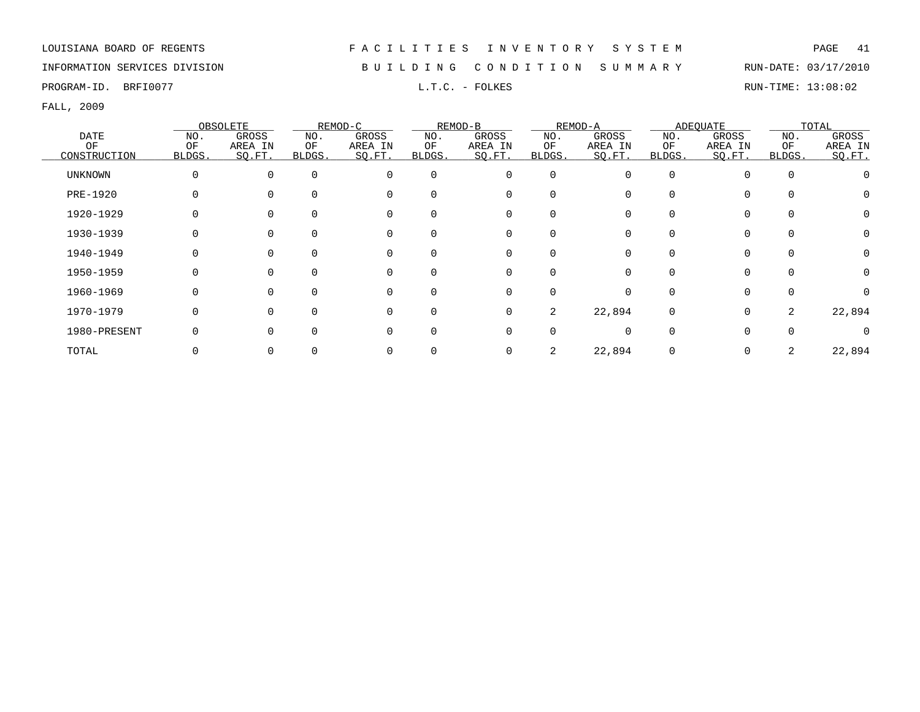INFORMATION SERVICES DIVISION B U I L D I N G C O N D I T I O N S U M M A R Y RUN-DATE: 03/17/2010

PROGRAM-ID. BRFI0077 **EXAM-ID.** BRFI0077 **RUN-TIME:** 13:08:02

|                |          | OBSOLETE |              | REMOD-C  |          | REMOD-B     |             | REMOD-A |              | ADEQUATE    |          | TOTAL        |
|----------------|----------|----------|--------------|----------|----------|-------------|-------------|---------|--------------|-------------|----------|--------------|
| DATE           | NO.      | GROSS    | NO.          | GROSS    | NO.      | GROSS       | NO.         | GROSS   | NO.          | GROSS       | NO.      | GROSS        |
| ОF             | OF       | AREA IN  | ΟF           | AREA IN  | ΟF       | AREA IN     | ΟF          | AREA IN | ΟF           | AREA IN     | ΟF       | AREA IN      |
| CONSTRUCTION   | BLDGS.   | SQ.FT.   | <b>BLDGS</b> | SQ.FT.   | BLDGS.   | SQ.FT.      | BLDGS.      | SQ.FT.  | <b>BLDGS</b> | SQ.FT.      | BLDGS.   | SQ.FT.       |
| <b>UNKNOWN</b> | 0        | O        | $\Omega$     | $\Omega$ | $\Omega$ | $\mathbf 0$ | $\mathbf 0$ |         | $\Omega$     | $\Omega$    | $\Omega$ |              |
| PRE-1920       |          |          |              | $\Omega$ | $\Omega$ | 0           | 0           |         |              | $\Omega$    |          |              |
| 1920-1929      | $\Omega$ |          |              | 0        |          | 0           | 0           |         |              | 0           |          | 0            |
| 1930-1939      |          |          |              | 0        |          | 0           | 0           |         |              | 0           |          | 0            |
| 1940-1949      | 0        |          |              | 0        |          | 0           | 0           |         |              | 0           | $\Omega$ | 0            |
| 1950-1959      | $\Omega$ |          |              | 0        | $\Omega$ | 0           | 0           |         |              | 0           | $\Omega$ | 0            |
| 1960-1969      | 0        |          |              | 0        |          | 0           | 0           |         |              | 0           | $\Omega$ | <sup>o</sup> |
| 1970-1979      | $\Omega$ |          | $\Omega$     | $\Omega$ | ∩        | $\mathbf 0$ | 2           | 22,894  | $\Omega$     | 0           | 2        | 22,894       |
| 1980-PRESENT   |          |          |              | $\Omega$ | ∩        | $\Omega$    | $\Omega$    |         | <sup>n</sup> | $\Omega$    |          | <sup>n</sup> |
| TOTAL          |          |          |              |          |          | 0           | 2           | 22,894  |              | $\mathbf 0$ |          | 22,894       |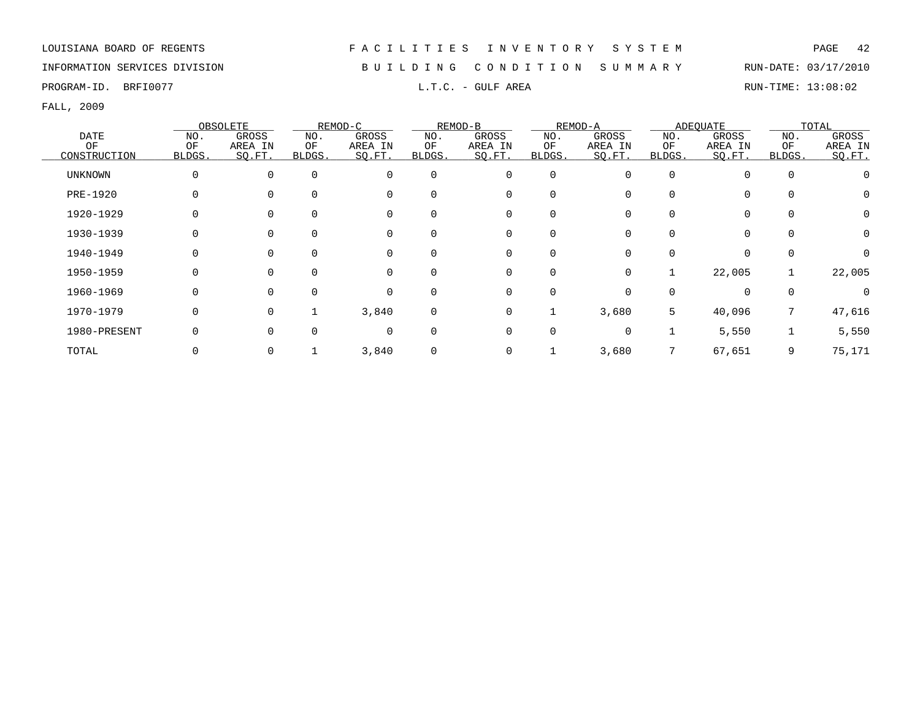## INFORMATION SERVICES DIVISION B U I L D I N G C O N D I T I O N S U M M A R Y RUN-DATE: 03/17/2010

PROGRAM-ID. BRFI0077 **EXAM-ID.** BRFI0077 **RUN-TIME:** 13:08:02

|                |             | OBSOLETE     |        | REMOD-C  |             | REMOD-B     |             | REMOD-A  |          | ADEOUATE    |          | TOTAL    |
|----------------|-------------|--------------|--------|----------|-------------|-------------|-------------|----------|----------|-------------|----------|----------|
| DATE           | NO.         | GROSS        | NO.    | GROSS    | NO.         | GROSS       | NO.         | GROSS    | NO.      | GROSS       | NO.      | GROSS    |
| ΟF             | OF          | AREA IN      | ΟF     | AREA IN  | OF          | AREA IN     | ΟF          | AREA IN  | ΟF       | AREA IN     | OF       | AREA IN  |
| CONSTRUCTION   | BLDGS.      | SQ.FT.       | BLDGS. | SQ.FT.   | BLDGS.      | SQ.FT.      | BLDGS.      | SO.FT.   | BLDGS.   | SQ.FT.      | BLDGS.   | SQ.FT.   |
| <b>UNKNOWN</b> | $\mathbf 0$ | $\Omega$     |        | $\Omega$ | $\mathbf 0$ | 0           | $\mathbf 0$ |          | $\Omega$ | $\Omega$    | $\Omega$ |          |
| PRE-1920       |             | <sup>0</sup> |        | $\Omega$ | $\Omega$    | 0           | 0           |          | $\Omega$ | $\Omega$    |          |          |
| 1920-1929      | 0           |              |        | $\Omega$ | $\Omega$    | 0           | 0           |          |          | $\mathbf 0$ |          | 0        |
| 1930-1939      | 0           |              |        |          |             | 0           | 0           |          |          | $\mathbf 0$ |          | $\Omega$ |
| 1940-1949      | 0           | 0            |        | $\Omega$ | 0           | 0           | 0           |          | $\Omega$ | $\mathbf 0$ | $\Omega$ |          |
| 1950-1959      | 0           | 0            |        | $\Omega$ | $\Omega$    | 0           | $\mathbf 0$ | $\Omega$ |          | 22,005      |          | 22,005   |
| 1960-1969      | 0           | 0            |        | 0        | $\Omega$    | 0           | $\mathbf 0$ |          |          | $\Omega$    |          | $\Omega$ |
| 1970-1979      | 0           | $\Omega$     |        | 3,840    | $\mathbf 0$ | 0           |             | 3,680    | 5        | 40,096      | 7        | 47,616   |
| 1980-PRESENT   | $\Omega$    | U            |        | $\Omega$ | $\Omega$    | $\mathbf 0$ | $\mathbf 0$ |          |          | 5,550       |          | 5,550    |
| TOTAL          |             |              |        | 3,840    | $\mathbf 0$ | 0           |             | 3,680    |          | 67,651      | 9        | 75,171   |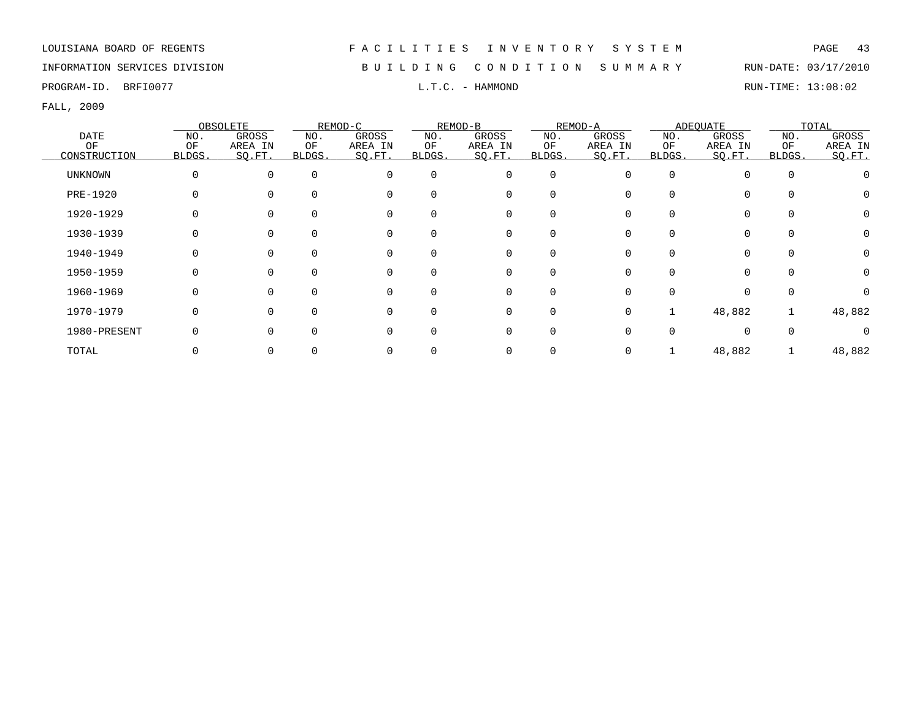INFORMATION SERVICES DIVISION B U I L D I N G C O N D I T I O N S U M M A R Y RUN-DATE: 03/17/2010

PROGRAM-ID. BRFI0077 **EXAMPLE 13:08:02** L.T.C. - HAMMOND RUN-TIME: 13:08:02

|                 |          | OBSOLETE |          | REMOD-C     |          | REMOD-B  |             | REMOD-A  |        | ADEOUATE    |          | TOTAL   |
|-----------------|----------|----------|----------|-------------|----------|----------|-------------|----------|--------|-------------|----------|---------|
| <b>DATE</b>     | NO.      | GROSS    | NO.      | GROSS       | NO.      | GROSS    | NO.         | GROSS    | NO.    | GROSS       | NO.      | GROSS   |
| OF              | OF       | AREA IN  | ΟF       | AREA IN     | OF       | AREA IN  | OF          | AREA IN  | ΟF     | AREA IN     | OF       | AREA IN |
| CONSTRUCTION    | BLDGS.   | SO.FT.   | BLDGS.   | SO.FT.      | BLDGS.   | SO.FT.   | BLDGS.      | SO.FT.   | BLDGS. | SQ.FT.      | BLDGS.   | SQ.FT.  |
| UNKNOWN         | 0        | $\Omega$ | $\Omega$ | $\Omega$    | $\Omega$ | 0        | $\mathbf 0$ | O        | O      | $\Omega$    | $\Omega$ |         |
| <b>PRE-1920</b> | $\Omega$ |          | 0        | $\Omega$    |          | 0        | 0           |          | U      | $\Omega$    |          |         |
| 1920-1929       | 0        |          | 0        | $\Omega$    |          | 0        | 0           |          |        | $\Omega$    |          |         |
| 1930-1939       | $\Omega$ |          | 0        | 0           |          | 0        | $\Omega$    |          |        | $\mathbf 0$ |          | 0       |
| 1940-1949       | 0        |          | 0        | $\mathbf 0$ |          | 0        | 0           |          |        | 0           |          | 0       |
| 1950-1959       | 0        |          | O        | $\Omega$    |          | 0        | $\Omega$    |          |        |             |          |         |
| 1960-1969       | 0        |          | 0        | $\Omega$    |          | $\Omega$ | $\Omega$    |          |        | O           |          |         |
| 1970-1979       | $\Omega$ | O        | 0        | $\Omega$    |          | $\Omega$ | $\Omega$    | $\Omega$ |        | 48,882      |          | 48,882  |
| 1980-PRESENT    | $\Omega$ |          | O.       | $\Omega$    |          | $\Omega$ | $\Omega$    |          |        | $\cap$      |          |         |
| TOTAL           |          |          |          |             |          |          |             |          |        | 48,882      |          | 48,882  |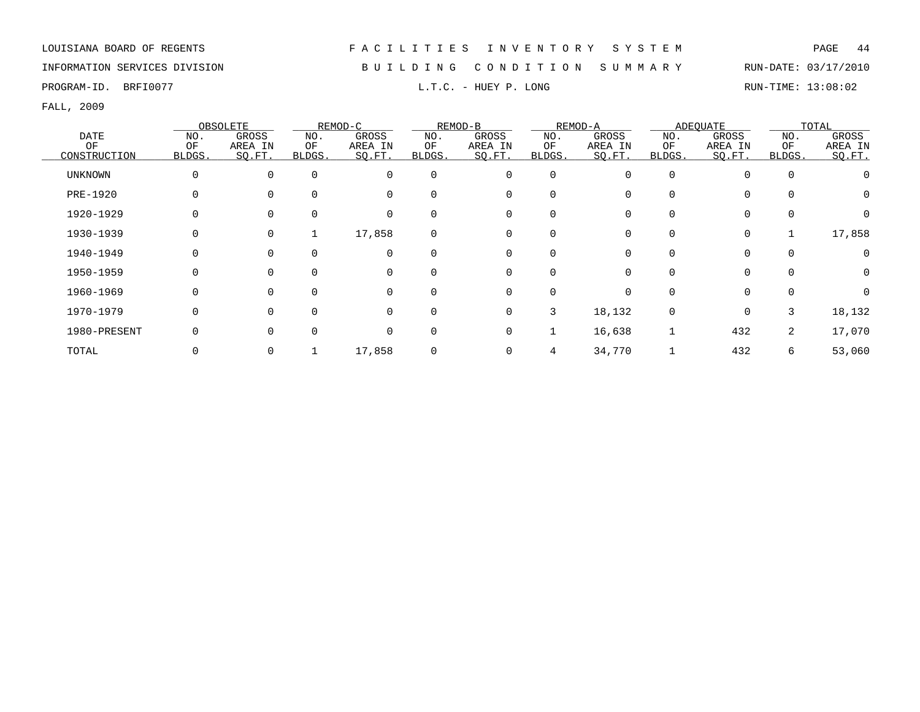PROGRAM-ID. BRFI0077 **EXAM-ID.** BRFI0077 **RUN-TIME:** 13:08:02

FALL, 2009

|                |        | OBSOLETE |          | REMOD-C  |             | REMOD-B |          | REMOD-A |              | <b>ADEOUATE</b> |             | TOTAL    |
|----------------|--------|----------|----------|----------|-------------|---------|----------|---------|--------------|-----------------|-------------|----------|
| <b>DATE</b>    | NO.    | GROSS    | NO.      | GROSS    | NO.         | GROSS   | NO.      | GROSS   | NO.          | GROSS           | NO.         | GROSS    |
| OF             | OF     | AREA IN  | ΟF       | AREA IN  | ΟF          | AREA IN | ΟF       | AREA IN | ΟF           | AREA IN         | ΟF          | AREA IN  |
| CONSTRUCTION   | BLDGS. | SQ.FT.   | BLDGS.   | SQ.FT.   | BLDGS.      | SQ.FT.  | BLDGS.   | SO.FT.  | <b>BLDGS</b> | SQ.FT.          | BLDGS.      | SO.FT.   |
| <b>UNKNOWN</b> | 0      | 0        | $\Omega$ | $\Omega$ | $\mathbf 0$ | 0       | 0        | U       | $\Omega$     | 0               | $\mathbf 0$ |          |
| PRE-1920       | 0      |          |          | $\Omega$ | $\Omega$    | 0       | $\Omega$ |         | 0            | $\mathbf 0$     |             | $\Omega$ |
| 1920-1929      | 0      |          |          |          | $\Omega$    | 0       |          |         |              | $\mathbf 0$     |             |          |
| 1930-1939      | 0      | 0        | Τ.       | 17,858   | $\mathbf 0$ | 0       | 0        |         | 0            | 0               |             | 17,858   |
| 1940-1949      | 0      |          |          |          | $\mathbf 0$ | 0       | 0        |         |              | 0               | $\Omega$    |          |
| 1950-1959      | 0      | $\Omega$ |          | $\Omega$ | $\mathbf 0$ | 0       | 0        |         | 0            | $\mathbf 0$     | $\Omega$    | 0        |
| 1960-1969      | 0      | $\Omega$ |          | $\Omega$ | $\Omega$    | 0       | $\Omega$ | U       |              | $\mathbf 0$     |             | $\Omega$ |
| 1970-1979      | 0      | $\Omega$ |          | $\Omega$ | $\Omega$    | 0       | 3        | 18,132  | $\Omega$     | $\mathbf 0$     | 3           | 18,132   |
| 1980-PRESENT   | 0      |          |          | $\Omega$ | $\Omega$    | 0       |          | 16,638  |              | 432             | 2           | 17,070   |
| TOTAL          |        |          |          | 17,858   | $\mathbf 0$ | 0       | 4        | 34,770  |              | 432             | 6           | 53,060   |

INFORMATION SERVICES DIVISION B U I L D I N G C O N D I T I O N S U M M A R Y RUN-DATE: 03/17/2010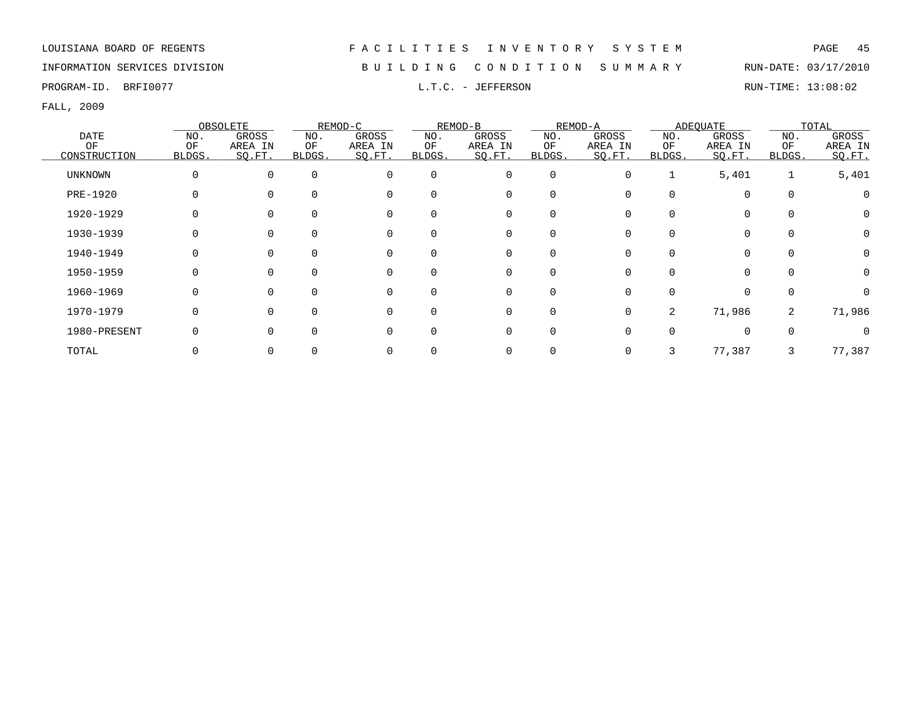INFORMATION SERVICES DIVISION B U I L D I N G C O N D I T I O N S U M M A R Y RUN-DATE: 03/17/2010

PROGRAM-ID. BRFI0077 **EXECUTE:** 13:08:02 L.T.C. - JEFFERSON RUN-TIME: 13:08:02

|                |        | OBSOLETE |          | REMOD-C  |          | REMOD-B  |             | REMOD-A  |        | ADEQUATE |          | TOTAL   |
|----------------|--------|----------|----------|----------|----------|----------|-------------|----------|--------|----------|----------|---------|
| <b>DATE</b>    | NO.    | GROSS    | NO.      | GROSS    | NO.      | GROSS    | NO.         | GROSS    | NO.    | GROSS    | NO.      | GROSS   |
| ΟF             | OF     | AREA IN  | ΟF       | AREA IN  | ΟF       | AREA IN  | ΟF          | AREA IN  | ΟF     | AREA IN  | OF       | AREA IN |
| CONSTRUCTION   | BLDGS. | SQ.FT.   | BLDGS.   | SQ.FT.   | BLDGS.   | SQ.FT.   | BLDGS.      | SO.FT.   | BLDGS. | SQ.FT.   | BLDGS.   | SO.FT.  |
| <b>UNKNOWN</b> | 0      | 0        | $\Omega$ | $\Omega$ | $\Omega$ | 0        | $\mathbf 0$ | 0        |        | 5,401    | 1        | 5,401   |
| PRE-1920       |        |          |          | $\Omega$ |          | 0        | $\Omega$    |          |        |          | $\Omega$ |         |
| 1920-1929      |        |          | $\Omega$ | $\Omega$ |          | 0        | $\Omega$    |          |        |          |          | U       |
| 1930-1939      |        |          |          | $\Omega$ |          |          |             |          |        |          |          | 0       |
| 1940-1949      |        |          |          | $\Omega$ |          | 0        |             |          |        |          |          | 0       |
| 1950-1959      |        |          |          | $\Omega$ |          | 0        | $\Omega$    |          |        | $\Omega$ |          | 0       |
| 1960-1969      |        |          |          | $\Omega$ |          | 0        | $\Omega$    | O        |        | $\Omega$ | $\Omega$ | 0       |
| 1970-1979      |        |          | O        | $\Omega$ |          | $\Omega$ | $\Omega$    | $\Omega$ | 2      | 71,986   | 2        | 71,986  |
| 1980-PRESENT   |        |          |          | $\Omega$ |          | $\Omega$ | $\Omega$    |          |        | 0        |          |         |
| TOTAL          |        |          |          |          |          |          |             |          |        | 77,387   | 3        | 77,387  |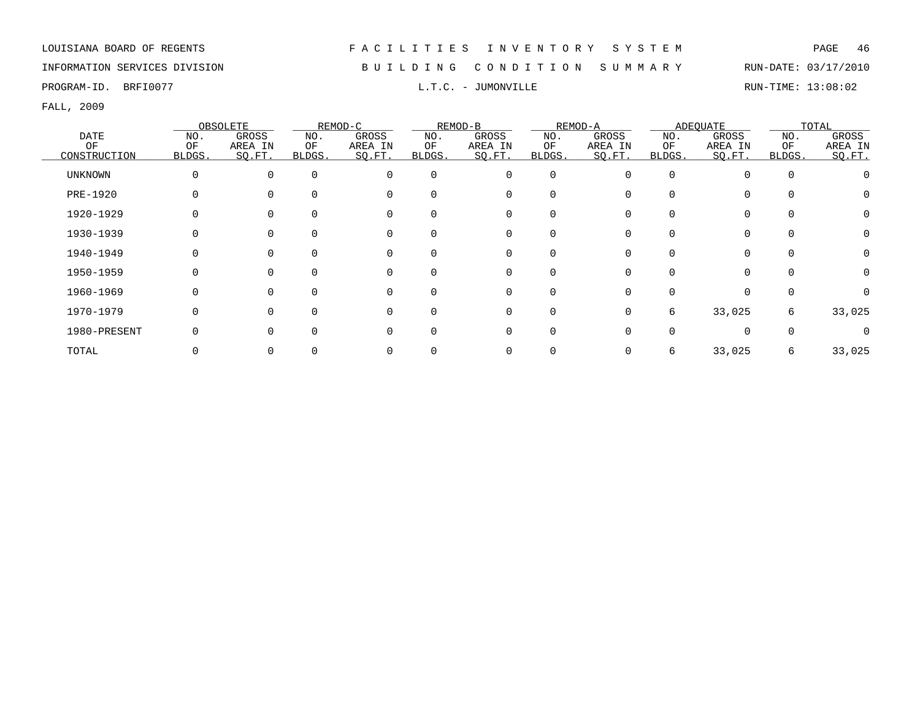INFORMATION SERVICES DIVISION B U I L D I N G C O N D I T I O N S U M M A R Y RUN-DATE: 03/17/2010

PROGRAM-ID. BRFI0077 **EXAM-ID.** BRFI0077 **RUN-TIME:** L.T.C. - JUMONVILLE RUN-TIME: 13:08:02

|                |          | OBSOLETE |                | REMOD-C     |          | REMOD-B     |             | REMOD-A |          | ADEOUATE    |          | TOTAL    |
|----------------|----------|----------|----------------|-------------|----------|-------------|-------------|---------|----------|-------------|----------|----------|
| <b>DATE</b>    | NO.      | GROSS    | NO.            | GROSS       | NO.      | GROSS       | NO.         | GROSS   | NO.      | GROSS       | NO.      | GROSS    |
| OF             | OF       | AREA IN  | ΟF             | AREA IN     | OF       | AREA IN     | ОF          | AREA IN | ΟF       | AREA IN     | OF       | AREA IN  |
| CONSTRUCTION   | BLDGS.   | SO.FT.   | <b>BLDGS</b> . | SQ.FT.      | BLDGS.   | SQ.FT.      | BLDGS.      | SO.FT.  | BLDGS.   | SQ.FT.      | BLDGS.   | SQ.FT.   |
| <b>UNKNOWN</b> | $\Omega$ | $\Omega$ | $\Omega$       | $\mathbf 0$ | $\Omega$ | $\mathbf 0$ | $\mathbf 0$ |         | $\Omega$ | $\Omega$    | $\Omega$ |          |
| PRE-1920       |          |          | $\Omega$       | $\mathbf 0$ | $\Omega$ | 0           | 0           |         |          | $\Omega$    |          |          |
| 1920-1929      |          |          | 0              | $\mathbf 0$ |          | $\mathbf 0$ | 0           |         |          | 0           |          | $\Omega$ |
| 1930-1939      |          |          |                | $\mathbf 0$ |          | 0           | 0           |         |          | $\mathbf 0$ |          | 0        |
| 1940-1949      |          |          |                | 0           |          | 0           | 0           |         |          | $\Omega$    |          |          |
| 1950-1959      |          |          |                | 0           |          | 0           | 0           |         |          | $\Omega$    |          | $\Omega$ |
| 1960-1969      |          | $\Omega$ | $\Omega$       | $\mathbf 0$ | $\Omega$ | 0           | $\mathbf 0$ |         | $\Omega$ | $\Omega$    |          | $\Omega$ |
| 1970-1979      |          | $\Omega$ | <sup>n</sup>   | $\mathbf 0$ | ∩        | $\mathbf 0$ | $\mathbf 0$ | 0       | 6        | 33,025      | 6        | 33,025   |
| 1980-PRESENT   |          | U        | <sup>n</sup>   | $\Omega$    |          | $\Omega$    | $\Omega$    |         |          | $\Omega$    |          |          |
| TOTAL          |          |          |                |             |          | 0           | 0           |         | 6.       | 33,025      | 6        | 33,025   |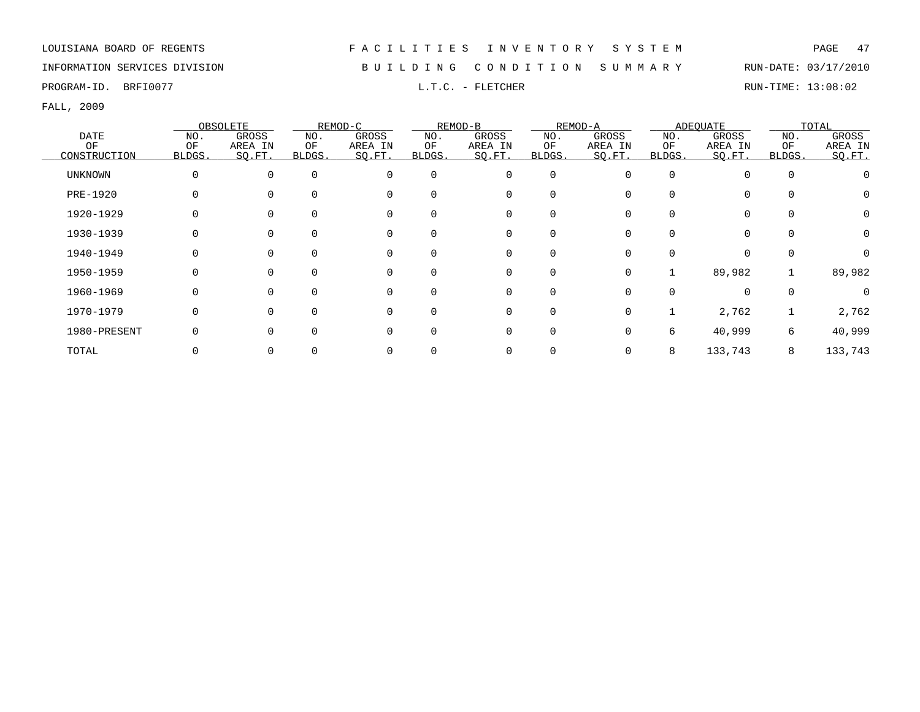INFORMATION SERVICES DIVISION B U I L D I N G C O N D I T I O N S U M M A R Y RUN-DATE: 03/17/2010

PROGRAM-ID. BRFI0077 **EXELLET SOME START START START START START START START START START START START START START START START START START START START START START START START START START START START START START START START S** 

|                |        | OBSOLETE |              | REMOD-C  |          | REMOD-B  |              | REMOD-A  |          | <b>ADEQUATE</b> |             | TOTAL    |
|----------------|--------|----------|--------------|----------|----------|----------|--------------|----------|----------|-----------------|-------------|----------|
| DATE           | NO.    | GROSS    | NO.          | GROSS    | NO.      | GROSS    | NO.          | GROSS    | NO.      | GROSS           | NO.         | GROSS    |
| OF             | OF     | AREA IN  | ОF           | AREA IN  | OF       | AREA IN  | ΟF           | AREA IN  | ΟF       | AREA IN         | OF          | AREA IN  |
| CONSTRUCTION   | BLDGS. | SO.FT.   | <b>BLDGS</b> | SO.FT.   | BLDGS.   | SO.FT.   | <b>BLDGS</b> | SO.FT.   | BLDGS.   | SQ.FT.          | BLDGS.      | SO.FT.   |
| <b>UNKNOWN</b> | 0      |          | $\Omega$     | $\Omega$ | $\Omega$ | 0        | $\mathbf 0$  | $\Omega$ | $\Omega$ |                 | $\mathbf 0$ |          |
| PRE-1920       |        |          |              | $\Omega$ |          | 0        | $\Omega$     |          | U        |                 | $\Omega$    |          |
| 1920-1929      |        |          |              | 0        |          | 0        | $\Omega$     |          |          |                 | $\Omega$    | $\Omega$ |
| 1930-1939      |        |          |              | 0        |          | 0        | $\Omega$     |          |          |                 | $\Omega$    | $\Omega$ |
| 1940-1949      |        |          |              | 0        |          | 0        | 0            |          |          |                 | $\Omega$    |          |
| 1950-1959      |        |          |              | 0        |          | 0        | 0            | 0        |          | 89,982          |             | 89,982   |
| 1960-1969      |        |          |              | $\Omega$ |          | $\Omega$ | $\Omega$     |          |          | $\Omega$        | $\Omega$    | $\Omega$ |
| 1970-1979      |        |          |              | $\Omega$ |          | $\Omega$ | $\Omega$     | 0        |          | 2,762           |             | 2,762    |
| 1980-PRESENT   |        |          |              | $\Omega$ |          | $\Omega$ | $\Omega$     | 0        | 6        | 40,999          | 6           | 40,999   |
| TOTAL          |        |          |              |          |          |          | 0            |          | 8        | 133,743         | 8           | 133,743  |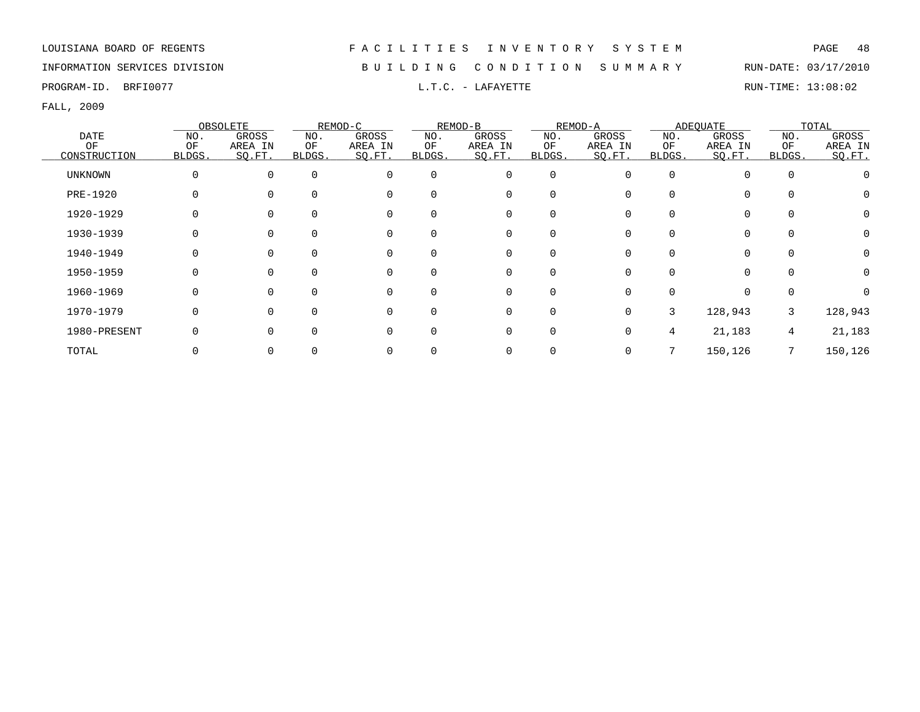## INFORMATION SERVICES DIVISION B U I L D I N G C O N D I T I O N S U M M A R Y RUN-DATE: 03/17/2010

PROGRAM-ID. BRFI0077 **EXECUTE RUN-TIME:** 13:08:02

|                |             | OBSOLETE     |        | REMOD-C  |          | REMOD-B     |             | REMOD-A |          | ADEQUATE    |          | TOTAL    |
|----------------|-------------|--------------|--------|----------|----------|-------------|-------------|---------|----------|-------------|----------|----------|
| <b>DATE</b>    | NO.         | GROSS        | NO.    | GROSS    | NO.      | GROSS       | NO.         | GROSS   | NO.      | GROSS       | NO.      | GROSS    |
| ΟF             | OF          | AREA IN      | ΟF     | AREA IN  | ΟF       | AREA IN     | ΟF          | AREA IN | ΟF       | AREA IN     | OF       | AREA IN  |
| CONSTRUCTION   | BLDGS.      | SQ.FT.       | BLDGS. | SQ.FT.   | BLDGS.   | SQ.FT.      | BLDGS.      | SQ.FT.  | BLDGS.   | SQ.FT.      | BLDGS.   | SQ.FT.   |
| <b>UNKNOWN</b> | $\mathbf 0$ | 0            |        | $\Omega$ | $\Omega$ | $\mathbf 0$ | $\mathbf 0$ |         | $\Omega$ | $\Omega$    | $\Omega$ |          |
| PRE-1920       |             |              |        |          | $\Omega$ | 0           | 0           |         |          | $\Omega$    |          |          |
| 1920-1929      | 0           |              |        |          | $\Omega$ | 0           | 0           |         |          | 0           |          | $\Omega$ |
| 1930-1939      | 0           |              |        |          |          | 0           | 0           |         |          | $\mathbf 0$ |          | $\Omega$ |
| 1940-1949      | 0           |              |        | $\Omega$ | $\Omega$ | 0           | 0           |         |          | 0           |          | $\Omega$ |
| 1950-1959      |             | 0            |        | $\Omega$ | $\Omega$ | 0           | 0           |         |          | $\Omega$    |          |          |
| 1960-1969      |             | <sup>0</sup> |        | $\Omega$ | $\Omega$ | 0           | 0           |         |          | $\Omega$    |          |          |
| 1970-1979      | O           | 0            |        | $\Omega$ | $\Omega$ | 0           | $\Omega$    | 0       | 3        | 128,943     | 3        | 128,943  |
| 1980-PRESENT   | O           |              |        | $\Omega$ | $\Omega$ | $\mathbf 0$ | 0           |         | 4        | 21,183      | 4        | 21,183   |
| TOTAL          |             |              |        |          |          | 0           |             |         |          | 150,126     |          | 150,126  |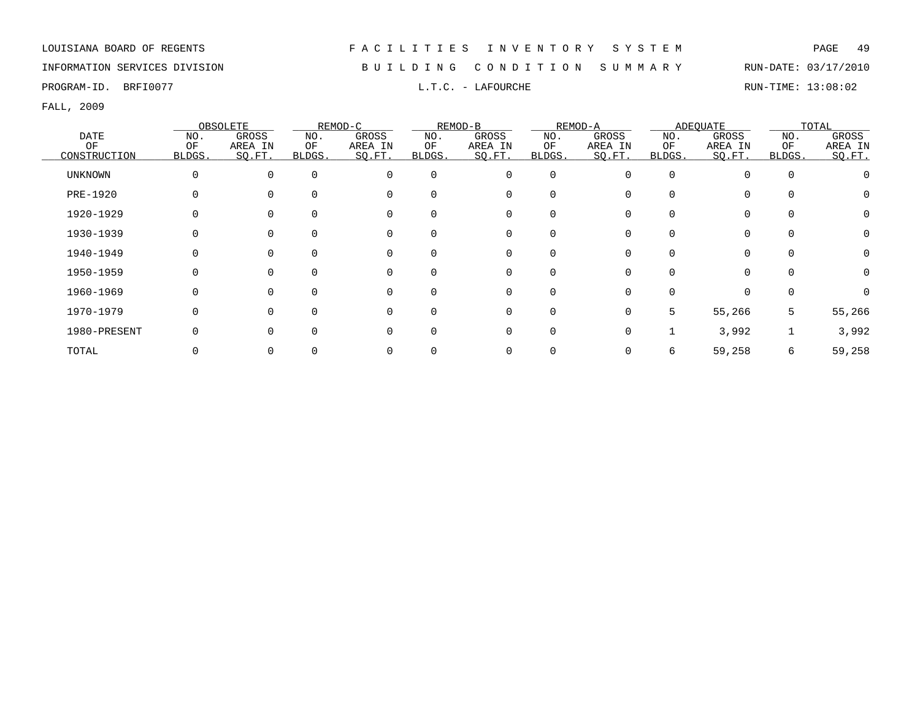INFORMATION SERVICES DIVISION B U I L D I N G C O N D I T I O N S U M M A R Y RUN-DATE: 03/17/2010

PROGRAM-ID. BRFI0077 **EXECUTE EXECUTE A LAREOURCHE L.T.C. - LAFOURCHE RUN-TIME: 13:08:02** 

|                |        | OBSOLETE |          | REMOD-C  |          | REMOD-B     |             | REMOD-A  |        | ADEQUATE |          | TOTAL   |
|----------------|--------|----------|----------|----------|----------|-------------|-------------|----------|--------|----------|----------|---------|
| <b>DATE</b>    | NO.    | GROSS    | NO.      | GROSS    | NO.      | GROSS       | NO.         | GROSS    | NO.    | GROSS    | NO.      | GROSS   |
| ΟF             | OF     | AREA IN  | ΟF       | AREA IN  | ΟF       | AREA IN     | ΟF          | AREA IN  | ΟF     | AREA IN  | OF       | AREA IN |
| CONSTRUCTION   | BLDGS. | SQ.FT.   | BLDGS.   | SQ.FT.   | BLDGS.   | SQ.FT.      | BLDGS.      | SO.FT.   | BLDGS. | SQ.FT.   | BLDGS.   | SQ.FT.  |
| <b>UNKNOWN</b> | 0      | 0        | $\Omega$ | $\Omega$ | $\Omega$ | $\mathbf 0$ | $\mathbf 0$ | $\Omega$ |        |          | $\Omega$ |         |
| PRE-1920       |        |          |          | $\Omega$ |          | 0           | $\Omega$    |          |        |          |          |         |
| 1920-1929      |        |          | $\Omega$ | $\Omega$ |          | 0           | $\Omega$    |          |        | $\Omega$ |          | U       |
| 1930-1939      |        |          |          | $\Omega$ |          |             |             |          |        |          |          | 0       |
| 1940-1949      |        |          |          | $\Omega$ |          | 0           |             |          |        |          |          | 0       |
| 1950-1959      |        |          |          | $\Omega$ |          | 0           | $\Omega$    |          |        | $\Omega$ |          | 0       |
| 1960-1969      |        |          |          | $\Omega$ |          | 0           | $\Omega$    | O        |        | $\Omega$ |          |         |
| 1970-1979      |        |          | O        | $\Omega$ |          | $\Omega$    | $\Omega$    | $\Omega$ | 5      | 55,266   | 5        | 55,266  |
| 1980-PRESENT   |        |          |          | $\Omega$ |          | $\Omega$    | $\Omega$    | ∩        |        | 3,992    |          | 3,992   |
| TOTAL          |        |          |          |          |          |             |             |          | 6      | 59,258   | 6        | 59,258  |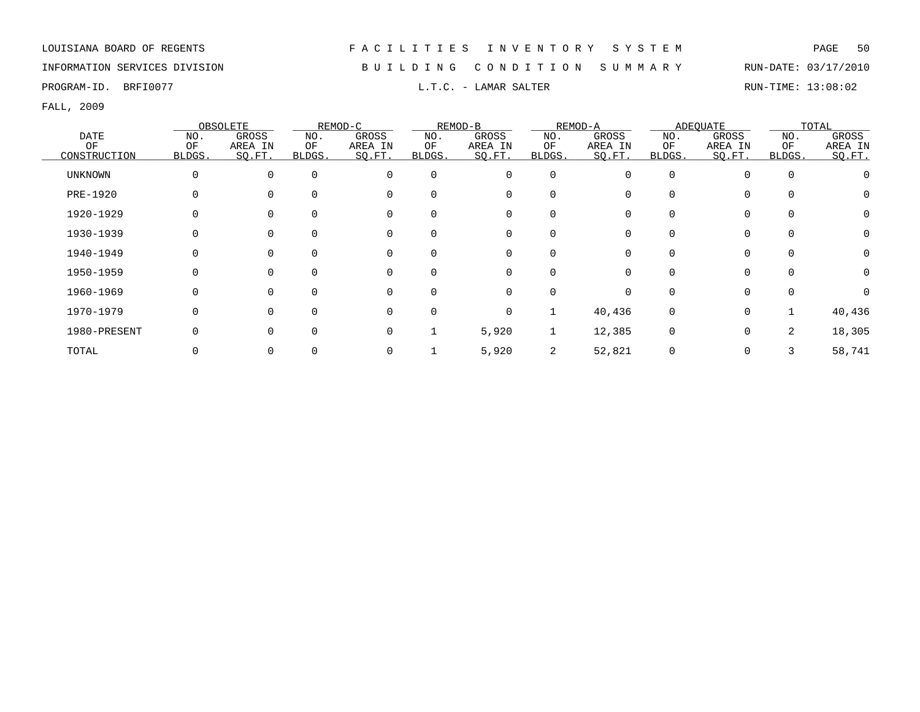INFORMATION SERVICES DIVISION B U I L D I N G C O N D I T I O N S U M M A R Y RUN-DATE: 03/17/2010

PROGRAM-ID. BRFI0077 CONSTRUCTED SERVICES AND MALLER L.T.C. - LAMAR SALTER RUN-TIME: 13:08:02

|                |        | OBSOLETE |              | REMOD-C     |          | REMOD-B     |             | REMOD-A  |              | <b>ADEQUATE</b> |              | TOTAL    |
|----------------|--------|----------|--------------|-------------|----------|-------------|-------------|----------|--------------|-----------------|--------------|----------|
| DATE           | NO.    | GROSS    | NO.          | GROSS       | NO.      | GROSS       | NO.         | GROSS    | NO.          | GROSS           | NO.          | GROSS    |
| OF             | OF     | AREA IN  | ΟF           | AREA IN     | ΟF       | AREA IN     | ΟF          | AREA IN  | ΟF           | AREA IN         | OF           | AREA IN  |
| CONSTRUCTION   | BLDGS. | SQ.FT.   | <b>BLDGS</b> | SQ.FT.      | BLDGS.   | SQ.FT.      | BLDGS.      | SQ.FT.   | BLDGS.       | SQ.FT.          | <b>BLDGS</b> | SQ.FT.   |
| <b>UNKNOWN</b> | 0      | 0        | $\Omega$     | $\mathbf 0$ | $\Omega$ | $\mathbf 0$ | $\mathbf 0$ | $\Omega$ | 0            |                 | $\mathbf 0$  |          |
| PRE-1920       |        |          |              | $\Omega$    |          | 0           | 0           |          | 0            |                 | $\Omega$     |          |
| 1920-1929      |        |          |              | $\mathbf 0$ |          | 0           | 0           |          | 0            | $\Omega$        | $\Omega$     | $\Omega$ |
| 1930-1939      |        |          |              | 0           |          | 0           | 0           |          | 0            | $\Omega$        | 0            | $\Omega$ |
| 1940-1949      |        |          | $\Omega$     | $\mathbf 0$ |          | 0           | 0           |          | 0            | $\Omega$        | 0            | 0        |
| 1950-1959      |        |          |              | 0           |          | 0           | 0           |          | <sup>0</sup> | $\Omega$        | $\Omega$     | $\Omega$ |
| 1960-1969      |        |          |              | 0           |          | 0           | $\Omega$    | O        | 0            | 0               | $\Omega$     | $\Omega$ |
| 1970-1979      |        | U        | $\Omega$     | 0           | $\Omega$ | $\mathbf 0$ | $\mathbf 1$ | 40,436   | 0            | $\Omega$        |              | 40,436   |
| 1980-PRESENT   |        |          |              | 0           |          | 5,920       | 1           | 12,385   | 0            | $\Omega$        | 2            | 18,305   |
| TOTAL          |        |          |              | 0           |          | 5,920       | 2           | 52,821   |              | 0               |              | 58,741   |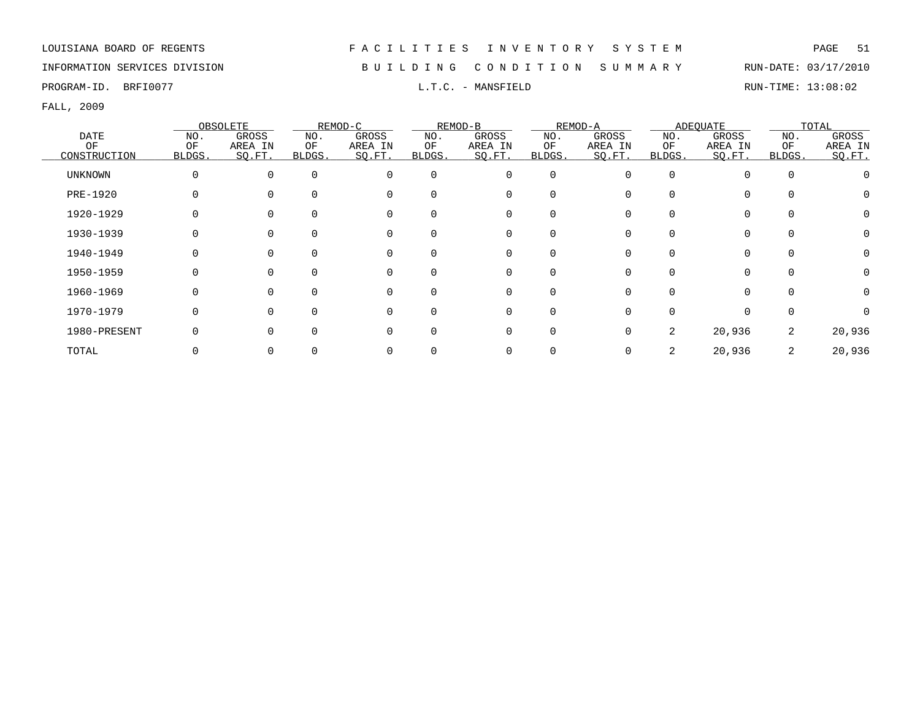## INFORMATION SERVICES DIVISION B U I L D I N G C O N D I T I O N S U M M A R Y RUN-DATE: 03/17/2010

PROGRAM-ID. BRFI0077 **EXAMIC SOLUTE:** 13:08:02 L.T.C. - MANSFIELD RUN-TIME: 13:08:02

|                |        | OBSOLETE     |        | REMOD-C  |             | REMOD-B  |          | REMOD-A |          | ADEQUATE |          | TOTAL    |
|----------------|--------|--------------|--------|----------|-------------|----------|----------|---------|----------|----------|----------|----------|
| DATE           | NO.    | <b>GROSS</b> | NO.    | GROSS    | NO.         | GROSS    | NO.      | GROSS   | NO.      | GROSS    | NO.      | GROSS    |
| OF             | OF     | AREA IN      | ΟF     | AREA IN  | OF          | AREA IN  | OF       | AREA IN | OF       | AREA IN  | OF       | AREA IN  |
| CONSTRUCTION   | BLDGS. | SO.FT.       | BLDGS. | SO.FT.   | BLDGS.      | SO.FT.   | BLDGS.   | SQ.FT.  | BLDGS.   | SO.FT.   | BLDGS.   | SQ.FT.   |
| <b>UNKNOWN</b> | 0      | 0            |        | $\Omega$ | $\mathbf 0$ | 0        | $\Omega$ | O       | $\Omega$ | $\Omega$ | $\Omega$ |          |
| PRE-1920       |        |              |        |          | $\Omega$    | 0        |          |         |          | $\Omega$ |          |          |
| 1920-1929      |        |              |        |          | $\Omega$    | 0        |          |         |          | $\Omega$ |          |          |
| 1930-1939      |        |              |        |          |             | 0        |          |         |          | $\Omega$ |          |          |
| 1940-1949      |        |              |        |          |             | 0        |          |         |          |          |          |          |
| 1950-1959      |        |              |        |          | $\Omega$    | 0        | 0        |         |          |          |          |          |
| 1960-1969      |        |              |        |          | $\Omega$    | $\Omega$ |          |         |          |          |          | $\Omega$ |
| 1970-1979      |        |              |        |          | $\Omega$    | $\Omega$ |          |         |          | $\Omega$ |          |          |
| 1980-PRESENT   |        |              |        |          | U           | $\Omega$ |          | 0       | 2.       | 20,936   | 2        | 20,936   |
| TOTAL          |        |              |        |          |             | 0        |          |         |          | 20,936   | 2        | 20,936   |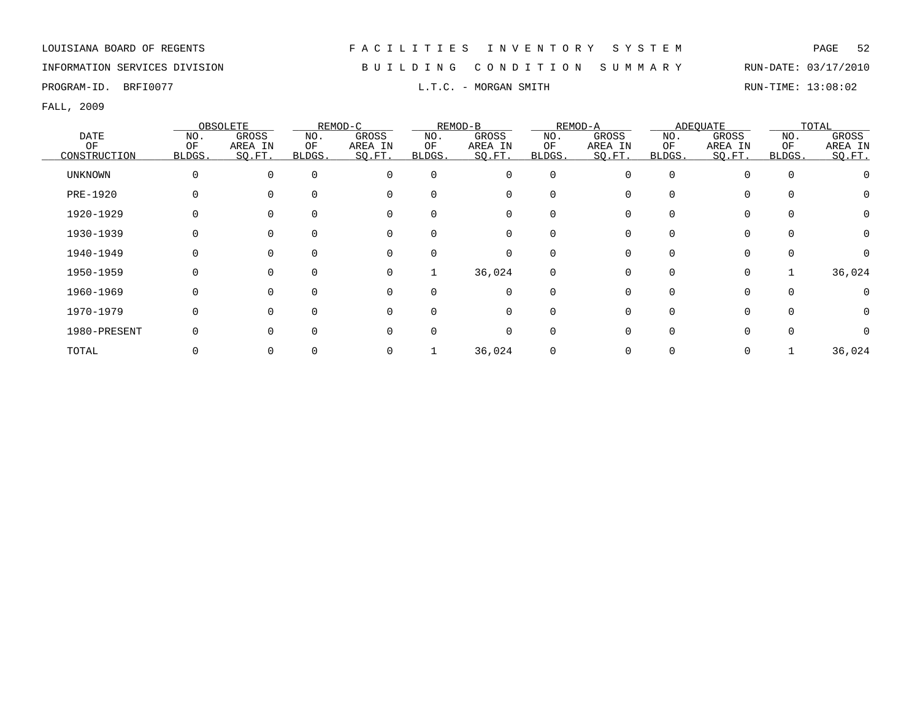## INFORMATION SERVICES DIVISION B U I L D I N G C O N D I T I O N S U M M A R Y RUN-DATE: 03/17/2010

PROGRAM-ID. BRFI0077 **EXAMILY RUN-TIME:** 13:08:02 L.T.C. - MORGAN SMITH

|                |          | OBSOLETE     |        | REMOD-C  |          | REMOD-B     |             | REMOD-A |          | ADEOUATE    |          | TOTAL    |
|----------------|----------|--------------|--------|----------|----------|-------------|-------------|---------|----------|-------------|----------|----------|
| <b>DATE</b>    | NO.      | GROSS        | NO.    | GROSS    | NO.      | GROSS       | NO.         | GROSS   | NO.      | GROSS       | NO.      | GROSS    |
| OF             | OF       | AREA IN      | ОF     | AREA IN  | ΟF       | AREA IN     | OF          | AREA IN | ΟF       | AREA IN     | OF       | AREA IN  |
| CONSTRUCTION   | BLDGS.   | SQ.FT.       | BLDGS. | SQ.FT.   | BLDGS.   | SQ.FT.      | BLDGS.      | SO.FT.  | BLDGS.   | SQ.FT.      | BLDGS.   | SQ.FT.   |
| <b>UNKNOWN</b> | $\Omega$ | 0            |        | $\Omega$ | $\Omega$ | 0           | $\mathbf 0$ |         | $\Omega$ | $\Omega$    |          |          |
| PRE-1920       |          |              |        |          | $\Omega$ | 0           | 0           |         |          | $\Omega$    |          |          |
| 1920-1929      | 0        |              |        | $\Omega$ | $\Omega$ | $\mathbf 0$ | $\Omega$    |         |          | 0           |          | $\Omega$ |
| 1930-1939      | O        |              |        |          |          | 0           | 0           |         |          | 0           |          | $\Omega$ |
| 1940-1949      |          |              |        |          | $\Omega$ | 0           | 0           |         |          | 0           |          |          |
| 1950-1959      |          | <sup>0</sup> |        | 0        | 1        | 36,024      | 0           |         |          | $\mathbf 0$ |          | 36,024   |
| 1960-1969      | O        | $\Omega$     |        | $\Omega$ | $\Omega$ | $\mathbf 0$ | $\mathbf 0$ |         | $\Omega$ | $\mathbf 0$ | $\Omega$ |          |
| 1970-1979      | $\Omega$ | <sup>n</sup> |        | $\Omega$ | $\Omega$ | $\mathbf 0$ | $\Omega$    |         |          | $\Omega$    |          | $\Omega$ |
| 1980-PRESENT   | C        | U            |        | $\Omega$ | $\Omega$ | $\mathbf 0$ | $\Omega$    |         |          | $\Omega$    |          |          |
| TOTAL          |          |              |        |          |          | 36,024      |             |         |          | $\mathbf 0$ |          | 36,024   |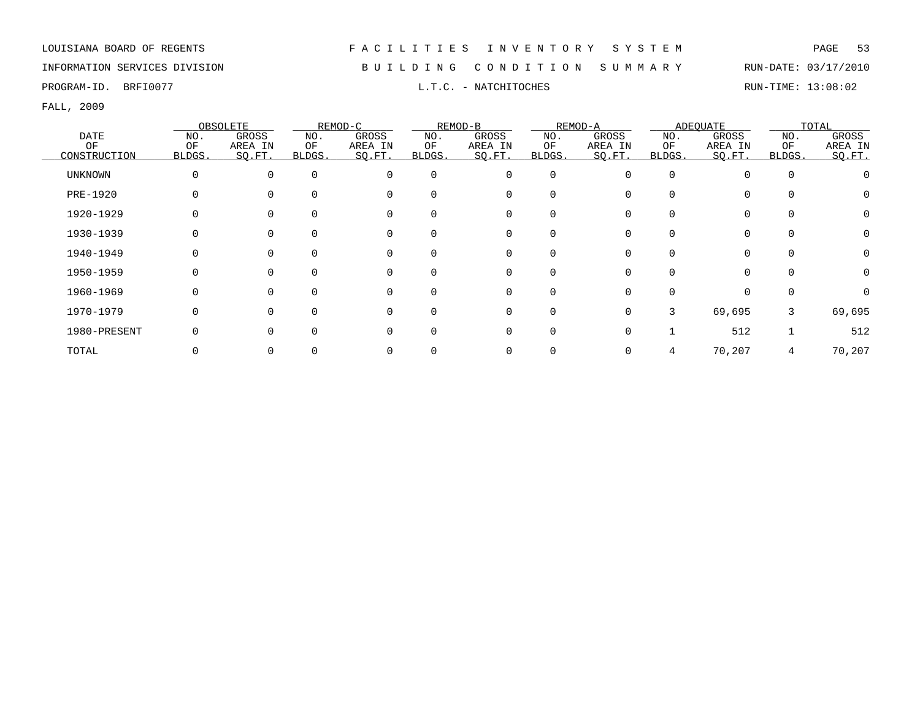## INFORMATION SERVICES DIVISION B U I L D I N G C O N D I T I O N S U M M A R Y RUN-DATE: 03/17/2010

PROGRAM-ID. BRFI0077 **EXAM-ID.** BRFI0077 **RUN-TIME:** 13:08:02

|                |          | OBSOLETE |        | REMOD-C  |             | REMOD-B  |             | REMOD-A |          | ADEQUATE |          | TOTAL   |
|----------------|----------|----------|--------|----------|-------------|----------|-------------|---------|----------|----------|----------|---------|
| DATE           | NO.      | GROSS    | NO.    | GROSS    | NO.         | GROSS    | NO.         | GROSS   | NO.      | GROSS    | NO.      | GROSS   |
| OF             | OF       | AREA IN  | ΟF     | AREA IN  | ΟF          | AREA IN  | OF          | AREA IN | OF       | AREA IN  | OF       | AREA IN |
| CONSTRUCTION   | BLDGS.   | SO.FT.   | BLDGS. | SO.FT.   | BLDGS.      | SO.FT.   | BLDGS.      | SQ.FT.  | BLDGS.   | SO.FT.   | BLDGS.   | SQ.FT.  |
| <b>UNKNOWN</b> | $\Omega$ | 0        |        | $\Omega$ | $\mathbf 0$ | 0        | $\mathbf 0$ |         | $\Omega$ | $\Omega$ | $\Omega$ |         |
| PRE-1920       |          |          |        | $\Omega$ | $\Omega$    | 0        |             |         |          | $\Omega$ |          |         |
| 1920-1929      |          |          |        |          | $\Omega$    | 0        | $\Omega$    |         |          | $\Omega$ |          |         |
| 1930-1939      |          |          |        |          |             | 0        |             |         |          | $\Omega$ |          |         |
| 1940-1949      |          |          |        |          |             | 0        |             |         |          |          |          |         |
| 1950-1959      |          |          |        |          | $\Omega$    | 0        | 0           |         |          |          |          |         |
| 1960-1969      |          |          |        |          | $\Omega$    | $\Omega$ | $\Omega$    |         |          |          |          |         |
| 1970-1979      |          | U        |        | $\Omega$ | $\Omega$    | $\Omega$ | $\Omega$    | 0       | 3        | 69,695   | 3        | 69,695  |
| 1980-PRESENT   |          |          |        |          | ∩           | $\Omega$ | $\Omega$    |         |          | 512      |          | 512     |
| TOTAL          |          |          |        |          |             |          |             |         |          | 70,207   |          | 70,207  |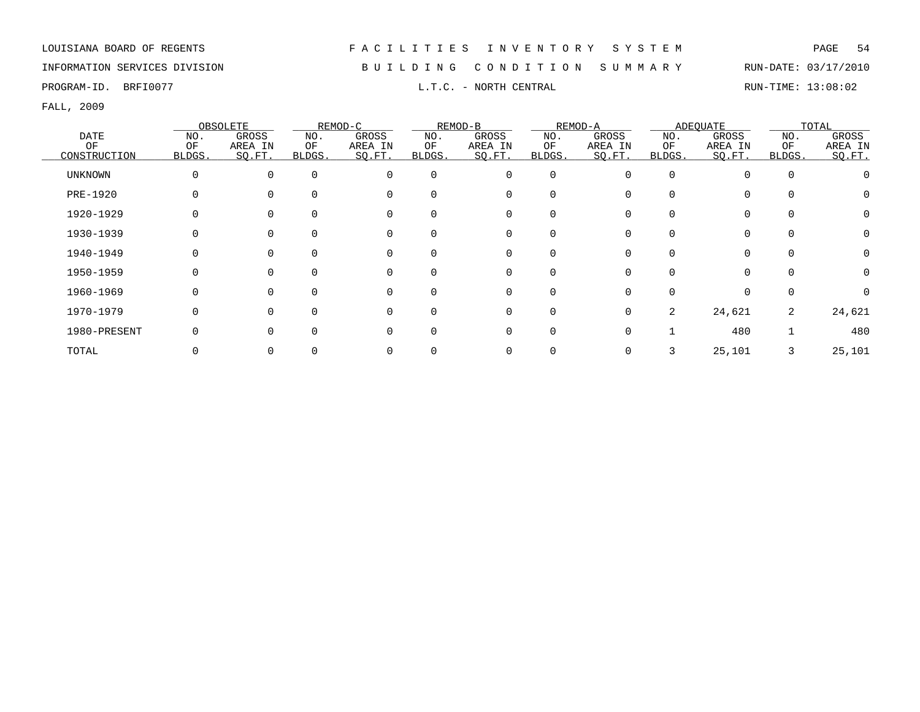## INFORMATION SERVICES DIVISION B U I L D I N G C O N D I T I O N S U M M A R Y RUN-DATE: 03/17/2010

FALL, 2009

|                |             | OBSOLETE     |        | REMOD-C  |          | REMOD-B     |             | REMOD-A |          | ADEQUATE |          | TOTAL    |
|----------------|-------------|--------------|--------|----------|----------|-------------|-------------|---------|----------|----------|----------|----------|
| DATE           | NO.         | GROSS        | NO.    | GROSS    | NO.      | GROSS       | NO.         | GROSS   | NO.      | GROSS    | NO.      | GROSS    |
| ОF             | OF          | AREA IN      | ΟF     | AREA IN  | ΟF       | AREA IN     | ΟF          | AREA IN | ΟF       | AREA IN  | OF       | AREA IN  |
| CONSTRUCTION   | BLDGS.      | SQ.FT.       | BLDGS. | SQ.FT.   | BLDGS.   | SQ.FT.      | BLDGS.      | SQ.FT.  | BLDGS.   | SQ.FT.   | BLDGS.   | SQ.FT.   |
| <b>UNKNOWN</b> | $\mathbf 0$ | $\Omega$     |        | $\Omega$ | $\Omega$ | $\mathbf 0$ | $\mathbf 0$ |         | $\Omega$ | $\Omega$ | $\Omega$ |          |
| PRE-1920       |             |              |        |          | $\Omega$ | 0           | 0           |         |          | $\Omega$ |          |          |
| 1920-1929      | 0           |              |        |          | $\Omega$ | 0           | 0           |         |          | 0        |          | $\Omega$ |
| 1930-1939      | O           |              |        |          |          | 0           | $\Omega$    |         |          | 0        |          | $\Omega$ |
| 1940-1949      | 0           |              |        | $\Omega$ | $\Omega$ | 0           | 0           |         |          | 0        |          | $\Omega$ |
| 1950-1959      |             | <sup>0</sup> |        | $\Omega$ | $\Omega$ | 0           | 0           |         |          |          |          |          |
| 1960-1969      |             | <sup>0</sup> |        | $\Omega$ | $\Omega$ | 0           | $\Omega$    |         |          | $\Omega$ |          |          |
| 1970-1979      | O           | 0            |        | $\Omega$ | $\Omega$ | 0           | $\Omega$    | 0       | 2        | 24,621   | 2        | 24,621   |
| 1980-PRESENT   | O           |              |        | $\Omega$ | $\Omega$ | $\mathbf 0$ | $\Omega$    |         |          | 480      |          | 480      |
| TOTAL          |             |              |        |          |          | 0           |             |         |          | 25,101   | 3        | 25,101   |

PROGRAM-ID. BRFI0077 **EXAM-ID.** BRFI0077 **RUN-TIME:** 13:08:02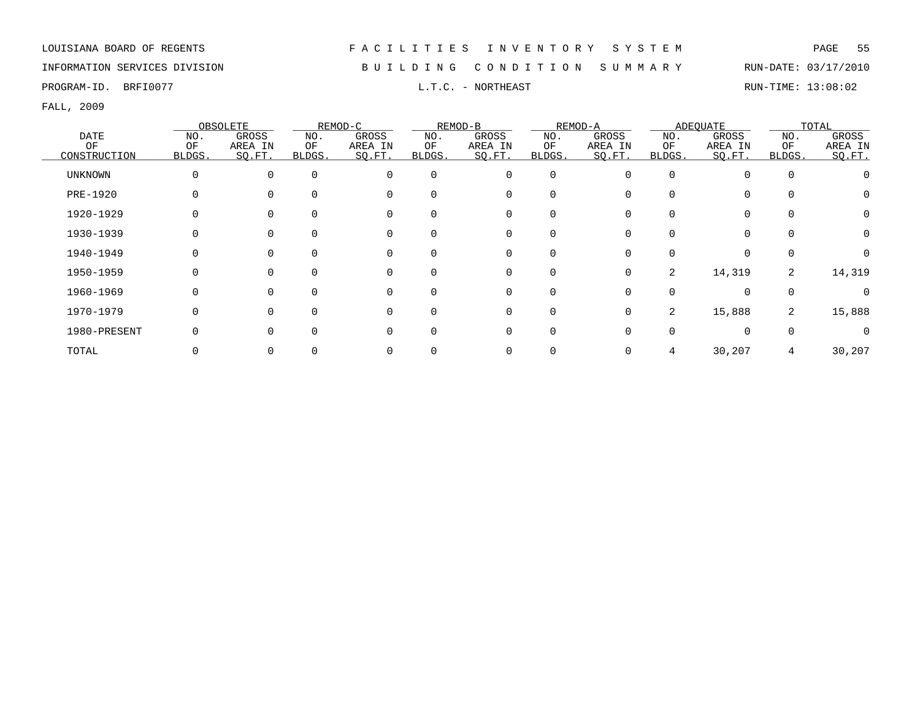INFORMATION SERVICES DIVISION B U I L D I N G C O N D I T I O N S U M M A R Y RUN-DATE: 03/17/2010

PROGRAM-ID. BRFI0077 **EXAM-ID.** BRFI0077 **RUN-TIME:** 13:08:02

|              |        | OBSOLETE |          | REMOD-C     |          | REMOD-B  |             | REMOD-A |                | ADEOUATE    |          | TOTAL    |
|--------------|--------|----------|----------|-------------|----------|----------|-------------|---------|----------------|-------------|----------|----------|
| <b>DATE</b>  | NO.    | GROSS    | NO.      | GROSS       | NO.      | GROSS    | NO.         | GROSS   | NO.            | GROSS       | NO.      | GROSS    |
| OF           | OF     | AREA IN  | ΟF       | AREA IN     | ΟF       | AREA IN  | OF          | AREA IN | ΟF             | AREA IN     | OF       | AREA IN  |
| CONSTRUCTION | BLDGS. | SO.FT.   | BLDGS.   | SO.FT.      | BLDGS.   | SO.FT.   | BLDGS.      | SO.FT.  | BLDGS.         | SQ.FT.      | BLDGS.   | SQ.FT.   |
| UNKNOWN      | 0      | 0        | $\Omega$ | $\Omega$    | $\Omega$ | 0        | 0           | O       | $\Omega$       | $\Omega$    | $\Omega$ |          |
| PRE-1920     |        |          | 0        | $\mathbf 0$ |          | 0        | $\mathbf 0$ |         |                | $\Omega$    |          |          |
| 1920-1929    | 0      |          | $\Omega$ | $\Omega$    |          | 0        | 0           |         |                | $\Omega$    |          | 0        |
| 1930-1939    | 0      |          |          | $\mathbf 0$ |          | 0        | 0           |         |                | $\mathbf 0$ |          | $\Omega$ |
| 1940-1949    | 0      |          | $\Omega$ | $\mathbf 0$ |          | 0        | 0           |         |                | $\mathbf 0$ |          |          |
| 1950-1959    | 0      |          |          | $\Omega$    |          | 0        | $\mathbf 0$ | 0       | $\overline{2}$ | 14,319      | 2        | 14,319   |
| 1960-1969    | 0      |          |          | $\Omega$    |          | $\Omega$ | 0           |         |                | $\Omega$    |          |          |
| 1970-1979    | 0      |          | ∩        | $\Omega$    |          | $\Omega$ | $\mathbf 0$ | 0       | 2              | 15,888      | 2        | 15,888   |
| 1980-PRESENT | 0      |          |          | $\Omega$    |          | $\Omega$ | $\Omega$    |         |                | $\Omega$    |          |          |
| TOTAL        |        |          |          |             |          |          | 0           |         |                | 30,207      | 4        | 30,207   |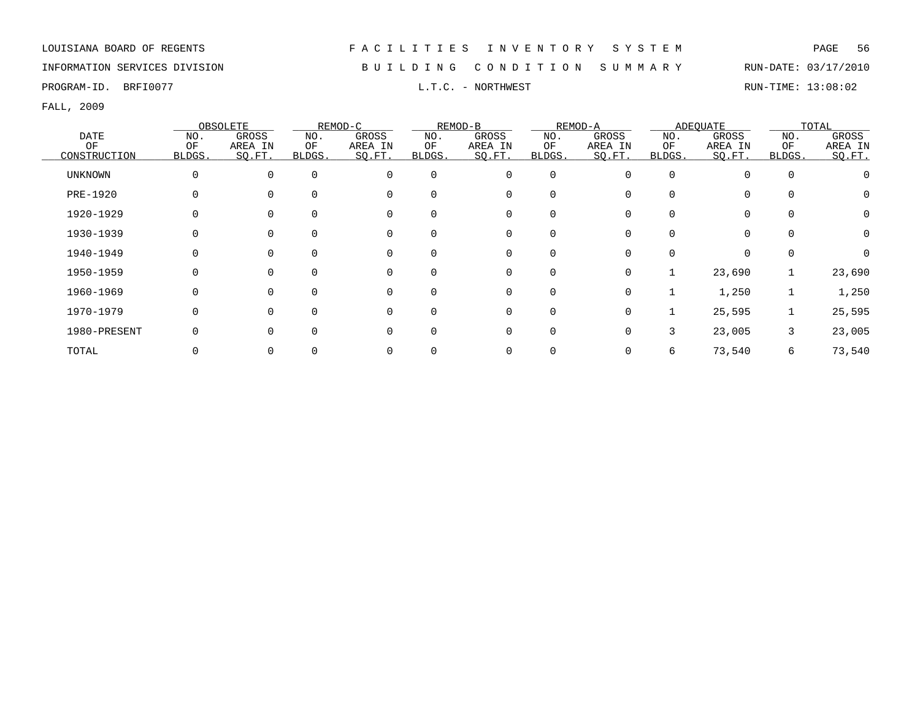INFORMATION SERVICES DIVISION B U I L D I N G C O N D I T I O N S U M M A R Y RUN-DATE: 03/17/2010

PROGRAM-ID. BRFI0077 **EXAM-ID.** BRFI0077 **RUN-TIME:** 13:08:02

|              |        | OBSOLETE |              | REMOD-C     |          | REMOD-B     |             | REMOD-A |              | ADEOUATE    |          | TOTAL    |
|--------------|--------|----------|--------------|-------------|----------|-------------|-------------|---------|--------------|-------------|----------|----------|
| DATE         | NO.    | GROSS    | NO.          | GROSS       | NO.      | GROSS       | NO.         | GROSS   | NO.          | GROSS       | NO.      | GROSS    |
| ΟF           | OF     | AREA IN  | OF           | AREA IN     | ΟF       | AREA IN     | ΟF          | AREA IN | ΟF           | AREA IN     | ΟF       | AREA IN  |
| CONSTRUCTION | BLDGS. | SQ.FT.   | <b>BLDGS</b> | SQ.FT.      | BLDGS.   | SQ.FT.      | BLDGS.      | SO.FT.  | <b>BLDGS</b> | SO.FT.      | BLDGS.   | SQ.FT.   |
| UNKNOWN      | 0      | 0        | $\Omega$     | $\mathbf 0$ | $\Omega$ | 0           | 0           |         | $\Omega$     | $\mathbf 0$ | $\Omega$ |          |
| PRE-1920     |        |          | $\Omega$     | 0           | $\Omega$ | 0           | 0           |         | $\Omega$     | 0           | $\Omega$ | 0        |
| 1920-1929    | 0      |          | 0            | $\mathbf 0$ | $\Omega$ | 0           | 0           |         | 0            | 0           | $\Omega$ | 0        |
| 1930-1939    | 0      |          |              | 0           |          | 0           | 0           |         |              | 0           | $\Omega$ | 0        |
| 1940-1949    | 0      |          | $\Omega$     | $\mathbf 0$ | $\Omega$ | 0           | 0           |         | 0            | 0           | $\Omega$ | $\Omega$ |
| 1950-1959    | 0      |          | 0            | 0           | $\Omega$ | 0           | 0           | 0       |              | 23,690      |          | 23,690   |
| 1960-1969    | 0      |          |              | 0           | $\Omega$ | 0           | $\mathbf 0$ | 0       |              | 1,250       |          | 1,250    |
| 1970-1979    | 0      |          | $\Omega$     | 0           | ∩        | 0           | $\mathbf 0$ | 0       |              | 25,595      |          | 25,595   |
| 1980-PRESENT | 0      |          |              | 0           | ∩        | $\mathbf 0$ | $\mathbf 0$ | U       | 3            | 23,005      | 3        | 23,005   |
| TOTAL        |        |          |              | 0           |          | 0           | 0           |         | 6            | 73,540      | 6        | 73,540   |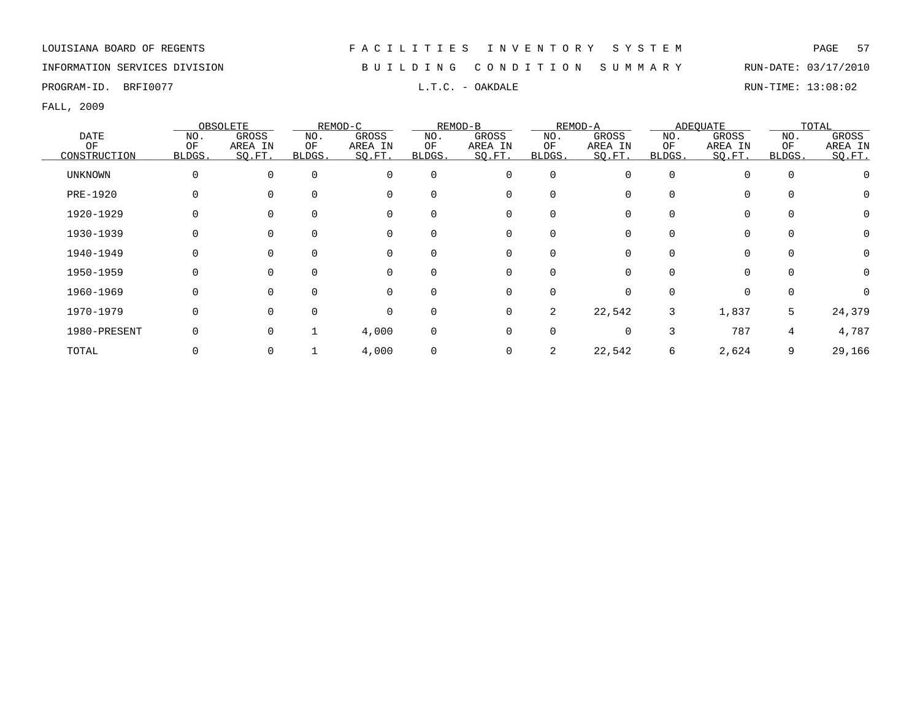INFORMATION SERVICES DIVISION B U I L D I N G C O N D I T I O N S U M M A R Y RUN-DATE: 03/17/2010

PROGRAM-ID. BRFI0077 **EXAM-ID.** BRFI0077 **RUN-TIME:** 13:08:02

|                |          | OBSOLETE |              | REMOD-C     |          | REMOD-B     |              | REMOD-A  |          | <b>ADEQUATE</b> |             | TOTAL    |
|----------------|----------|----------|--------------|-------------|----------|-------------|--------------|----------|----------|-----------------|-------------|----------|
| DATE           | NO.      | GROSS    | NO.          | GROSS       | NO.      | GROSS       | NO.          | GROSS    | NO.      | GROSS           | NO.         | GROSS    |
| OF             | OF       | AREA IN  | ΟF           | AREA IN     | ΟF       | AREA IN     | ΟF           | AREA IN  | ΟF       | AREA IN         | OF          | AREA IN  |
| CONSTRUCTION   | BLDGS.   | SQ.FT.   | <b>BLDGS</b> | SQ.FT.      | BLDGS.   | SQ.FT.      | <b>BLDGS</b> | SO.FT.   | BLDGS.   | SQ.FT.          | BLDGS.      | SO.FT.   |
| <b>UNKNOWN</b> | 0        |          | $\Omega$     | $\mathbf 0$ | $\Omega$ | $\mathbf 0$ | $\mathbf 0$  | $\Omega$ | $\Omega$ | $\Omega$        | $\mathbf 0$ |          |
| PRE-1920       |          |          |              | $\Omega$    |          | 0           | 0            |          | 0        |                 | $\Omega$    |          |
| 1920-1929      |          |          |              | $\mathbf 0$ |          | 0           | 0            |          | 0        | $\Omega$        | $\Omega$    | $\Omega$ |
| 1930-1939      |          |          |              | 0           |          | 0           | 0            |          |          | $\Omega$        | 0           | $\Omega$ |
| 1940-1949      |          |          |              | $\mathbf 0$ |          | 0           | 0            |          |          | $\Omega$        | 0           | $\Omega$ |
| 1950-1959      |          |          |              | 0           |          | 0           | 0            |          |          |                 | $\Omega$    | $\Omega$ |
| 1960-1969      |          |          |              | 0           |          | 0           | 0            | O        | 0        | $\Omega$        | 0           |          |
| 1970-1979      | 0        | $\Omega$ | $\Omega$     | $\Omega$    | $\Omega$ | $\mathbf 0$ | 2            | 22,542   | 3        | 1,837           | 5           | 24,379   |
| 1980-PRESENT   | $\Omega$ | 0        |              | 4,000       | $\Omega$ | $\Omega$    | $\Omega$     | $\Omega$ | 3        | 787             | 4           | 4,787    |
| TOTAL          |          |          |              | 4,000       |          | 0           | 2            | 22,542   | 6        | 2,624           | 9           | 29,166   |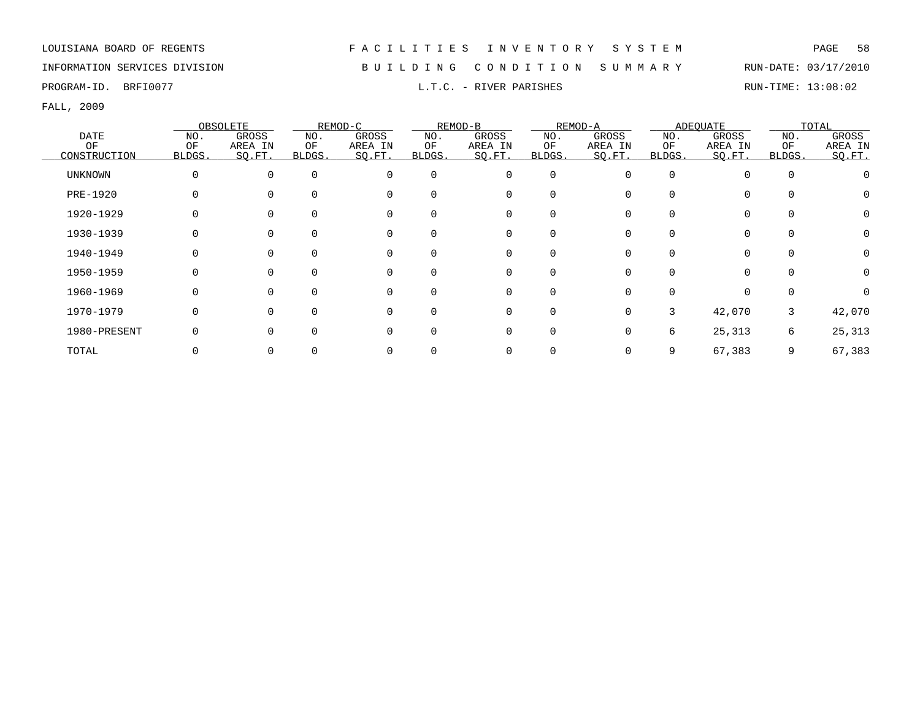## INFORMATION SERVICES DIVISION B U I L D I N G C O N D I T I O N S U M M A R Y RUN-DATE: 03/17/2010

PROGRAM-ID. BRFI0077 **EXECUTE:** 13:08:02 L.T.C. - RIVER PARISHES RUN-TIME: 13:08:02

|                |          | OBSOLETE     |        | REMOD-C  |          | REMOD-B     |             | REMOD-A |          | ADEQUATE |          | TOTAL    |
|----------------|----------|--------------|--------|----------|----------|-------------|-------------|---------|----------|----------|----------|----------|
| DATE           | NO.      | GROSS        | NO.    | GROSS    | NO.      | GROSS       | NO.         | GROSS   | NO.      | GROSS    | NO.      | GROSS    |
| ОF             | OF       | AREA IN      | ΟF     | AREA IN  | ΟF       | AREA IN     | ΟF          | AREA IN | ΟF       | AREA IN  | OF       | AREA IN  |
| CONSTRUCTION   | BLDGS.   | SQ.FT.       | BLDGS. | SQ.FT.   | BLDGS.   | SQ.FT.      | BLDGS.      | SQ.FT.  | BLDGS.   | SQ.FT.   | BLDGS.   | SQ.FT.   |
| <b>UNKNOWN</b> | $\Omega$ | $\Omega$     |        | $\Omega$ | $\Omega$ | $\mathbf 0$ | $\mathbf 0$ |         | $\Omega$ | $\Omega$ | $\Omega$ |          |
| PRE-1920       |          |              |        |          | $\Omega$ | 0           | 0           |         |          | $\Omega$ |          |          |
| 1920-1929      | 0        |              |        |          | $\Omega$ | 0           | 0           |         |          | 0        |          | $\Omega$ |
| 1930-1939      | O        |              |        |          |          | 0           |             |         |          | 0        |          | $\Omega$ |
| 1940-1949      | 0        |              |        | $\Omega$ | $\Omega$ | 0           | 0           |         |          | 0        |          | $\Omega$ |
| 1950-1959      |          |              |        | $\Omega$ | $\Omega$ | 0           | 0           |         |          |          |          |          |
| 1960-1969      |          | <sup>0</sup> |        | $\Omega$ | $\Omega$ | 0           | $\Omega$    |         |          | $\Omega$ |          |          |
| 1970-1979      | O        | U            |        | $\Omega$ | $\Omega$ | 0           | $\Omega$    | 0       | 3        | 42,070   | 3        | 42,070   |
| 1980-PRESENT   | U        |              |        | $\Omega$ | $\Omega$ | $\mathbf 0$ | $\Omega$    |         | 6        | 25,313   | 6        | 25,313   |
| TOTAL          |          |              |        |          |          | 0           |             |         | 9        | 67,383   | 9        | 67,383   |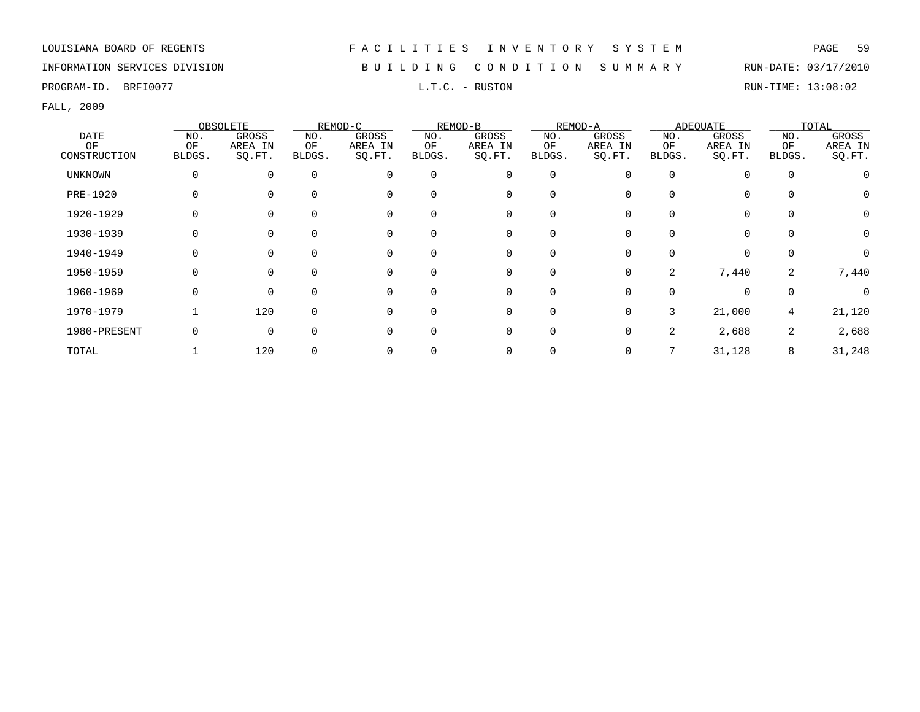INFORMATION SERVICES DIVISION B U I L D I N G C O N D I T I O N S U M M A R Y RUN-DATE: 03/17/2010

PROGRAM-ID. BRFI0077 **EXAM-ID.** BRFI0077 **RUSTON** L.T.C. - RUSTON **EXAM-ID.** BRIN-TIME: 13:08:02

|              |        | OBSOLETE     |          | REMOD-C     |          | REMOD-B     |             | REMOD-A |          | ADEQUATE    |          | TOTAL    |
|--------------|--------|--------------|----------|-------------|----------|-------------|-------------|---------|----------|-------------|----------|----------|
| DATE         | NO.    | GROSS        | NO.      | GROSS       | NO.      | GROSS       | NO.         | GROSS   | NO.      | GROSS       | NO.      | GROSS    |
| ОF           | OF     | AREA IN      | ΟF       | AREA IN     | ΟF       | AREA IN     | ΟF          | AREA IN | ΟF       | AREA IN     | OF       | AREA IN  |
| CONSTRUCTION | BLDGS. | SQ.FT.       | BLDGS.   | SQ.FT.      | BLDGS.   | SQ.FT.      | BLDGS.      | SQ.FT.  | BLDGS.   | SQ.FT.      | BLDGS.   | SQ.FT.   |
| UNKNOWN      | 0      | 0            | $\Omega$ | $\mathbf 0$ | $\Omega$ | $\mathbf 0$ | $\mathbf 0$ | O       | $\Omega$ | $\Omega$    | $\Omega$ |          |
| PRE-1920     | 0      |              | 0        | $\Omega$    |          | 0           | 0           |         |          | $\Omega$    |          |          |
| 1920-1929    | 0      |              | 0        | $\mathbf 0$ |          | 0           | 0           |         | 0        | 0           |          | 0        |
| 1930-1939    | 0      |              |          | 0           |          | 0           | 0           |         |          | $\mathbf 0$ |          | $\Omega$ |
| 1940-1949    | 0      |              | 0        | $\mathbf 0$ |          | 0           | 0           |         | 0        | $\mathbf 0$ |          | $\Omega$ |
| 1950-1959    | 0      |              |          | 0           |          | 0           | $\mathbf 0$ | 0       | 2        | 7,440       | 2        | 7,440    |
| 1960-1969    | 0      | 0            | $\Omega$ | 0           |          | 0           | 0           |         |          | $\Omega$    |          | $\Omega$ |
| 1970-1979    |        | 120          | $\Omega$ | 0           | $\Omega$ | $\Omega$    | $\mathbf 0$ | 0       | 3        | 21,000      | 4        | 21,120   |
| 1980-PRESENT | 0      | <sup>0</sup> | O        | $\Omega$    |          | $\Omega$    | $\mathbf 0$ | O       | 2        | 2,688       | 2        | 2,688    |
| TOTAL        |        | 120          |          |             |          |             | 0           |         |          | 31,128      | 8        | 31,248   |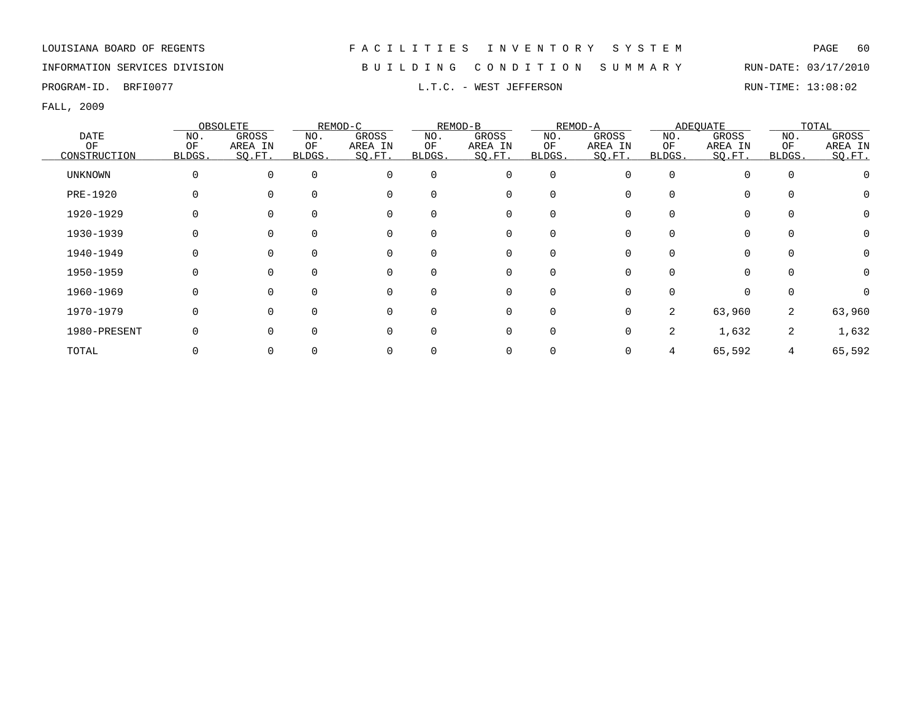## INFORMATION SERVICES DIVISION B U I L D I N G C O N D I T I O N S U M M A R Y RUN-DATE: 03/17/2010

PROGRAM-ID. BRFI0077 CONSTRUCTED AND RUN-TIME: 13:08:02

|                |              | OBSOLETE |        | REMOD-C  |          | REMOD-B     |          | REMOD-A |                | ADEQUATE |          | TOTAL    |
|----------------|--------------|----------|--------|----------|----------|-------------|----------|---------|----------------|----------|----------|----------|
| DATE           | NO.          | GROSS    | NO.    | GROSS    | NO.      | GROSS       | NO.      | GROSS   | NO.            | GROSS    | NO.      | GROSS    |
| ΟF             | OF           | AREA IN  | ΟF     | AREA IN  | ΟF       | AREA IN     | ΟF       | AREA IN | ΟF             | AREA IN  | OF       | AREA IN  |
| CONSTRUCTION   | <b>BLDGS</b> | SO.FT.   | BLDGS. | SQ.FT.   | BLDGS.   | SQ.FT.      | BLDGS.   | SO.FT.  | <b>BLDGS</b>   | SQ.FT.   | BLDGS.   | SQ.FT.   |
| <b>UNKNOWN</b> | 0            | $\Omega$ |        |          | $\Omega$ | $\mathbf 0$ | $\Omega$ | U       | $\Omega$       | $\Omega$ | $\Omega$ |          |
| PRE-1920       |              |          |        | $\Omega$ | $\Omega$ | 0           |          |         |                | $\Omega$ |          |          |
| 1920-1929      | 0            |          |        | $\Omega$ | $\Omega$ | 0           | $\Omega$ |         |                | $\Omega$ |          | $\Omega$ |
| 1930-1939      |              |          |        |          |          | 0           |          |         |                | $\Omega$ |          | $\Omega$ |
| 1940-1949      |              |          |        |          | 0        | 0           |          |         |                | $\Omega$ |          |          |
| 1950-1959      | 0            |          |        |          | $\Omega$ | 0           | $\Omega$ |         |                | $\Omega$ |          | $\Omega$ |
| 1960-1969      | 0            |          |        |          | $\Omega$ | 0           | $\Omega$ |         |                | $\Omega$ |          |          |
| 1970-1979      | 0            | $\Omega$ |        |          | $\Omega$ | 0           | $\Omega$ | 0       | $\overline{2}$ | 63,960   | 2        | 63,960   |
| 1980-PRESENT   |              |          |        |          | $\Omega$ | 0           | $\Omega$ | 0       | 2.             | 1,632    | 2        | 1,632    |
| TOTAL          |              |          |        |          |          | 0           |          |         |                | 65,592   | 4        | 65,592   |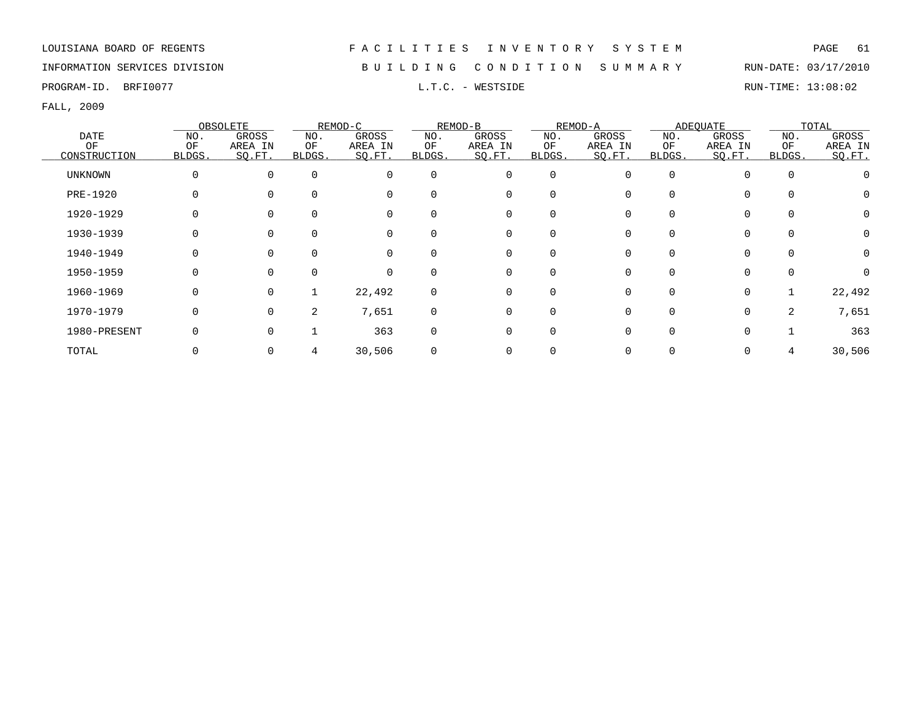INFORMATION SERVICES DIVISION B U I L D I N G C O N D I T I O N S U M M A R Y RUN-DATE: 03/17/2010

PROGRAM-ID. BRFI0077 **EXAM-ID.** BRFI0077 **RUN-TIME:** 13:08:02

|              |          | OBSOLETE     |        | REMOD-C  |          | REMOD-B     |             | REMOD-A |              | <b>ADEQUATE</b> |          | TOTAL   |
|--------------|----------|--------------|--------|----------|----------|-------------|-------------|---------|--------------|-----------------|----------|---------|
| DATE         | NO.      | GROSS        | NO.    | GROSS    | NO.      | GROSS       | NO.         | GROSS   | NO.          | GROSS           | NO.      | GROSS   |
| OF           | OF       | AREA IN      | ΟF     | AREA IN  | ΟF       | AREA IN     | OF          | AREA IN | OF           | AREA IN         | OF       | AREA IN |
| CONSTRUCTION | BLDGS.   | SQ.FT.       | BLDGS. | SQ.FT.   | BLDGS.   | SQ.FT.      | BLDGS.      | SO.FT.  | <b>BLDGS</b> | SO.FT.          | BLDGS.   | SO.FT.  |
| UNKNOWN      | $\Omega$ | $\Omega$     |        | $\Omega$ | $\Omega$ | 0           | $\mathbf 0$ |         | $\Omega$     |                 | $\Omega$ |         |
| PRE-1920     |          |              |        |          | $\Omega$ | 0           | $\Omega$    |         |              | $\Omega$        |          |         |
| 1920-1929    |          |              |        |          | $\Omega$ | 0           |             |         |              | 0               |          |         |
| 1930-1939    |          |              |        |          |          | 0           |             |         |              | $\Omega$        |          |         |
| 1940-1949    |          |              |        |          | $\Omega$ | 0           | 0           |         |              | $\Omega$        |          |         |
| 1950-1959    |          | <sup>0</sup> |        |          | 0        | 0           | 0           |         |              | 0               |          |         |
| 1960-1969    | 0        | $\Omega$     |        | 22,492   | $\Omega$ | 0           | $\Omega$    |         |              | $\mathbf 0$     |          | 22,492  |
| 1970-1979    | O        | $\Omega$     | 2      | 7,651    | $\Omega$ | $\mathbf 0$ | $\Omega$    |         | $\Omega$     | $\mathbf 0$     | 2        | 7,651   |
| 1980-PRESENT | O        | U            |        | 363      | $\Omega$ | 0           | $\Omega$    |         |              | $\Omega$        |          | 363     |
| TOTAL        |          |              |        | 30,506   | $\Omega$ | 0           |             |         |              | 0               |          | 30,506  |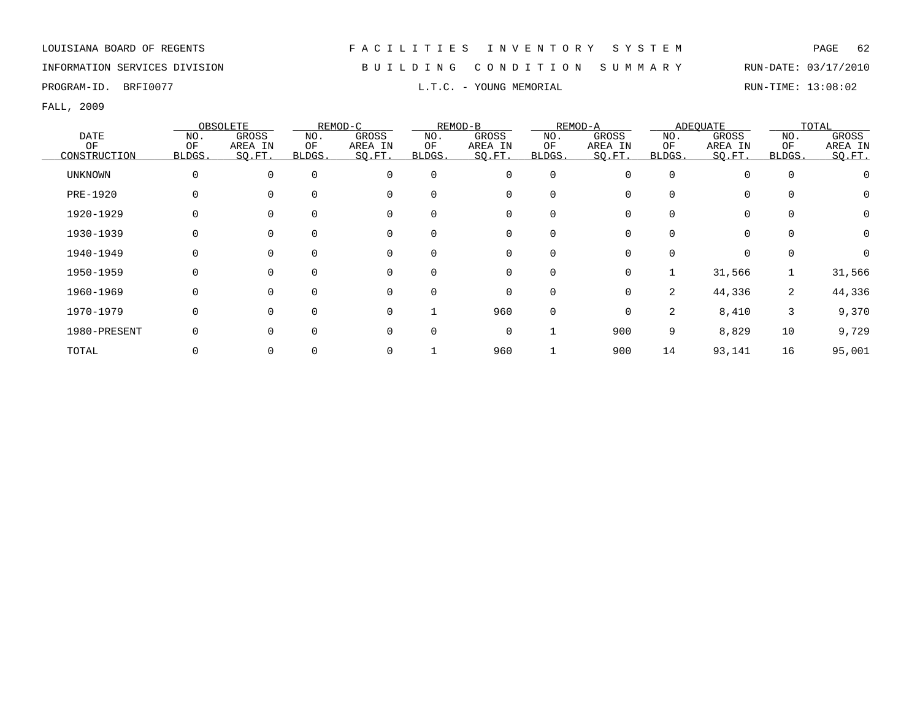## INFORMATION SERVICES DIVISION B U I L D I N G C O N D I T I O N S U M M A R Y RUN-DATE: 03/17/2010

PROGRAM-ID. BRFI0077 **EXAM-ID.** BRFI0077 **RUN-TIME:** 13:08:02

|                |             | OBSOLETE     |        | REMOD-C  |             | REMOD-B     |             | REMOD-A  |                | ADEOUATE    |          | TOTAL    |
|----------------|-------------|--------------|--------|----------|-------------|-------------|-------------|----------|----------------|-------------|----------|----------|
| <b>DATE</b>    | NO.         | GROSS        | NO.    | GROSS    | NO.         | GROSS       | NO.         | GROSS    | NO.            | GROSS       | NO.      | GROSS    |
| OF             | OF          | AREA IN      | ΟF     | AREA IN  | OF          | AREA IN     | OF          | AREA IN  | OF             | AREA IN     | OF       | AREA IN  |
| CONSTRUCTION   | BLDGS.      | SQ.FT.       | BLDGS. | SQ.FT.   | BLDGS.      | SQ.FT.      | BLDGS.      | SO.FT.   | BLDGS.         | SQ.FT.      | BLDGS.   | SO.FT.   |
| <b>UNKNOWN</b> | $\mathbf 0$ | 0            |        | $\Omega$ | $\mathbf 0$ | 0           | $\mathbf 0$ |          | $\Omega$       | $\Omega$    | $\Omega$ |          |
| PRE-1920       | 0           | <sup>0</sup> |        | $\Omega$ | $\Omega$    | 0           | $\mathbf 0$ |          | $\Omega$       | $\mathbf 0$ |          |          |
| 1920-1929      | 0           | <sup>0</sup> |        | $\Omega$ | $\Omega$    | 0           | $\mathbf 0$ |          | $\Omega$       | $\mathbf 0$ | $\Omega$ | 0        |
| 1930-1939      | 0           |              |        |          | $\Omega$    | 0           | 0           |          |                | $\mathbf 0$ |          | $\Omega$ |
| 1940-1949      | $\Omega$    | <sup>0</sup> |        | $\Omega$ | $\mathbf 0$ | 0           | 0           |          |                | $\mathbf 0$ |          |          |
| 1950-1959      | 0           | 0            |        | $\Omega$ | $\Omega$    | 0           | 0           | 0        |                | 31,566      |          | 31,566   |
| 1960-1969      | 0           | $\Omega$     |        | 0        | $\Omega$    | 0           | 0           | $\Omega$ | $\overline{2}$ | 44,336      | 2        | 44,336   |
| 1970-1979      | $\Omega$    | $\Omega$     |        | $\Omega$ |             | 960         | $\mathbf 0$ | 0        | 2              | 8,410       | 3        | 9,370    |
| 1980-PRESENT   | $\Omega$    | $\Omega$     |        | $\Omega$ | $\Omega$    | $\mathbf 0$ |             | 900      | 9              | 8,829       | 10       | 9,729    |
| TOTAL          |             |              |        |          |             | 960         |             | 900      | 14             | 93,141      | 16       | 95,001   |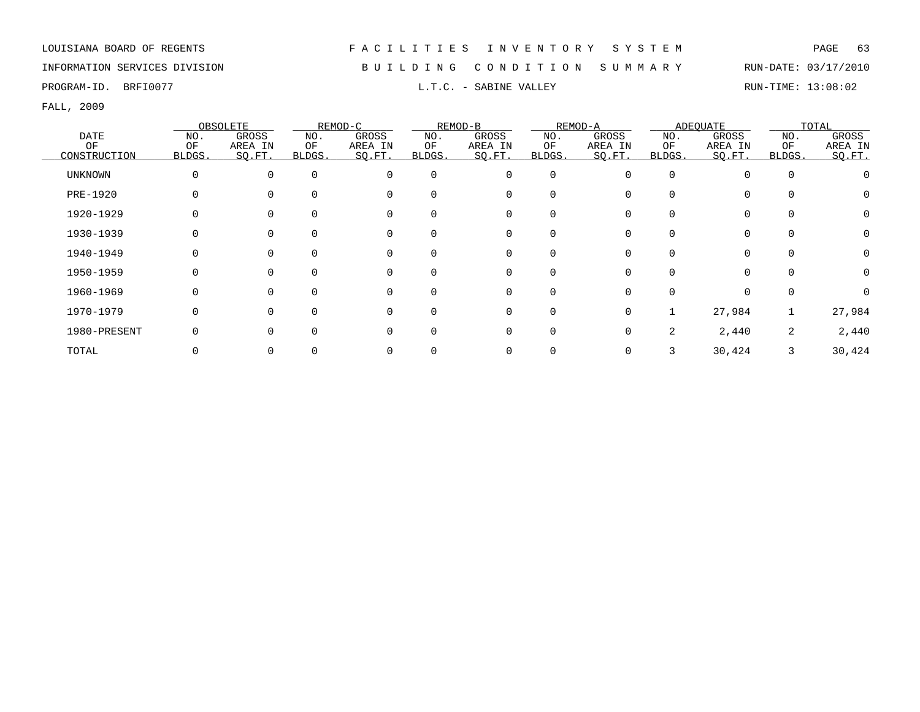## INFORMATION SERVICES DIVISION B U I L D I N G C O N D I T I O N S U M M A R Y RUN-DATE: 03/17/2010

PROGRAM-ID. BRFI0077 **EXABINE SERVICE SABINE VALLEY EXABINE VALLEY RUN-TIME: 13:08:02** 

|                |              | OBSOLETE |        | REMOD-C  |          | REMOD-B     |          | REMOD-A |              | ADEQUATE |          | TOTAL    |
|----------------|--------------|----------|--------|----------|----------|-------------|----------|---------|--------------|----------|----------|----------|
| DATE           | NO.          | GROSS    | NO.    | GROSS    | NO.      | GROSS       | NO.      | GROSS   | NO.          | GROSS    | NO.      | GROSS    |
| ΟF             | OF           | AREA IN  | ΟF     | AREA IN  | ΟF       | AREA IN     | ΟF       | AREA IN | ΟF           | AREA IN  | OF       | AREA IN  |
| CONSTRUCTION   | <b>BLDGS</b> | SO.FT.   | BLDGS. | SQ.FT.   | BLDGS.   | SQ.FT.      | BLDGS.   | SO.FT.  | <b>BLDGS</b> | SQ.FT.   | BLDGS.   | SQ.FT.   |
| <b>UNKNOWN</b> | 0            | $\Omega$ |        | $\Omega$ | $\Omega$ | $\mathbf 0$ | $\Omega$ | U       | $\Omega$     | $\Omega$ | $\Omega$ |          |
| PRE-1920       |              |          |        | $\Omega$ | $\Omega$ | 0           |          |         |              | $\Omega$ |          |          |
| 1920-1929      | 0            |          |        | $\Omega$ | $\Omega$ | 0           | $\Omega$ |         |              | $\Omega$ |          | $\Omega$ |
| 1930-1939      |              |          |        |          |          | 0           |          |         |              | $\Omega$ |          | $\Omega$ |
| 1940-1949      |              |          |        |          | $\Omega$ | 0           |          |         |              | $\Omega$ |          | $\Omega$ |
| 1950-1959      |              |          |        |          | $\Omega$ | 0           | $\Omega$ |         |              | $\Omega$ |          | $\Omega$ |
| 1960-1969      | 0            |          |        |          | $\Omega$ | 0           | $\Omega$ |         |              | $\Omega$ |          |          |
| 1970-1979      | 0            | $\Omega$ |        |          | $\Omega$ | 0           | $\Omega$ | 0       |              | 27,984   |          | 27,984   |
| 1980-PRESENT   |              |          |        |          | $\Omega$ | 0           | $\Omega$ | 0       | 2.           | 2,440    | 2        | 2,440    |
| TOTAL          |              |          |        |          |          | 0           |          |         |              | 30,424   |          | 30,424   |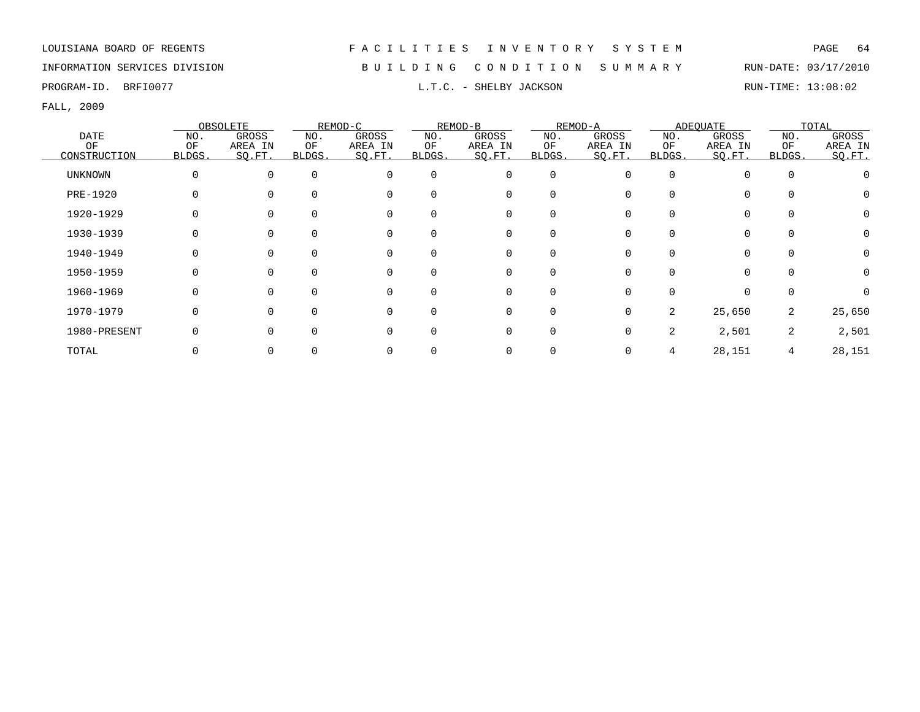## INFORMATION SERVICES DIVISION B U I L D I N G C O N D I T I O N S U M M A R Y RUN-DATE: 03/17/2010

PROGRAM-ID. BRFI0077 **EXAM-ID.** BRFI0077 **RUN-TIME:** 13:08:02

|                |              | OBSOLETE |        | REMOD-C  |          | REMOD-B     |          | REMOD-A  |                | ADEOUATE    |        | TOTAL    |
|----------------|--------------|----------|--------|----------|----------|-------------|----------|----------|----------------|-------------|--------|----------|
| <b>DATE</b>    | NO.          | GROSS    | NO.    | GROSS    | NO.      | GROSS       | NO.      | GROSS    | NO.            | GROSS       | NO.    | GROSS    |
| OF             | OF           | AREA IN  | ΟF     | AREA IN  | OF       | AREA IN     | OF       | AREA IN  | ΟF             | AREA IN     | OF     | AREA IN  |
| CONSTRUCTION   | <b>BLDGS</b> | SO.FT.   | BLDGS. | SQ.FT.   | BLDGS.   | SQ.FT.      | BLDGS.   | SO.FT.   | <b>BLDGS</b>   | SQ.FT.      | BLDGS. | SQ.FT.   |
| <b>UNKNOWN</b> | 0            | $\Omega$ |        | $\Omega$ | $\Omega$ | $\mathbf 0$ | 0        | U        | $\Omega$       | $\Omega$    |        |          |
| PRE-1920       | 0            |          |        | $\Omega$ | $\Omega$ | 0           | 0        |          |                | 0           |        |          |
| 1920-1929      | 0            |          |        | $\Omega$ | $\Omega$ | $\mathbf 0$ | $\Omega$ |          |                | 0           |        | $\Omega$ |
| 1930-1939      | 0            |          |        |          |          | 0           |          |          |                | $\mathbf 0$ |        | $\Omega$ |
| 1940-1949      | 0            |          |        |          | $\Omega$ | 0           |          |          |                | $\Omega$    |        |          |
| 1950-1959      | 0            |          |        |          | $\Omega$ | 0           | $\Omega$ |          |                | $\Omega$    |        | 0        |
| 1960-1969      | 0            | $\Omega$ |        | $\Omega$ | $\Omega$ | 0           | $\Omega$ | 0        | $\Omega$       | $\Omega$    |        | $\Omega$ |
| 1970-1979      | 0            | $\Omega$ |        | $\Omega$ | $\Omega$ | $\mathbf 0$ | $\Omega$ | $\Omega$ | $\overline{2}$ | 25,650      | 2      | 25,650   |
| 1980-PRESENT   | 0            | $\Omega$ |        | $\cap$   | $\Omega$ | $\mathbf 0$ | $\Omega$ | 0        | 2              | 2,501       | 2      | 2,501    |
| TOTAL          |              |          |        |          |          | 0           |          |          |                | 28,151      | 4      | 28,151   |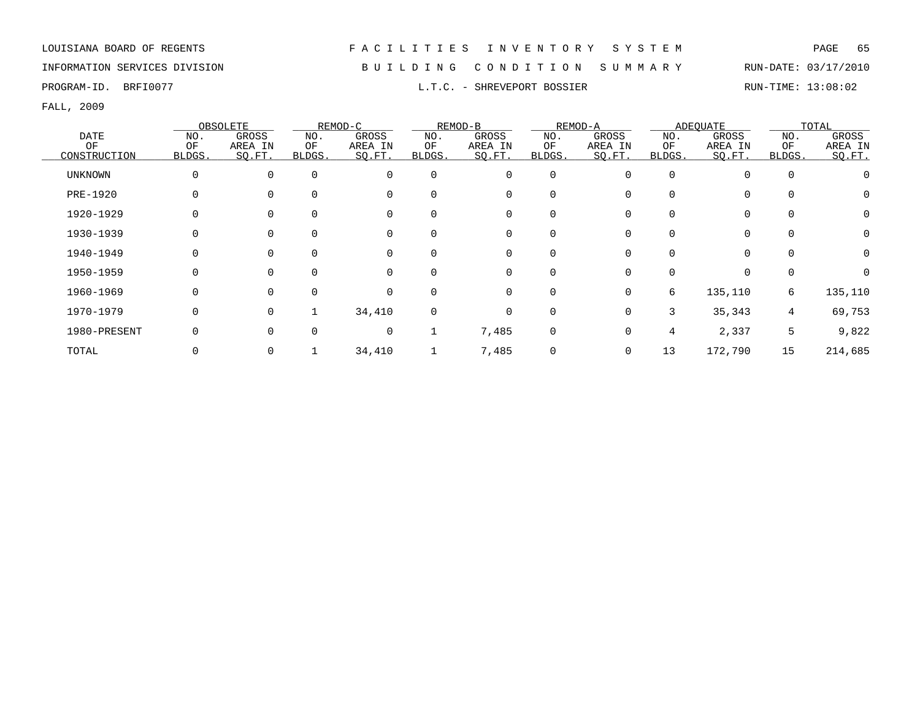FALL, 2009

|                |             | OBSOLETE     |        | REMOD-C  |             | REMOD-B     |             | REMOD-A |              | ADEOUATE    |          | TOTAL    |
|----------------|-------------|--------------|--------|----------|-------------|-------------|-------------|---------|--------------|-------------|----------|----------|
| <b>DATE</b>    | NO.         | GROSS        | NO.    | GROSS    | NO.         | GROSS       | NO.         | GROSS   | NO.          | GROSS       | NO.      | GROSS    |
| ΟF             | OF          | AREA IN      | ΟF     | AREA IN  | OF          | AREA IN     | ΟF          | AREA IN | ΟF           | AREA IN     | OF       | AREA IN  |
| CONSTRUCTION   | BLDGS.      | SQ.FT.       | BLDGS. | SQ.FT.   | BLDGS.      | SO.FT.      | BLDGS.      | SO.FT.  | <b>BLDGS</b> | SQ.FT.      | BLDGS.   | SQ.FT.   |
| <b>UNKNOWN</b> | $\mathbf 0$ | $\Omega$     |        | $\Omega$ | $\Omega$    | 0           | $\mathbf 0$ |         | $\Omega$     | $\Omega$    | $\Omega$ |          |
| PRE-1920       | $\Omega$    |              |        | $\Omega$ | $\Omega$    | 0           | 0           |         |              | 0           |          | 0        |
| 1920-1929      | 0           |              |        |          | $\Omega$    | 0           | 0           |         |              | 0           |          | 0        |
| 1930-1939      | 0           | <sup>0</sup> |        | 0        | 0           | 0           | 0           |         |              | 0           | 0        | 0        |
| 1940-1949      | 0           | 0            |        | 0        | $\mathbf 0$ | 0           | $\mathbf 0$ |         |              | 0           |          | 0        |
| 1950-1959      | $\Omega$    | $\Omega$     |        | $\Omega$ | $\Omega$    | 0           | $\mathbf 0$ | 0       | $\Omega$     | $\mathbf 0$ | $\Omega$ | $\Omega$ |
| 1960-1969      | 0           | 0            |        | $\Omega$ | $\Omega$    | $\mathbf 0$ | $\mathbf 0$ | 0       | 6            | 135,110     | 6        | 135,110  |
| 1970-1979      | 0           | 0            |        | 34,410   | $\mathbf 0$ | 0           | $\mathbf 0$ | 0       | 3            | 35,343      | 4        | 69,753   |
| 1980-PRESENT   |             |              |        | $\Omega$ |             | 7,485       | 0           |         | 4            | 2,337       | 5        | 9,822    |
| TOTAL          |             |              |        | 34,410   |             | 7,485       | 0           |         | 13           | 172,790     | 15       | 214,685  |

PROGRAM-ID. BRFI0077 **EXAM-ID.** BRFI0077 **RUN-TIME:** 13:08:02

# INFORMATION SERVICES DIVISION B U I L D I N G C O N D I T I O N S U M M A R Y RUN-DATE: 03/17/2010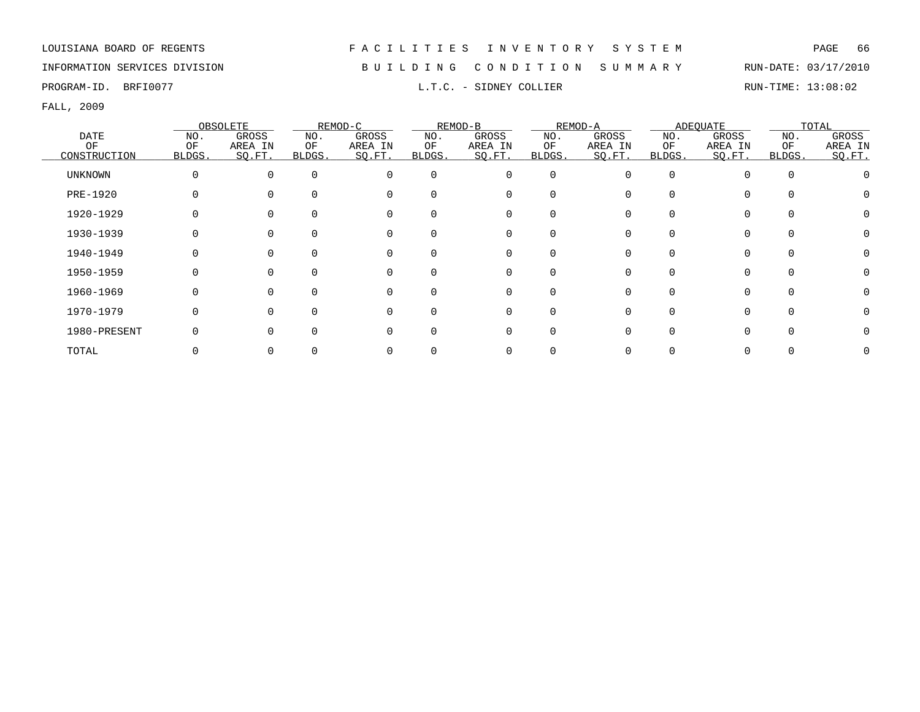## INFORMATION SERVICES DIVISION B U I L D I N G C O N D I T I O N S U M M A R Y RUN-DATE: 03/17/2010

PROGRAM-ID. BRFI0077 COLLIER L.T.C. - SIDNEY COLLIER RUN-TIME: 13:08:02

|       |                |          | OBSOLETE     |        | REMOD-C  |          | REMOD-B  |             | REMOD-A |          | ADEQUATE |        | TOTAL   |
|-------|----------------|----------|--------------|--------|----------|----------|----------|-------------|---------|----------|----------|--------|---------|
|       | DATE           | NO.      | GROSS        | NO.    | GROSS    | NO.      | GROSS    | NO.         | GROSS   | NO.      | GROSS    | NO.    | GROSS   |
|       | ОF             | OF       | AREA IN      | ΟF     | AREA IN  | ΟF       | AREA IN  | ΟF          | AREA IN | ΟF       | AREA IN  | OF     | AREA IN |
|       | CONSTRUCTION   | BLDGS.   | SQ.FT.       | BLDGS. | SQ.FT.   | BLDGS.   | SQ.FT.   | BLDGS.      | SQ.FT.  | BLDGS.   | SQ.FT.   | BLDGS. | SQ.FT.  |
|       | <b>UNKNOWN</b> | $\Omega$ | 0            |        | $\Omega$ | $\Omega$ | 0        | $\mathbf 0$ |         | $\Omega$ |          |        |         |
|       | PRE-1920       |          |              |        |          | $\Omega$ | 0        | $\Omega$    |         |          |          |        |         |
|       | 1920-1929      |          |              |        |          | $\Omega$ | 0        | $\Omega$    |         |          | $\Omega$ |        |         |
|       | 1930-1939      |          |              |        |          |          | 0        |             |         |          | $\Omega$ |        |         |
|       | 1940-1949      |          |              |        |          | $\Omega$ | 0        | 0           |         |          | $\Omega$ |        |         |
|       | 1950-1959      |          |              |        |          | $\Omega$ | 0        | $\Omega$    |         |          |          |        |         |
|       | 1960-1969      |          |              |        | O        | $\Omega$ | 0        | $\Omega$    |         |          | $\Omega$ |        |         |
|       | 1970-1979      |          | <sup>n</sup> |        | $\Omega$ | $\Omega$ | $\Omega$ | $\Omega$    |         |          | $\Omega$ |        |         |
|       | 1980-PRESENT   |          |              |        |          | ∩        | $\Omega$ | U           |         |          |          |        |         |
| TOTAL |                |          |              |        |          |          |          |             |         |          |          |        |         |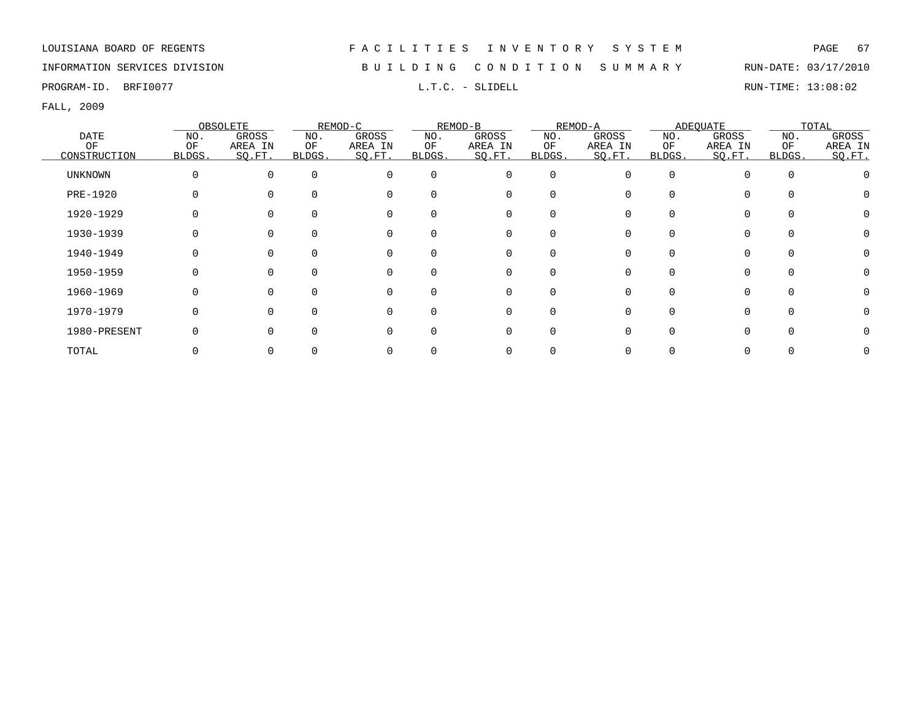## INFORMATION SERVICES DIVISION B U I L D I N G C O N D I T I O N S U M M A R Y RUN-DATE: 03/17/2010

PROGRAM-ID. BRFI0077 **EXAM-ID.** BRFI0077 **RUN-TIME:** 13:08:02

|              |          | OBSOLETE |          | REMOD-C  |          | REMOD-B  |             | REMOD-A |        | ADEQUATE |        | TOTAL   |
|--------------|----------|----------|----------|----------|----------|----------|-------------|---------|--------|----------|--------|---------|
| <b>DATE</b>  | NO.      | GROSS    | NO.      | GROSS    | NO.      | GROSS    | NO.         | GROSS   | NO.    | GROSS    | NO.    | GROSS   |
| OF           | OF       | AREA IN  | ΟF       | AREA IN  | ΟF       | AREA IN  | OF          | AREA IN | ΟF     | AREA IN  | OF     | AREA IN |
| CONSTRUCTION | BLDGS.   | SO.FT.   | BLDGS.   | SO.FT.   | BLDGS.   | SO.FT.   | BLDGS.      | SO.FT.  | BLDGS. | SO.FT.   | BLDGS. | SQ.FT.  |
| UNKNOWN      | 0        | 0        | $\Omega$ | $\Omega$ | $\Omega$ | $\Omega$ | $\mathbf 0$ | O       | O      | $\cap$   |        |         |
| PRE-1920     |          |          |          | $\Omega$ |          | 0        | 0           |         |        | $\Omega$ |        |         |
| 1920-1929    | 0        |          |          | $\Omega$ |          | 0        | 0           |         |        | $\Omega$ |        |         |
| 1930-1939    | 0        |          |          | 0        |          | 0        | $\Omega$    |         |        | 0        |        |         |
| 1940-1949    | 0        |          |          | $\Omega$ |          | 0        | 0           |         |        | $\Omega$ |        |         |
| 1950-1959    | 0        |          |          | $\Omega$ |          | $\Omega$ | 0           |         |        |          |        |         |
| 1960-1969    | 0        |          |          | $\Omega$ |          | $\Omega$ | $\Omega$    |         |        | $\Omega$ |        |         |
| 1970-1979    | $\Omega$ |          | O        | $\Omega$ |          | $\Omega$ | $\Omega$    |         | U      | $\Omega$ |        | 0       |
| 1980-PRESENT | $\Omega$ |          |          | $\Omega$ |          | $\Omega$ | $\Omega$    |         |        |          |        |         |
| TOTAL        |          |          |          |          |          |          |             |         |        |          |        |         |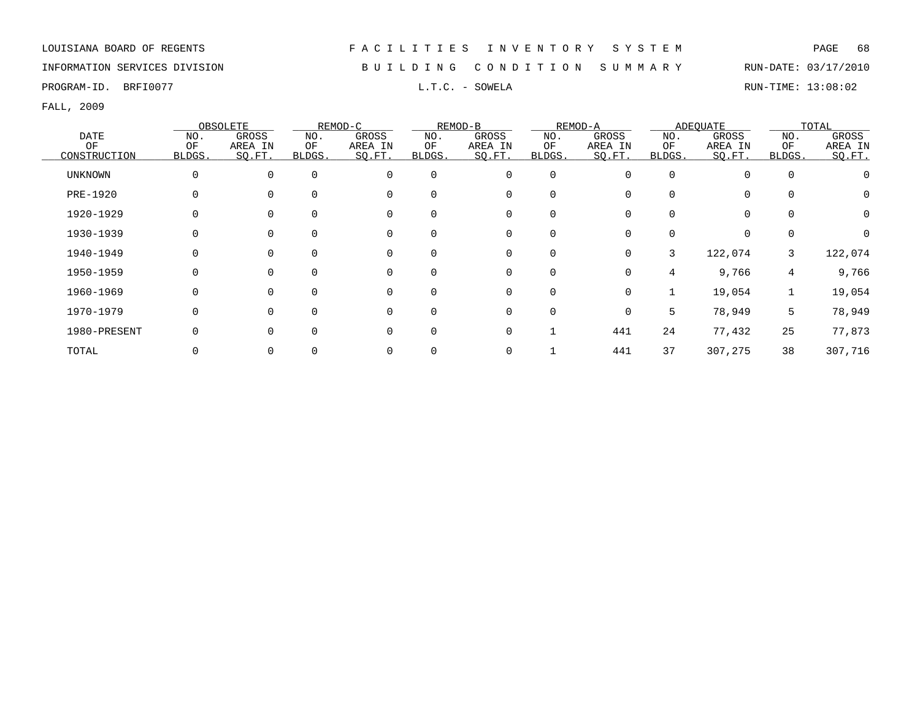INFORMATION SERVICES DIVISION B U I L D I N G C O N D I T I O N S U M M A R Y RUN-DATE: 03/17/2010

PROGRAM-ID. BRFI0077 **EXAM-ID.** BRFI0077 **RUN-TIME:** 13:08:02

|                |        | OBSOLETE |          | REMOD-C  |          | REMOD-B  |             | REMOD-A  |        | ADEOUATE |          | TOTAL   |
|----------------|--------|----------|----------|----------|----------|----------|-------------|----------|--------|----------|----------|---------|
| DATE           | NO.    | GROSS    | NO.      | GROSS    | NO.      | GROSS    | NO.         | GROSS    | NO.    | GROSS    | NO.      | GROSS   |
| ΟF             | OF     | AREA IN  | ΟF       | AREA IN  | ΟF       | AREA IN  | ΟF          | AREA IN  | ΟF     | AREA IN  | OF       | AREA IN |
| CONSTRUCTION   | BLDGS. | SQ.FT.   | BLDGS.   | SQ.FT.   | BLDGS.   | SQ.FT.   | BLDGS.      | SQ.FT.   | BLDGS. | SQ.FT.   | BLDGS.   | SQ.FT.  |
| <b>UNKNOWN</b> | 0      | $\Omega$ | $\Omega$ | $\Omega$ | $\Omega$ | 0        | $\mathbf 0$ | 0        | O      | $\Omega$ | $\Omega$ |         |
| PRE-1920       | 0      | 0        | 0        | $\Omega$ |          | 0        | 0           |          | O      | $\Omega$ |          |         |
| 1920-1929      | 0      |          | 0        | 0        |          | 0        | 0           |          | O      | 0        |          | 0       |
| 1930-1939      | 0      |          | 0        | 0        |          | 0        | 0           |          | O      | 0        |          |         |
| 1940-1949      | 0      | 0        | 0        | 0        |          | 0        | 0           | 0        | 3      | 122,074  | 3        | 122,074 |
| 1950-1959      | 0      | 0        | 0        | $\Omega$ |          | 0        | 0           | 0        | 4      | 9,766    | 4        | 9,766   |
| 1960-1969      | 0      | 0        | $\Omega$ | 0        | $\Omega$ | 0        | 0           | 0        |        | 19,054   | 1        | 19,054  |
| 1970-1979      | 0      | 0        | $\Omega$ | $\Omega$ | $\Omega$ | $\Omega$ | $\mathbf 0$ | $\Omega$ | 5      | 78,949   | 5        | 78,949  |
| 1980-PRESENT   | 0      | U        | 0        | $\Omega$ |          | 0        | 1           | 441      | 24     | 77,432   | 25       | 77,873  |
| TOTAL          |        |          |          | $\Omega$ |          | 0        |             | 441      | 37     | 307,275  | 38       | 307,716 |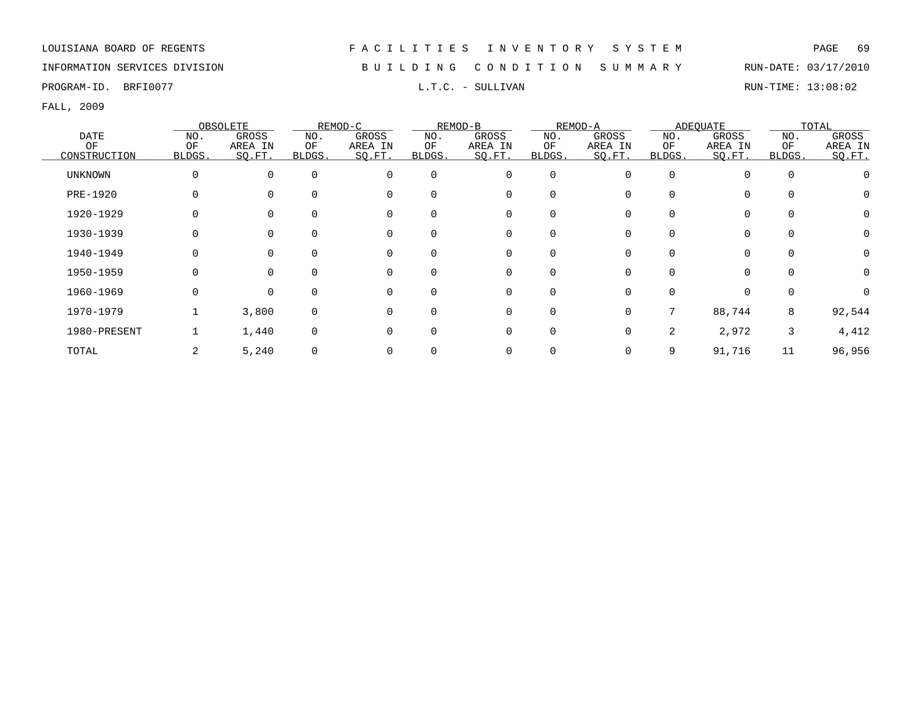INFORMATION SERVICES DIVISION B U I L D I N G C O N D I T I O N S U M M A R Y RUN-DATE: 03/17/2010

PROGRAM-ID. BRFI0077 **EXAM-ID.** BRFI0077 **RUN-TIME:** 13:08:02

|                |        | OBSOLETE |          | REMOD-C  |             | REMOD-B     |          | REMOD-A  |              | ADEOUATE    |             | TOTAL    |
|----------------|--------|----------|----------|----------|-------------|-------------|----------|----------|--------------|-------------|-------------|----------|
| <b>DATE</b>    | NO.    | GROSS    | NO.      | GROSS    | NO.         | GROSS       | NO.      | GROSS    | NO.          | GROSS       | NO.         | GROSS    |
| OF             | OF     | AREA IN  | ΟF       | AREA IN  | OF          | AREA IN     | OF       | AREA IN  | OF           | AREA IN     | OF          | AREA IN  |
| CONSTRUCTION   | BLDGS. | SO.FT.   | BLDGS.   | SQ.FT.   | BLDGS.      | SO.FT.      | BLDGS.   | SO.FT.   | <b>BLDGS</b> | SO.FT.      | BLDGS.      | SO.FT.   |
| <b>UNKNOWN</b> | 0      | $\Omega$ | $\Omega$ | $\Omega$ | $\mathbf 0$ | $\mathbf 0$ | 0        | 0        | $\Omega$     | $\mathbf 0$ | $\mathbf 0$ |          |
| PRE-1920       |        |          | $\Omega$ | $\Omega$ | $\Omega$    | 0           | 0        |          | $\Omega$     | $\mathbf 0$ | $\Omega$    | 0        |
| 1920-1929      | 0      |          |          |          | $\Omega$    | 0           | $\Omega$ |          | 0            | 0           | $\Omega$    | 0        |
| 1930-1939      |        |          |          |          |             | 0           |          |          |              | 0           |             | 0        |
| 1940-1949      |        |          |          | 0        | 0           | 0           | 0        |          | 0            | 0           | $\Omega$    | 0        |
| 1950-1959      | 0      | 0        | $\Omega$ | 0        | $\Omega$    | 0           | 0        | O        | $\Omega$     | 0           | $\Omega$    | 0        |
| 1960-1969      | 0      | $\Omega$ | $\Omega$ | $\Omega$ | $\Omega$    | 0           | $\Omega$ | 0        | $\Omega$     | 0           | $\Omega$    | $\Omega$ |
| 1970-1979      |        | 3,800    | $\Omega$ | $\Omega$ | $\Omega$    | 0           | $\Omega$ | $\Omega$ |              | 88,744      | 8           | 92,544   |
| 1980-PRESENT   |        | 1,440    | $\Omega$ | $\Omega$ | $\Omega$    | 0           | $\Omega$ | 0        | 2            | 2,972       | 3           | 4,412    |
| TOTAL          | 2      | 5,240    |          |          |             | 0           |          |          | 9            | 91,716      | 11          | 96,956   |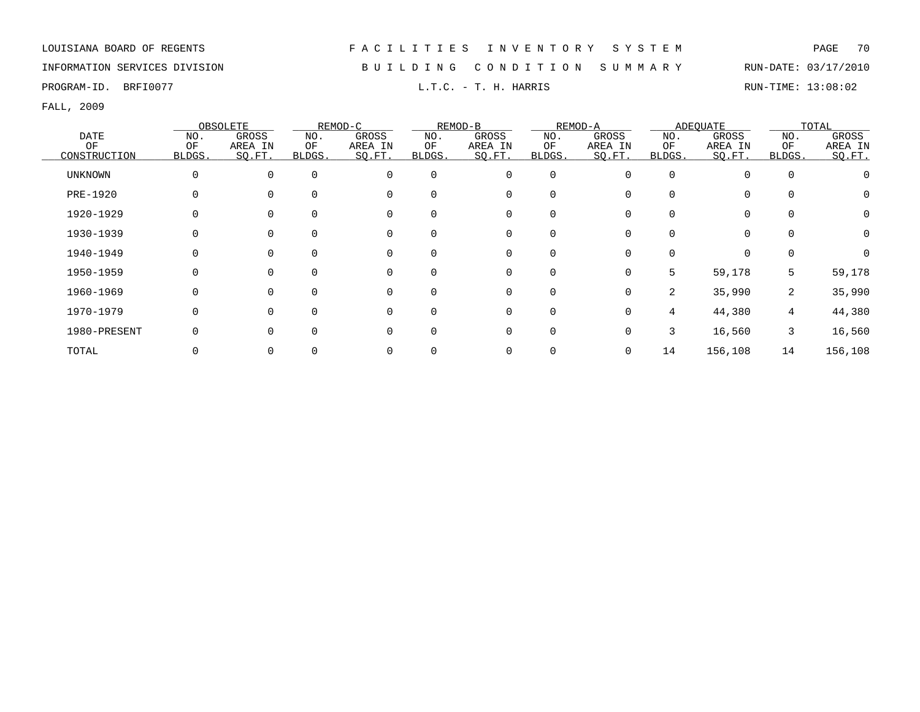INFORMATION SERVICES DIVISION B U I L D I N G C O N D I T I O N S U M M A R Y RUN-DATE: 03/17/2010

PROGRAM-ID. BRFI0077 L.T.C. - T. H. HARRIS RUN-TIME: 13:08:02

|                |          | OBSOLETE |                | REMOD-C     |          | REMOD-B     |             | REMOD-A |                | ADEOUATE    |          | TOTAL    |
|----------------|----------|----------|----------------|-------------|----------|-------------|-------------|---------|----------------|-------------|----------|----------|
| <b>DATE</b>    | NO.      | GROSS    | NO.            | GROSS       | NO.      | GROSS       | NO.         | GROSS   | NO.            | GROSS       | NO.      | GROSS    |
| OF             | OF       | AREA IN  | ΟF             | AREA IN     | OF       | AREA IN     | ОF          | AREA IN | ΟF             | AREA IN     | OF       | AREA IN  |
| CONSTRUCTION   | BLDGS.   | SO.FT.   | <b>BLDGS</b> . | SQ.FT.      | BLDGS.   | SQ.FT.      | BLDGS.      | SO.FT.  | BLDGS.         | SQ.FT.      | BLDGS.   | SO.FT.   |
| <b>UNKNOWN</b> | 0        | $\Omega$ | $\Omega$       | $\mathbf 0$ | $\Omega$ | 0           | 0           |         | $\Omega$       | $\Omega$    | $\Omega$ |          |
| PRE-1920       |          |          | $\Omega$       | $\mathbf 0$ | $\Omega$ | 0           | $\mathbf 0$ |         | $\Omega$       | 0           |          |          |
| 1920-1929      | $\Omega$ |          | 0              | $\mathbf 0$ | $\Omega$ | 0           | $\mathbf 0$ |         | $\Omega$       | $\mathbf 0$ |          | $\Omega$ |
| 1930-1939      | $\Omega$ |          |                | $\mathbf 0$ |          | 0           | 0           |         |                | $\mathbf 0$ |          | $\Omega$ |
| 1940-1949      |          |          | 0              | $\mathbf 0$ |          | 0           | 0           |         |                | $\mathbf 0$ |          |          |
| 1950-1959      |          | U        | 0              | $\mathbf 0$ | $\Omega$ | 0           | 0           | 0       | 5              | 59,178      | 5        | 59,178   |
| 1960-1969      | 0        | $\Omega$ | $\Omega$       | $\mathbf 0$ | $\Omega$ | 0           | $\mathbf 0$ | 0       | $\overline{2}$ | 35,990      | 2        | 35,990   |
| 1970-1979      | $\Omega$ | $\Omega$ | $\Omega$       | $\mathbf 0$ | $\Omega$ | $\mathbf 0$ | $\mathbf 0$ | 0       | 4              | 44,380      | 4        | 44,380   |
| 1980-PRESENT   |          | $\Omega$ | 0              | $\Omega$    | ∩        | $\mathbf 0$ | $\mathbf 0$ | 0       | 3              | 16,560      | 3        | 16,560   |
| TOTAL          |          |          |                | 0           |          | 0           | 0           |         | 14             | 156,108     | 14       | 156,108  |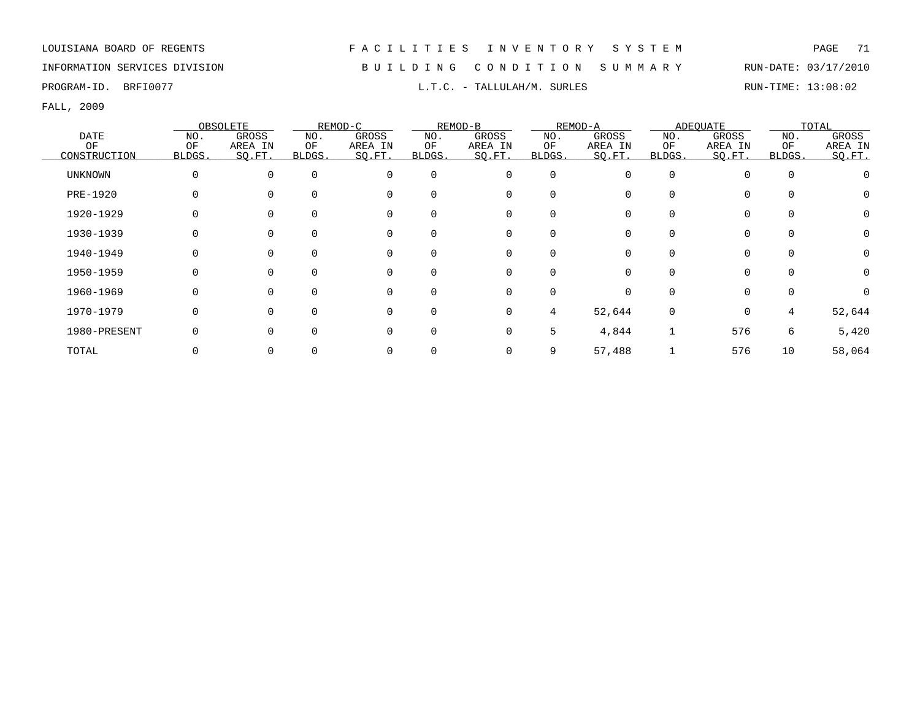## INFORMATION SERVICES DIVISION B U I L D I N G C O N D I T I O N S U M M A R Y RUN-DATE: 03/17/2010

FALL, 2009

|                |             | OBSOLETE     |        | REMOD-C  |          | REMOD-B     |             | REMOD-A |          | ADEOUATE    |          | TOTAL    |
|----------------|-------------|--------------|--------|----------|----------|-------------|-------------|---------|----------|-------------|----------|----------|
| <b>DATE</b>    | NO.         | GROSS        | NO.    | GROSS    | NO.      | GROSS       | NO.         | GROSS   | NO.      | GROSS       | NO.      | GROSS    |
| OF             | OF          | AREA IN      | ΟF     | AREA IN  | OF       | AREA IN     | OF          | AREA IN | ΟF       | AREA IN     | OF       | AREA IN  |
| CONSTRUCTION   | BLDGS.      | SQ.FT.       | BLDGS. | SQ.FT.   | BLDGS.   | SQ.FT.      | BLDGS.      | SO.FT.  | BLDGS.   | SQ.FT.      | BLDGS.   | SQ.FT.   |
| <b>UNKNOWN</b> | $\mathbf 0$ | $\Omega$     |        | $\Omega$ | $\Omega$ | $\mathbf 0$ | $\mathbf 0$ |         | $\Omega$ | $\Omega$    | $\Omega$ |          |
| PRE-1920       |             |              |        |          | $\Omega$ | 0           | 0           |         |          | $\Omega$    |          |          |
| 1920-1929      | 0           |              |        | $\Omega$ | $\Omega$ | 0           | 0           |         |          | 0           |          | $\Omega$ |
| 1930-1939      | O           |              |        |          |          | 0           | 0           |         |          | 0           |          | $\Omega$ |
| 1940-1949      |             |              |        |          | $\Omega$ | 0           | 0           |         |          | 0           |          |          |
| 1950-1959      |             | <sup>0</sup> |        | $\Omega$ | $\Omega$ | 0           | $\Omega$    |         |          | $\Omega$    |          | 0        |
| 1960-1969      | 0           | $\Omega$     |        | $\Omega$ | $\Omega$ | 0           | $\mathbf 0$ | 0       | $\Omega$ | $\mathbf 0$ | $\Omega$ | 0        |
| 1970-1979      | $\Omega$    | <sup>n</sup> |        | $\Omega$ | $\Omega$ | $\mathbf 0$ | 4           | 52,644  | $\Omega$ | $\mathbf 0$ | 4        | 52,644   |
| 1980-PRESENT   | O           | U            |        | $\Omega$ | $\Omega$ | $\mathbf 0$ | 5           | 4,844   |          | 576         | 6        | 5,420    |
| TOTAL          |             |              |        |          |          | 0           | 9           | 57,488  |          | 576         | 10       | 58,064   |

PROGRAM-ID. BRFI0077 **EXAM-ID.** BRFI0077 **RUN-TIME:** 13:08:02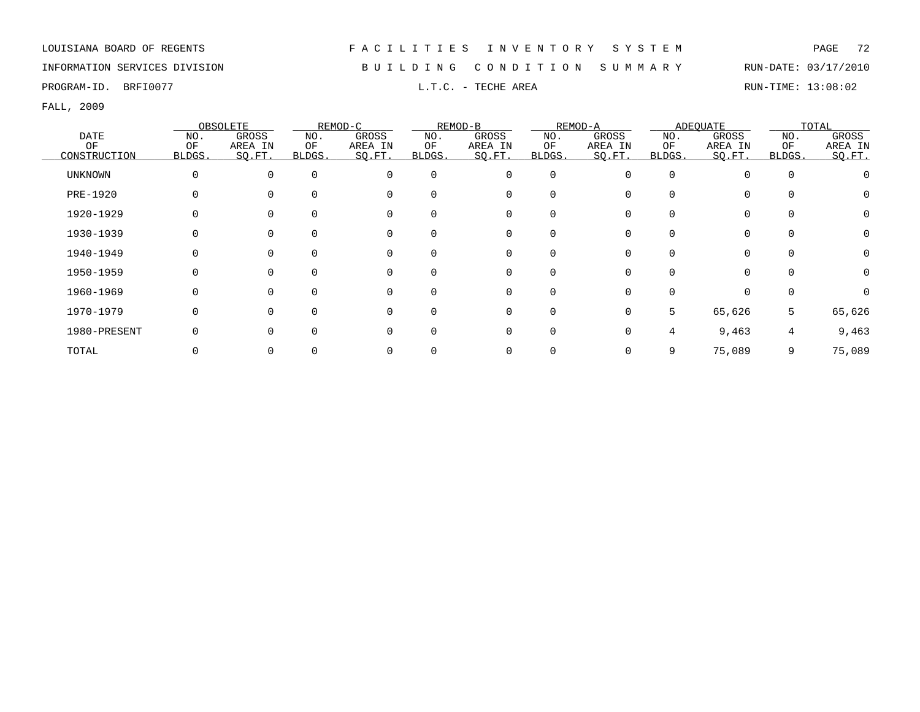## INFORMATION SERVICES DIVISION B U I L D I N G C O N D I T I O N S U M M A R Y RUN-DATE: 03/17/2010

PROGRAM-ID. BRFI0077 **EXAM-ID.** BRFI0077 **RUN-TIME:** 13:08:02

|              |        | OBSOLETE     |          | REMOD-C  |              | REMOD-B  |                  | REMOD-A      |          | ADEQUATE |          | TOTAL   |
|--------------|--------|--------------|----------|----------|--------------|----------|------------------|--------------|----------|----------|----------|---------|
| DATE         | NO.    | <b>GROSS</b> | NO.      | GROSS    | NO.          | GROSS    | NO.              | GROSS        | NO.      | GROSS    | NO.      | GROSS   |
| OF           | OF     | AREA IN      | ΟF       | AREA IN  | OF           | AREA IN  | OF               | AREA IN      | OF       | AREA IN  | OF       | AREA IN |
| CONSTRUCTION | BLDGS. | SQ.FT.       | BLDGS.   | SO.FT.   | BLDGS.       | SO.FT.   | BLDGS.           | SQ.FT.       | BLDGS.   | SO.FT.   | BLDGS.   | SQ.FT.  |
| UNKNOWN      |        | $\Omega$     | $\Omega$ | $\Omega$ | 0            | 0        | $\Omega$         | 0            | $\Omega$ | $\Omega$ | $\Omega$ |         |
| PRE-1920     |        |              |          | $\Omega$ | $\Omega$     | 0        |                  |              | 0        | $\Omega$ |          |         |
| 1920-1929    |        |              |          |          | <sup>0</sup> | 0        | O                |              |          | $\Omega$ |          |         |
| 1930-1939    |        |              |          | $\Omega$ | <sup>0</sup> | 0        |                  |              |          | 0        |          |         |
| 1940-1949    |        |              |          | $\Omega$ | 0            | 0        |                  |              |          |          |          |         |
| 1950-1959    |        |              |          | $\Omega$ | $\Omega$     | 0        | $\Omega$         |              |          |          |          |         |
| 1960-1969    |        |              |          | $\Omega$ | $\Omega$     | 0        | $\left( \right)$ |              |          |          |          |         |
| 1970-1979    |        |              |          | ∩        | $\Omega$     | $\Omega$ | $\Omega$         | $\Omega$     | 5        | 65,626   | 5        | 65,626  |
| 1980-PRESENT |        |              |          |          | U            | 0        | 0                | <sup>n</sup> | 4        | 9,463    | 4        | 9,463   |
| TOTAL        |        |              |          |          |              | 0        |                  |              | 9        | 75,089   | 9        | 75,089  |